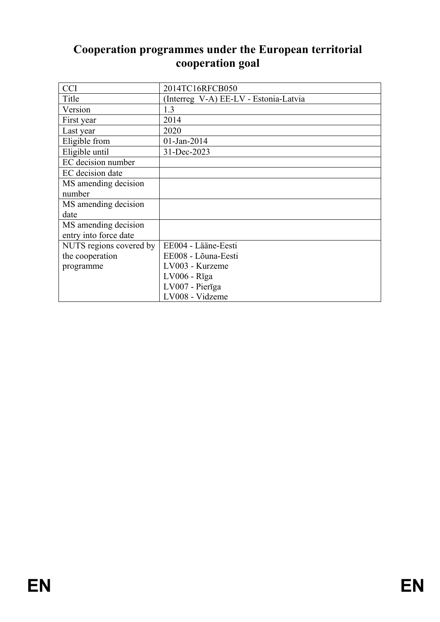# **Cooperation programmes under the European territorial cooperation goal**

| <b>CCI</b>              | 2014TC16RFCB050                       |
|-------------------------|---------------------------------------|
| Title                   | (Interreg V-A) EE-LV - Estonia-Latvia |
| Version                 | 1.3                                   |
| First year              | 2014                                  |
| Last year               | 2020                                  |
| Eligible from           | 01-Jan-2014                           |
| Eligible until          | 31-Dec-2023                           |
| EC decision number      |                                       |
| EC decision date        |                                       |
| MS amending decision    |                                       |
| number                  |                                       |
| MS amending decision    |                                       |
| date                    |                                       |
| MS amending decision    |                                       |
| entry into force date   |                                       |
| NUTS regions covered by | EE004 - Lääne-Eesti                   |
| the cooperation         | EE008 - Lõuna-Eesti                   |
| programme               | LV003 - Kurzeme                       |
|                         | $LV006 - Rīga$                        |
|                         | LV007 - Pierīga                       |
|                         | LV008 - Vidzeme                       |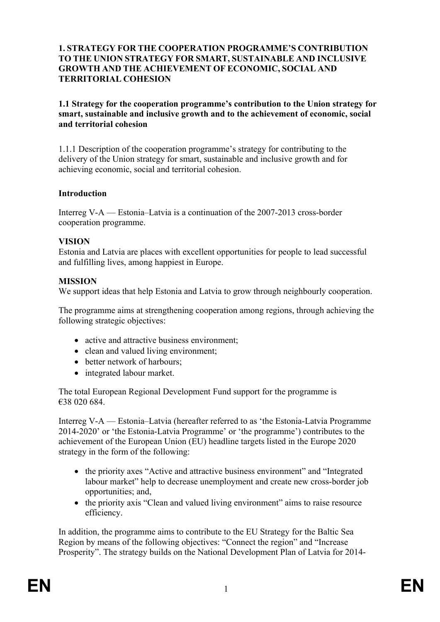#### **1. STRATEGY FOR THE COOPERATION PROGRAMME'S CONTRIBUTION TO THE UNION STRATEGY FOR SMART, SUSTAINABLE AND INCLUSIVE GROWTH AND THE ACHIEVEMENT OF ECONOMIC, SOCIAL AND TERRITORIAL COHESION**

**1.1 Strategy for the cooperation programme's contribution to the Union strategy for smart, sustainable and inclusive growth and to the achievement of economic, social and territorial cohesion**

1.1.1 Description of the cooperation programme's strategy for contributing to the delivery of the Union strategy for smart, sustainable and inclusive growth and for achieving economic, social and territorial cohesion.

#### **Introduction**

Interreg V-A — Estonia–Latvia is a continuation of the 2007-2013 cross-border cooperation programme.

#### **VISION**

Estonia and Latvia are places with excellent opportunities for people to lead successful and fulfilling lives, among happiest in Europe.

### **MISSION**

We support ideas that help Estonia and Latvia to grow through neighbourly cooperation.

The programme aims at strengthening cooperation among regions, through achieving the following strategic objectives:

- active and attractive business environment;
- clean and valued living environment;
- better network of harbours:
- integrated labour market.

The total European Regional Development Fund support for the programme is €38 020 684.

Interreg V-A — Estonia–Latvia (hereafter referred to as 'the Estonia-Latvia Programme 2014-2020' or 'the Estonia-Latvia Programme' or 'the programme') contributes to the achievement of the European Union (EU) headline targets listed in the Europe 2020 strategy in the form of the following:

- the priority axes "Active and attractive business environment" and "Integrated labour market" help to decrease unemployment and create new cross-border job opportunities; and,
- the priority axis "Clean and valued living environment" aims to raise resource efficiency.

In addition, the programme aims to contribute to the EU Strategy for the Baltic Sea Region by means of the following objectives: "Connect the region" and "Increase Prosperity". The strategy builds on the National Development Plan of Latvia for 2014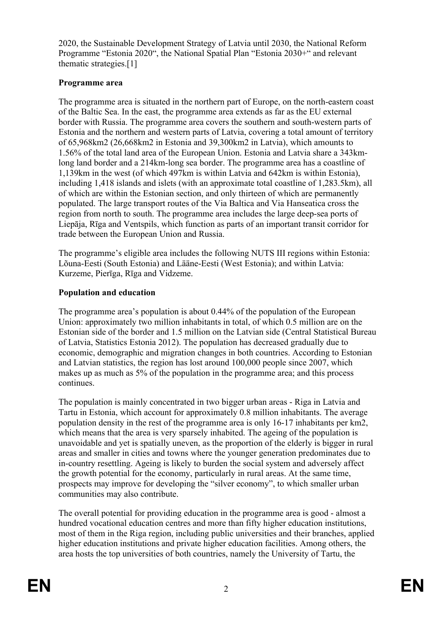2020, the Sustainable Development Strategy of Latvia until 2030, the National Reform Programme "Estonia 2020", the National Spatial Plan "Estonia 2030+" and relevant thematic strategies.[1]

### **Programme area**

The programme area is situated in the northern part of Europe, on the north-eastern coast of the Baltic Sea. In the east, the programme area extends as far as the EU external border with Russia. The programme area covers the southern and south-western parts of Estonia and the northern and western parts of Latvia, covering a total amount of territory of 65,968km2 (26,668km2 in Estonia and 39,300km2 in Latvia), which amounts to 1.56% of the total land area of the European Union. Estonia and Latvia share a 343kmlong land border and a 214km-long sea border. The programme area has a coastline of 1,139km in the west (of which 497km is within Latvia and 642km is within Estonia), including 1,418 islands and islets (with an approximate total coastline of 1,283.5km), all of which are within the Estonian section, and only thirteen of which are permanently populated. The large transport routes of the Via Baltica and Via Hanseatica cross the region from north to south. The programme area includes the large deep-sea ports of Liepāja, Rīga and Ventspils, which function as parts of an important transit corridor for trade between the European Union and Russia.

The programme's eligible area includes the following NUTS III regions within Estonia: Lõuna-Eesti (South Estonia) and Lääne-Eesti (West Estonia); and within Latvia: Kurzeme, Pierīga, Rīga and Vidzeme.

### **Population and education**

The programme area's population is about 0.44% of the population of the European Union: approximately two million inhabitants in total, of which 0.5 million are on the Estonian side of the border and 1.5 million on the Latvian side (Central Statistical Bureau of Latvia, Statistics Estonia 2012). The population has decreased gradually due to economic, demographic and migration changes in both countries. According to Estonian and Latvian statistics, the region has lost around 100,000 people since 2007, which makes up as much as 5% of the population in the programme area; and this process continues.

The population is mainly concentrated in two bigger urban areas - Riga in Latvia and Tartu in Estonia, which account for approximately 0.8 million inhabitants. The average population density in the rest of the programme area is only 16-17 inhabitants per km2, which means that the area is very sparsely inhabited. The ageing of the population is unavoidable and yet is spatially uneven, as the proportion of the elderly is bigger in rural areas and smaller in cities and towns where the younger generation predominates due to in-country resettling. Ageing is likely to burden the social system and adversely affect the growth potential for the economy, particularly in rural areas. At the same time, prospects may improve for developing the "silver economy", to which smaller urban communities may also contribute.

The overall potential for providing education in the programme area is good - almost a hundred vocational education centres and more than fifty higher education institutions, most of them in the Riga region, including public universities and their branches, applied higher education institutions and private higher education facilities. Among others, the area hosts the top universities of both countries, namely the University of Tartu, the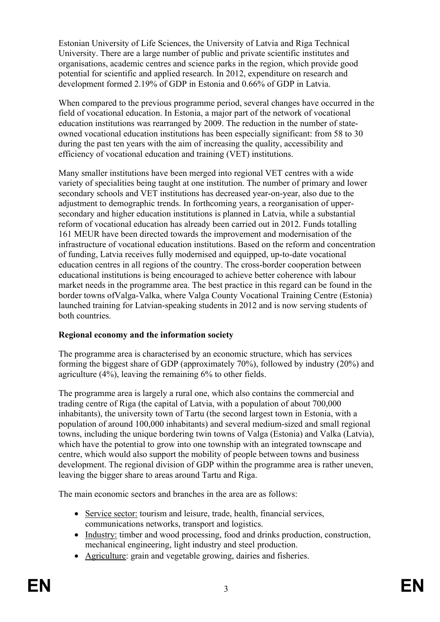Estonian University of Life Sciences, the University of Latvia and Riga Technical University. There are a large number of public and private scientific institutes and organisations, academic centres and science parks in the region, which provide good potential for scientific and applied research. In 2012, expenditure on research and development formed 2.19% of GDP in Estonia and 0.66% of GDP in Latvia.

When compared to the previous programme period, several changes have occurred in the field of vocational education. In Estonia, a major part of the network of vocational education institutions was rearranged by 2009. The reduction in the number of stateowned vocational education institutions has been especially significant: from 58 to 30 during the past ten years with the aim of increasing the quality, accessibility and efficiency of vocational education and training (VET) institutions.

Many smaller institutions have been merged into regional VET centres with a wide variety of specialities being taught at one institution. The number of primary and lower secondary schools and VET institutions has decreased year-on-year, also due to the adjustment to demographic trends. In forthcoming years, a reorganisation of uppersecondary and higher education institutions is planned in Latvia, while a substantial reform of vocational education has already been carried out in 2012. Funds totalling 161 MEUR have been directed towards the improvement and modernisation of the infrastructure of vocational education institutions. Based on the reform and concentration of funding, Latvia receives fully modernised and equipped, up-to-date vocational education centres in all regions of the country. The cross-border cooperation between educational institutions is being encouraged to achieve better coherence with labour market needs in the programme area. The best practice in this regard can be found in the border towns ofValga-Valka, where Valga County Vocational Training Centre (Estonia) launched training for Latvian-speaking students in 2012 and is now serving students of both countries.

### **Regional economy and the information society**

The programme area is characterised by an economic structure, which has services forming the biggest share of GDP (approximately 70%), followed by industry (20%) and agriculture (4%), leaving the remaining 6% to other fields.

The programme area is largely a rural one, which also contains the commercial and trading centre of Riga (the capital of Latvia, with a population of about 700,000 inhabitants), the university town of Tartu (the second largest town in Estonia, with a population of around 100,000 inhabitants) and several medium-sized and small regional towns, including the unique bordering twin towns of Valga (Estonia) and Valka (Latvia), which have the potential to grow into one township with an integrated townscape and centre, which would also support the mobility of people between towns and business development. The regional division of GDP within the programme area is rather uneven, leaving the bigger share to areas around Tartu and Riga.

The main economic sectors and branches in the area are as follows:

- Service sector: tourism and leisure, trade, health, financial services, communications networks, transport and logistics.
- Industry: timber and wood processing, food and drinks production, construction, mechanical engineering, light industry and steel production.
- Agriculture: grain and vegetable growing, dairies and fisheries.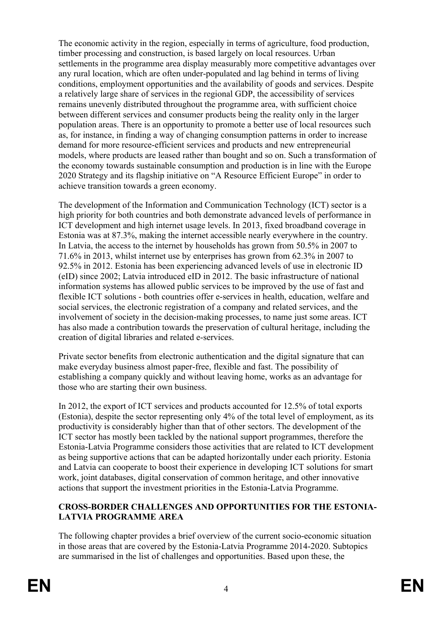The economic activity in the region, especially in terms of agriculture, food production, timber processing and construction, is based largely on local resources. Urban settlements in the programme area display measurably more competitive advantages over any rural location, which are often under-populated and lag behind in terms of living conditions, employment opportunities and the availability of goods and services. Despite a relatively large share of services in the regional GDP, the accessibility of services remains unevenly distributed throughout the programme area, with sufficient choice between different services and consumer products being the reality only in the larger population areas. There is an opportunity to promote a better use of local resources such as, for instance, in finding a way of changing consumption patterns in order to increase demand for more resource-efficient services and products and new entrepreneurial models, where products are leased rather than bought and so on. Such a transformation of the economy towards sustainable consumption and production is in line with the Europe 2020 Strategy and its flagship initiative on "A Resource Efficient Europe" in order to achieve transition towards a green economy.

The development of the Information and Communication Technology (ICT) sector is a high priority for both countries and both demonstrate advanced levels of performance in ICT development and high internet usage levels. In 2013, fixed broadband coverage in Estonia was at 87.3%, making the internet accessible nearly everywhere in the country. In Latvia, the access to the internet by households has grown from 50.5% in 2007 to 71.6% in 2013, whilst internet use by enterprises has grown from 62.3% in 2007 to 92.5% in 2012. Estonia has been experiencing advanced levels of use in electronic ID (eID) since 2002; Latvia introduced eID in 2012. The basic infrastructure of national information systems has allowed public services to be improved by the use of fast and flexible ICT solutions - both countries offer e-services in health, education, welfare and social services, the electronic registration of a company and related services, and the involvement of society in the decision-making processes, to name just some areas. ICT has also made a contribution towards the preservation of cultural heritage, including the creation of digital libraries and related e-services.

Private sector benefits from electronic authentication and the digital signature that can make everyday business almost paper-free, flexible and fast. The possibility of establishing a company quickly and without leaving home, works as an advantage for those who are starting their own business.

In 2012, the export of ICT services and products accounted for 12.5% of total exports (Estonia), despite the sector representing only 4% of the total level of employment, as its productivity is considerably higher than that of other sectors. The development of the ICT sector has mostly been tackled by the national support programmes, therefore the Estonia-Latvia Programme considers those activities that are related to ICT development as being supportive actions that can be adapted horizontally under each priority. Estonia and Latvia can cooperate to boost their experience in developing ICT solutions for smart work, joint databases, digital conservation of common heritage, and other innovative actions that support the investment priorities in the Estonia-Latvia Programme.

### **CROSS-BORDER CHALLENGES AND OPPORTUNITIES FOR THE ESTONIA-LATVIA PROGRAMME AREA**

The following chapter provides a brief overview of the current socio-economic situation in those areas that are covered by the Estonia-Latvia Programme 2014-2020. Subtopics are summarised in the list of challenges and opportunities. Based upon these, the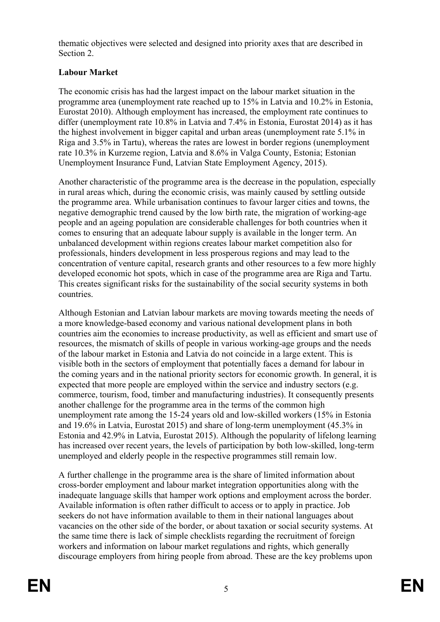thematic objectives were selected and designed into priority axes that are described in Section 2.

### **Labour Market**

The economic crisis has had the largest impact on the labour market situation in the programme area (unemployment rate reached up to 15% in Latvia and 10.2% in Estonia, Eurostat 2010). Although employment has increased, the employment rate continues to differ (unemployment rate 10.8% in Latvia and 7.4% in Estonia, Eurostat 2014) as it has the highest involvement in bigger capital and urban areas (unemployment rate 5.1% in Riga and 3.5% in Tartu), whereas the rates are lowest in border regions (unemployment rate 10.3% in Kurzeme region, Latvia and 8.6% in Valga County, Estonia; Estonian Unemployment Insurance Fund, Latvian State Employment Agency, 2015).

Another characteristic of the programme area is the decrease in the population, especially in rural areas which, during the economic crisis, was mainly caused by settling outside the programme area. While urbanisation continues to favour larger cities and towns, the negative demographic trend caused by the low birth rate, the migration of working-age people and an ageing population are considerable challenges for both countries when it comes to ensuring that an adequate labour supply is available in the longer term. An unbalanced development within regions creates labour market competition also for professionals, hinders development in less prosperous regions and may lead to the concentration of venture capital, research grants and other resources to a few more highly developed economic hot spots, which in case of the programme area are Riga and Tartu. This creates significant risks for the sustainability of the social security systems in both countries.

Although Estonian and Latvian labour markets are moving towards meeting the needs of a more knowledge-based economy and various national development plans in both countries aim the economies to increase productivity, as well as efficient and smart use of resources, the mismatch of skills of people in various working-age groups and the needs of the labour market in Estonia and Latvia do not coincide in a large extent. This is visible both in the sectors of employment that potentially faces a demand for labour in the coming years and in the national priority sectors for economic growth. In general, it is expected that more people are employed within the service and industry sectors (e.g. commerce, tourism, food, timber and manufacturing industries). It consequently presents another challenge for the programme area in the terms of the common high unemployment rate among the 15-24 years old and low-skilled workers (15% in Estonia and 19.6% in Latvia, Eurostat 2015) and share of long-term unemployment (45.3% in Estonia and 42.9% in Latvia, Eurostat 2015). Although the popularity of lifelong learning has increased over recent years, the levels of participation by both low-skilled, long-term unemployed and elderly people in the respective programmes still remain low.

A further challenge in the programme area is the share of limited information about cross-border employment and labour market integration opportunities along with the inadequate language skills that hamper work options and employment across the border. Available information is often rather difficult to access or to apply in practice. Job seekers do not have information available to them in their national languages about vacancies on the other side of the border, or about taxation or social security systems. At the same time there is lack of simple checklists regarding the recruitment of foreign workers and information on labour market regulations and rights, which generally discourage employers from hiring people from abroad. These are the key problems upon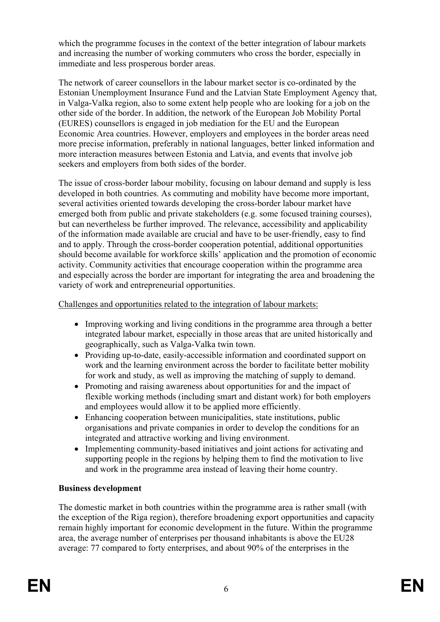which the programme focuses in the context of the better integration of labour markets and increasing the number of working commuters who cross the border, especially in immediate and less prosperous border areas.

The network of career counsellors in the labour market sector is co-ordinated by the Estonian Unemployment Insurance Fund and the Latvian State Employment Agency that, in Valga-Valka region, also to some extent help people who are looking for a job on the other side of the border. In addition, the network of the European Job Mobility Portal (EURES) counsellors is engaged in job mediation for the EU and the European Economic Area countries. However, employers and employees in the border areas need more precise information, preferably in national languages, better linked information and more interaction measures between Estonia and Latvia, and events that involve job seekers and employers from both sides of the border.

The issue of cross-border labour mobility, focusing on labour demand and supply is less developed in both countries. As commuting and mobility have become more important, several activities oriented towards developing the cross-border labour market have emerged both from public and private stakeholders (e.g. some focused training courses), but can nevertheless be further improved. The relevance, accessibility and applicability of the information made available are crucial and have to be user-friendly, easy to find and to apply. Through the cross-border cooperation potential, additional opportunities should become available for workforce skills' application and the promotion of economic activity. Community activities that encourage cooperation within the programme area and especially across the border are important for integrating the area and broadening the variety of work and entrepreneurial opportunities.

### Challenges and opportunities related to the integration of labour markets:

- Improving working and living conditions in the programme area through a better integrated labour market, especially in those areas that are united historically and geographically, such as Valga-Valka twin town.
- Providing up-to-date, easily-accessible information and coordinated support on work and the learning environment across the border to facilitate better mobility for work and study, as well as improving the matching of supply to demand.
- Promoting and raising awareness about opportunities for and the impact of flexible working methods (including smart and distant work) for both employers and employees would allow it to be applied more efficiently.
- Enhancing cooperation between municipalities, state institutions, public organisations and private companies in order to develop the conditions for an integrated and attractive working and living environment.
- Implementing community-based initiatives and joint actions for activating and supporting people in the regions by helping them to find the motivation to live and work in the programme area instead of leaving their home country.

### **Business development**

The domestic market in both countries within the programme area is rather small (with the exception of the Riga region), therefore broadening export opportunities and capacity remain highly important for economic development in the future. Within the programme area, the average number of enterprises per thousand inhabitants is above the EU28 average: 77 compared to forty enterprises, and about 90% of the enterprises in the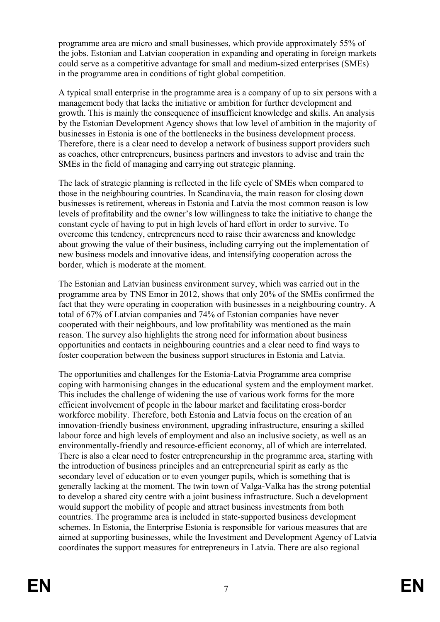programme area are micro and small businesses, which provide approximately 55% of the jobs. Estonian and Latvian cooperation in expanding and operating in foreign markets could serve as a competitive advantage for small and medium-sized enterprises (SMEs) in the programme area in conditions of tight global competition.

A typical small enterprise in the programme area is a company of up to six persons with a management body that lacks the initiative or ambition for further development and growth. This is mainly the consequence of insufficient knowledge and skills. An analysis by the Estonian Development Agency shows that low level of ambition in the majority of businesses in Estonia is one of the bottlenecks in the business development process. Therefore, there is a clear need to develop a network of business support providers such as coaches, other entrepreneurs, business partners and investors to advise and train the SMEs in the field of managing and carrying out strategic planning.

The lack of strategic planning is reflected in the life cycle of SMEs when compared to those in the neighbouring countries. In Scandinavia, the main reason for closing down businesses is retirement, whereas in Estonia and Latvia the most common reason is low levels of profitability and the owner's low willingness to take the initiative to change the constant cycle of having to put in high levels of hard effort in order to survive. To overcome this tendency, entrepreneurs need to raise their awareness and knowledge about growing the value of their business, including carrying out the implementation of new business models and innovative ideas, and intensifying cooperation across the border, which is moderate at the moment.

The Estonian and Latvian business environment survey, which was carried out in the programme area by TNS Emor in 2012, shows that only 20% of the SMEs confirmed the fact that they were operating in cooperation with businesses in a neighbouring country. A total of 67% of Latvian companies and 74% of Estonian companies have never cooperated with their neighbours, and low profitability was mentioned as the main reason. The survey also highlights the strong need for information about business opportunities and contacts in neighbouring countries and a clear need to find ways to foster cooperation between the business support structures in Estonia and Latvia.

The opportunities and challenges for the Estonia-Latvia Programme area comprise coping with harmonising changes in the educational system and the employment market. This includes the challenge of widening the use of various work forms for the more efficient involvement of people in the labour market and facilitating cross-border workforce mobility. Therefore, both Estonia and Latvia focus on the creation of an innovation-friendly business environment, upgrading infrastructure, ensuring a skilled labour force and high levels of employment and also an inclusive society, as well as an environmentally-friendly and resource-efficient economy, all of which are interrelated. There is also a clear need to foster entrepreneurship in the programme area, starting with the introduction of business principles and an entrepreneurial spirit as early as the secondary level of education or to even younger pupils, which is something that is generally lacking at the moment. The twin town of Valga-Valka has the strong potential to develop a shared city centre with a joint business infrastructure. Such a development would support the mobility of people and attract business investments from both countries. The programme area is included in state-supported business development schemes. In Estonia, the Enterprise Estonia is responsible for various measures that are aimed at supporting businesses, while the Investment and Development Agency of Latvia coordinates the support measures for entrepreneurs in Latvia. There are also regional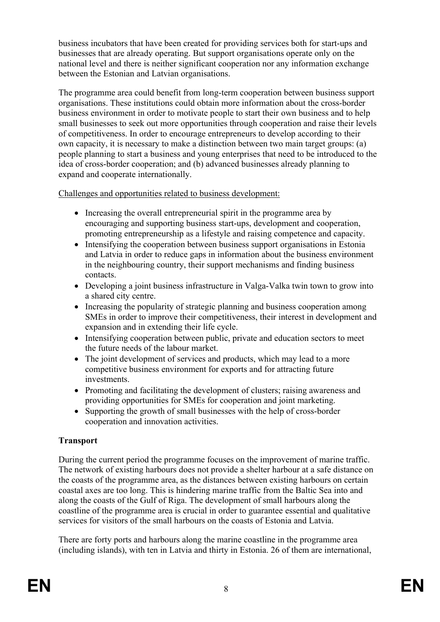business incubators that have been created for providing services both for start-ups and businesses that are already operating. But support organisations operate only on the national level and there is neither significant cooperation nor any information exchange between the Estonian and Latvian organisations.

The programme area could benefit from long-term cooperation between business support organisations. These institutions could obtain more information about the cross-border business environment in order to motivate people to start their own business and to help small businesses to seek out more opportunities through cooperation and raise their levels of competitiveness. In order to encourage entrepreneurs to develop according to their own capacity, it is necessary to make a distinction between two main target groups: (a) people planning to start a business and young enterprises that need to be introduced to the idea of cross-border cooperation; and (b) advanced businesses already planning to expand and cooperate internationally.

Challenges and opportunities related to business development:

- Increasing the overall entrepreneurial spirit in the programme area by encouraging and supporting business start-ups, development and cooperation, promoting entrepreneurship as a lifestyle and raising competence and capacity.
- Intensifying the cooperation between business support organisations in Estonia and Latvia in order to reduce gaps in information about the business environment in the neighbouring country, their support mechanisms and finding business contacts.
- Developing a joint business infrastructure in Valga-Valka twin town to grow into a shared city centre.
- Increasing the popularity of strategic planning and business cooperation among SMEs in order to improve their competitiveness, their interest in development and expansion and in extending their life cycle.
- Intensifying cooperation between public, private and education sectors to meet the future needs of the labour market.
- The joint development of services and products, which may lead to a more competitive business environment for exports and for attracting future investments.
- Promoting and facilitating the development of clusters; raising awareness and providing opportunities for SMEs for cooperation and joint marketing.
- Supporting the growth of small businesses with the help of cross-border cooperation and innovation activities.

### **Transport**

During the current period the programme focuses on the improvement of marine traffic. The network of existing harbours does not provide a shelter harbour at a safe distance on the coasts of the programme area, as the distances between existing harbours on certain coastal axes are too long. This is hindering marine traffic from the Baltic Sea into and along the coasts of the Gulf of Riga. The development of small harbours along the coastline of the programme area is crucial in order to guarantee essential and qualitative services for visitors of the small harbours on the coasts of Estonia and Latvia.

There are forty ports and harbours along the marine coastline in the programme area (including islands), with ten in Latvia and thirty in Estonia. 26 of them are international,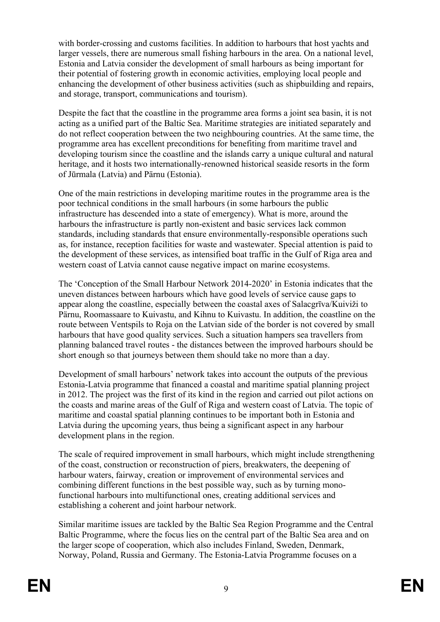with border-crossing and customs facilities. In addition to harbours that host yachts and larger vessels, there are numerous small fishing harbours in the area. On a national level, Estonia and Latvia consider the development of small harbours as being important for their potential of fostering growth in economic activities, employing local people and enhancing the development of other business activities (such as shipbuilding and repairs, and storage, transport, communications and tourism).

Despite the fact that the coastline in the programme area forms a joint sea basin, it is not acting as a unified part of the Baltic Sea. Maritime strategies are initiated separately and do not reflect cooperation between the two neighbouring countries. At the same time, the programme area has excellent preconditions for benefiting from maritime travel and developing tourism since the coastline and the islands carry a unique cultural and natural heritage, and it hosts two internationally-renowned historical seaside resorts in the form of Jūrmala (Latvia) and Pärnu (Estonia).

One of the main restrictions in developing maritime routes in the programme area is the poor technical conditions in the small harbours (in some harbours the public infrastructure has descended into a state of emergency). What is more, around the harbours the infrastructure is partly non-existent and basic services lack common standards, including standards that ensure environmentally-responsible operations such as, for instance, reception facilities for waste and wastewater. Special attention is paid to the development of these services, as intensified boat traffic in the Gulf of Riga area and western coast of Latvia cannot cause negative impact on marine ecosystems.

The 'Conception of the Small Harbour Network 2014-2020' in Estonia indicates that the uneven distances between harbours which have good levels of service cause gaps to appear along the coastline, especially between the coastal axes of Salacgrīva/Kuiviži to Pärnu, Roomassaare to Kuivastu, and Kihnu to Kuivastu. In addition, the coastline on the route between Ventspils to Roja on the Latvian side of the border is not covered by small harbours that have good quality services. Such a situation hampers sea travellers from planning balanced travel routes - the distances between the improved harbours should be short enough so that journeys between them should take no more than a day.

Development of small harbours' network takes into account the outputs of the previous Estonia-Latvia programme that financed a coastal and maritime spatial planning project in 2012. The project was the first of its kind in the region and carried out pilot actions on the coasts and marine areas of the Gulf of Riga and western coast of Latvia. The topic of maritime and coastal spatial planning continues to be important both in Estonia and Latvia during the upcoming years, thus being a significant aspect in any harbour development plans in the region.

The scale of required improvement in small harbours, which might include strengthening of the coast, construction or reconstruction of piers, breakwaters, the deepening of harbour waters, fairway, creation or improvement of environmental services and combining different functions in the best possible way, such as by turning monofunctional harbours into multifunctional ones, creating additional services and establishing a coherent and joint harbour network.

Similar maritime issues are tackled by the Baltic Sea Region Programme and the Central Baltic Programme, where the focus lies on the central part of the Baltic Sea area and on the larger scope of cooperation, which also includes Finland, Sweden, Denmark, Norway, Poland, Russia and Germany. The Estonia-Latvia Programme focuses on a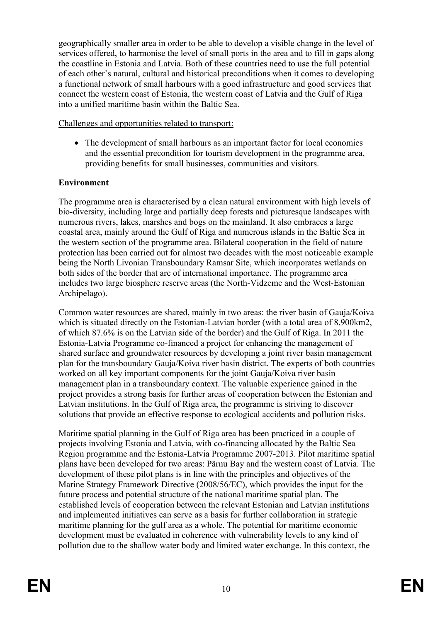geographically smaller area in order to be able to develop a visible change in the level of services offered, to harmonise the level of small ports in the area and to fill in gaps along the coastline in Estonia and Latvia. Both of these countries need to use the full potential of each other's natural, cultural and historical preconditions when it comes to developing a functional network of small harbours with a good infrastructure and good services that connect the western coast of Estonia, the western coast of Latvia and the Gulf of Riga into a unified maritime basin within the Baltic Sea.

#### Challenges and opportunities related to transport:

• The development of small harbours as an important factor for local economies and the essential precondition for tourism development in the programme area, providing benefits for small businesses, communities and visitors.

### **Environment**

The programme area is characterised by a clean natural environment with high levels of bio-diversity, including large and partially deep forests and picturesque landscapes with numerous rivers, lakes, marshes and bogs on the mainland. It also embraces a large coastal area, mainly around the Gulf of Riga and numerous islands in the Baltic Sea in the western section of the programme area. Bilateral cooperation in the field of nature protection has been carried out for almost two decades with the most noticeable example being the North Livonian Transboundary Ramsar Site, which incorporates wetlands on both sides of the border that are of international importance. The programme area includes two large biosphere reserve areas (the North-Vidzeme and the West-Estonian Archipelago).

Common water resources are shared, mainly in two areas: the river basin of Gauja/Koiva which is situated directly on the Estonian-Latvian border (with a total area of 8,900km2, of which 87.6% is on the Latvian side of the border) and the Gulf of Riga. In 2011 the Estonia-Latvia Programme co-financed a project for enhancing the management of shared surface and groundwater resources by developing a joint river basin management plan for the transboundary Gauja/Koiva river basin district. The experts of both countries worked on all key important components for the joint Gauja/Koiva river basin management plan in a transboundary context. The valuable experience gained in the project provides a strong basis for further areas of cooperation between the Estonian and Latvian institutions. In the Gulf of Riga area, the programme is striving to discover solutions that provide an effective response to ecological accidents and pollution risks.

Maritime spatial planning in the Gulf of Riga area has been practiced in a couple of projects involving Estonia and Latvia, with co-financing allocated by the Baltic Sea Region programme and the Estonia-Latvia Programme 2007-2013. Pilot maritime spatial plans have been developed for two areas: Pärnu Bay and the western coast of Latvia. The development of these pilot plans is in line with the principles and objectives of the Marine Strategy Framework Directive (2008/56/EC), which provides the input for the future process and potential structure of the national maritime spatial plan. The established levels of cooperation between the relevant Estonian and Latvian institutions and implemented initiatives can serve as a basis for further collaboration in strategic maritime planning for the gulf area as a whole. The potential for maritime economic development must be evaluated in coherence with vulnerability levels to any kind of pollution due to the shallow water body and limited water exchange. In this context, the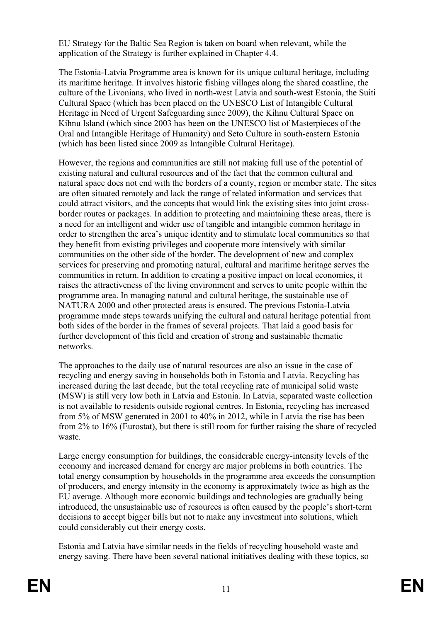EU Strategy for the Baltic Sea Region is taken on board when relevant, while the application of the Strategy is further explained in Chapter 4.4.

The Estonia-Latvia Programme area is known for its unique cultural heritage, including its maritime heritage. It involves historic fishing villages along the shared coastline, the culture of the Livonians, who lived in north-west Latvia and south-west Estonia, the Suiti Cultural Space (which has been placed on the UNESCO List of Intangible Cultural Heritage in Need of Urgent Safeguarding since 2009), the Kihnu Cultural Space on Kihnu Island (which since 2003 has been on the UNESCO list of Masterpieces of the Oral and Intangible Heritage of Humanity) and Seto Culture in south-eastern Estonia (which has been listed since 2009 as Intangible Cultural Heritage).

However, the regions and communities are still not making full use of the potential of existing natural and cultural resources and of the fact that the common cultural and natural space does not end with the borders of a county, region or member state. The sites are often situated remotely and lack the range of related information and services that could attract visitors, and the concepts that would link the existing sites into joint crossborder routes or packages. In addition to protecting and maintaining these areas, there is a need for an intelligent and wider use of tangible and intangible common heritage in order to strengthen the area's unique identity and to stimulate local communities so that they benefit from existing privileges and cooperate more intensively with similar communities on the other side of the border. The development of new and complex services for preserving and promoting natural, cultural and maritime heritage serves the communities in return. In addition to creating a positive impact on local economies, it raises the attractiveness of the living environment and serves to unite people within the programme area. In managing natural and cultural heritage, the sustainable use of NATURA 2000 and other protected areas is ensured. The previous Estonia-Latvia programme made steps towards unifying the cultural and natural heritage potential from both sides of the border in the frames of several projects. That laid a good basis for further development of this field and creation of strong and sustainable thematic networks.

The approaches to the daily use of natural resources are also an issue in the case of recycling and energy saving in households both in Estonia and Latvia. Recycling has increased during the last decade, but the total recycling rate of municipal solid waste (MSW) is still very low both in Latvia and Estonia. In Latvia, separated waste collection is not available to residents outside regional centres. In Estonia, recycling has increased from 5% of MSW generated in 2001 to 40% in 2012, while in Latvia the rise has been from 2% to 16% (Eurostat), but there is still room for further raising the share of recycled waste.

Large energy consumption for buildings, the considerable energy-intensity levels of the economy and increased demand for energy are major problems in both countries. The total energy consumption by households in the programme area exceeds the consumption of producers, and energy intensity in the economy is approximately twice as high as the EU average. Although more economic buildings and technologies are gradually being introduced, the unsustainable use of resources is often caused by the people's short-term decisions to accept bigger bills but not to make any investment into solutions, which could considerably cut their energy costs.

Estonia and Latvia have similar needs in the fields of recycling household waste and energy saving. There have been several national initiatives dealing with these topics, so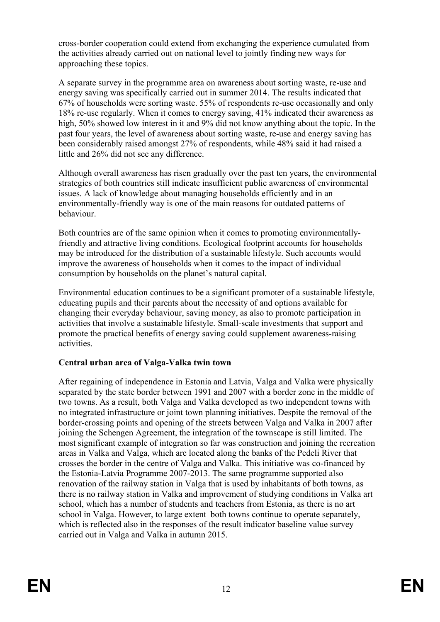cross-border cooperation could extend from exchanging the experience cumulated from the activities already carried out on national level to jointly finding new ways for approaching these topics.

A separate survey in the programme area on awareness about sorting waste, re-use and energy saving was specifically carried out in summer 2014. The results indicated that 67% of households were sorting waste. 55% of respondents re-use occasionally and only 18% re-use regularly. When it comes to energy saving, 41% indicated their awareness as high, 50% showed low interest in it and 9% did not know anything about the topic. In the past four years, the level of awareness about sorting waste, re-use and energy saving has been considerably raised amongst 27% of respondents, while 48% said it had raised a little and 26% did not see any difference.

Although overall awareness has risen gradually over the past ten years, the environmental strategies of both countries still indicate insufficient public awareness of environmental issues. A lack of knowledge about managing households efficiently and in an environmentally-friendly way is one of the main reasons for outdated patterns of behaviour.

Both countries are of the same opinion when it comes to promoting environmentallyfriendly and attractive living conditions. Ecological footprint accounts for households may be introduced for the distribution of a sustainable lifestyle. Such accounts would improve the awareness of households when it comes to the impact of individual consumption by households on the planet's natural capital.

Environmental education continues to be a significant promoter of a sustainable lifestyle, educating pupils and their parents about the necessity of and options available for changing their everyday behaviour, saving money, as also to promote participation in activities that involve a sustainable lifestyle. Small-scale investments that support and promote the practical benefits of energy saving could supplement awareness-raising activities.

### **Central urban area of Valga-Valka twin town**

After regaining of independence in Estonia and Latvia, Valga and Valka were physically separated by the state border between 1991 and 2007 with a border zone in the middle of two towns. As a result, both Valga and Valka developed as two independent towns with no integrated infrastructure or joint town planning initiatives. Despite the removal of the border-crossing points and opening of the streets between Valga and Valka in 2007 after joining the Schengen Agreement, the integration of the townscape is still limited. The most significant example of integration so far was construction and joining the recreation areas in Valka and Valga, which are located along the banks of the Pedeli River that crosses the border in the centre of Valga and Valka. This initiative was co-financed by the Estonia-Latvia Programme 2007-2013. The same programme supported also renovation of the railway station in Valga that is used by inhabitants of both towns, as there is no railway station in Valka and improvement of studying conditions in Valka art school, which has a number of students and teachers from Estonia, as there is no art school in Valga. However, to large extent both towns continue to operate separately, which is reflected also in the responses of the result indicator baseline value survey carried out in Valga and Valka in autumn 2015.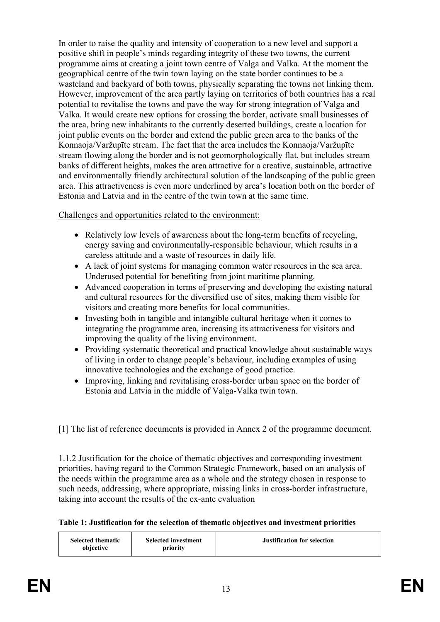In order to raise the quality and intensity of cooperation to a new level and support a positive shift in people's minds regarding integrity of these two towns, the current programme aims at creating a joint town centre of Valga and Valka. At the moment the geographical centre of the twin town laying on the state border continues to be a wasteland and backyard of both towns, physically separating the towns not linking them. However, improvement of the area partly laying on territories of both countries has a real potential to revitalise the towns and pave the way for strong integration of Valga and Valka. It would create new options for crossing the border, activate small businesses of the area, bring new inhabitants to the currently deserted buildings, create a location for joint public events on the border and extend the public green area to the banks of the Konnaoja/Varžupīte stream. The fact that the area includes the Konnaoja/Varžupīte stream flowing along the border and is not geomorphologically flat, but includes stream banks of different heights, makes the area attractive for a creative, sustainable, attractive and environmentally friendly architectural solution of the landscaping of the public green area. This attractiveness is even more underlined by area's location both on the border of Estonia and Latvia and in the centre of the twin town at the same time.

### Challenges and opportunities related to the environment:

- Relatively low levels of awareness about the long-term benefits of recycling, energy saving and environmentally-responsible behaviour, which results in a careless attitude and a waste of resources in daily life.
- A lack of joint systems for managing common water resources in the sea area. Underused potential for benefiting from joint maritime planning.
- Advanced cooperation in terms of preserving and developing the existing natural and cultural resources for the diversified use of sites, making them visible for visitors and creating more benefits for local communities.
- Investing both in tangible and intangible cultural heritage when it comes to integrating the programme area, increasing its attractiveness for visitors and improving the quality of the living environment.
- Providing systematic theoretical and practical knowledge about sustainable ways of living in order to change people's behaviour, including examples of using innovative technologies and the exchange of good practice.
- Improving, linking and revitalising cross-border urban space on the border of Estonia and Latvia in the middle of Valga-Valka twin town.

[1] The list of reference documents is provided in Annex 2 of the programme document.

1.1.2 Justification for the choice of thematic objectives and corresponding investment priorities, having regard to the Common Strategic Framework, based on an analysis of the needs within the programme area as a whole and the strategy chosen in response to such needs, addressing, where appropriate, missing links in cross-border infrastructure, taking into account the results of the ex-ante evaluation

#### **Table 1: Justification for the selection of thematic objectives and investment priorities**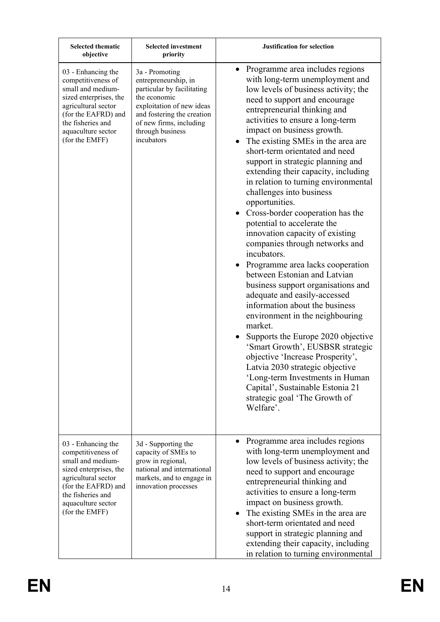| <b>Selected thematic</b><br>objective                                                                                                                                                              | <b>Selected investment</b><br>priority                                                                                                                                                                       | <b>Justification for selection</b>                                                                                                                                                                                                                                                                                                                                                                                                                                                                                                                                                                                                                                                                                                                                                                                                                                                                                                                                                                                                                                                                                                                         |
|----------------------------------------------------------------------------------------------------------------------------------------------------------------------------------------------------|--------------------------------------------------------------------------------------------------------------------------------------------------------------------------------------------------------------|------------------------------------------------------------------------------------------------------------------------------------------------------------------------------------------------------------------------------------------------------------------------------------------------------------------------------------------------------------------------------------------------------------------------------------------------------------------------------------------------------------------------------------------------------------------------------------------------------------------------------------------------------------------------------------------------------------------------------------------------------------------------------------------------------------------------------------------------------------------------------------------------------------------------------------------------------------------------------------------------------------------------------------------------------------------------------------------------------------------------------------------------------------|
| 03 - Enhancing the<br>competitiveness of<br>small and medium-<br>sized enterprises, the<br>agricultural sector<br>(for the EAFRD) and<br>the fisheries and<br>aquaculture sector<br>(for the EMFF) | 3a - Promoting<br>entrepreneurship, in<br>particular by facilitating<br>the economic<br>exploitation of new ideas<br>and fostering the creation<br>of new firms, including<br>through business<br>incubators | Programme area includes regions<br>with long-term unemployment and<br>low levels of business activity; the<br>need to support and encourage<br>entrepreneurial thinking and<br>activities to ensure a long-term<br>impact on business growth.<br>The existing SMEs in the area are<br>short-term orientated and need<br>support in strategic planning and<br>extending their capacity, including<br>in relation to turning environmental<br>challenges into business<br>opportunities.<br>Cross-border cooperation has the<br>$\bullet$<br>potential to accelerate the<br>innovation capacity of existing<br>companies through networks and<br>incubators.<br>Programme area lacks cooperation<br>between Estonian and Latvian<br>business support organisations and<br>adequate and easily-accessed<br>information about the business<br>environment in the neighbouring<br>market.<br>Supports the Europe 2020 objective<br>'Smart Growth', EUSBSR strategic<br>objective 'Increase Prosperity',<br>Latvia 2030 strategic objective<br>'Long-term Investments in Human<br>Capital', Sustainable Estonia 21<br>strategic goal 'The Growth of<br>Welfare'. |
| 03 - Enhancing the<br>competitiveness of<br>small and medium-<br>sized enterprises, the<br>agricultural sector<br>(for the EAFRD) and<br>the fisheries and<br>aquaculture sector<br>(for the EMFF) | 3d - Supporting the<br>capacity of SMEs to<br>grow in regional,<br>national and international<br>markets, and to engage in<br>innovation processes                                                           | Programme area includes regions<br>with long-term unemployment and<br>low levels of business activity; the<br>need to support and encourage<br>entrepreneurial thinking and<br>activities to ensure a long-term<br>impact on business growth.<br>The existing SMEs in the area are<br>short-term orientated and need<br>support in strategic planning and<br>extending their capacity, including<br>in relation to turning environmental                                                                                                                                                                                                                                                                                                                                                                                                                                                                                                                                                                                                                                                                                                                   |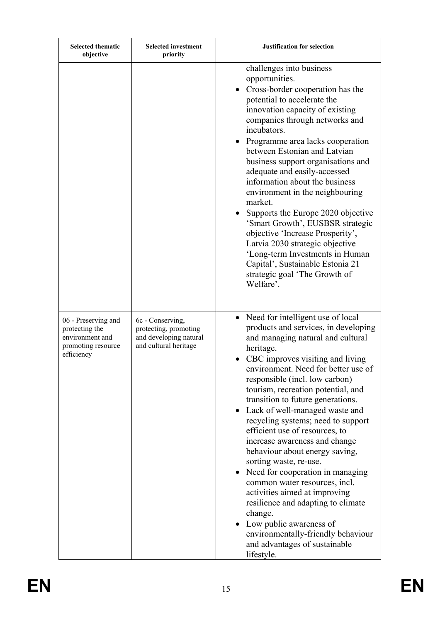| <b>Selected thematic</b><br>objective                                                        | <b>Selected investment</b><br>priority                                                       | <b>Justification for selection</b>                                                                                                                                                                                                                                                                                                                                                                                                                                                                                                                                                                                                                                                                                                                                                                                            |
|----------------------------------------------------------------------------------------------|----------------------------------------------------------------------------------------------|-------------------------------------------------------------------------------------------------------------------------------------------------------------------------------------------------------------------------------------------------------------------------------------------------------------------------------------------------------------------------------------------------------------------------------------------------------------------------------------------------------------------------------------------------------------------------------------------------------------------------------------------------------------------------------------------------------------------------------------------------------------------------------------------------------------------------------|
|                                                                                              |                                                                                              | challenges into business<br>opportunities.<br>Cross-border cooperation has the<br>potential to accelerate the<br>innovation capacity of existing<br>companies through networks and<br>incubators.<br>Programme area lacks cooperation<br>$\bullet$<br>between Estonian and Latvian<br>business support organisations and<br>adequate and easily-accessed<br>information about the business<br>environment in the neighbouring<br>market.<br>Supports the Europe 2020 objective<br>'Smart Growth', EUSBSR strategic<br>objective 'Increase Prosperity',<br>Latvia 2030 strategic objective<br>'Long-term Investments in Human<br>Capital', Sustainable Estonia 21<br>strategic goal 'The Growth of<br>Welfare'.                                                                                                                |
| 06 - Preserving and<br>protecting the<br>environment and<br>promoting resource<br>efficiency | 6c - Conserving,<br>protecting, promoting<br>and developing natural<br>and cultural heritage | Need for intelligent use of local<br>$\bullet$<br>products and services, in developing<br>and managing natural and cultural<br>heritage.<br>CBC improves visiting and living<br>environment. Need for better use of<br>responsible (incl. low carbon)<br>tourism, recreation potential, and<br>transition to future generations.<br>Lack of well-managed waste and<br>$\bullet$<br>recycling systems; need to support<br>efficient use of resources, to<br>increase awareness and change<br>behaviour about energy saving,<br>sorting waste, re-use.<br>• Need for cooperation in managing<br>common water resources, incl.<br>activities aimed at improving<br>resilience and adapting to climate<br>change.<br>Low public awareness of<br>environmentally-friendly behaviour<br>and advantages of sustainable<br>lifestyle. |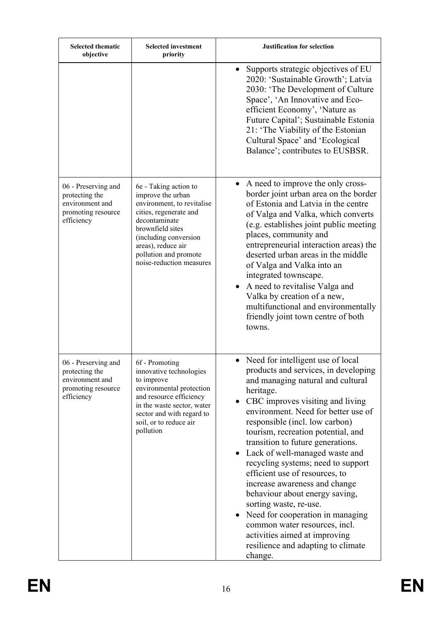| <b>Selected thematic</b><br>objective                                                        | <b>Selected investment</b><br>priority                                                                                                                                                                                                      | <b>Justification for selection</b>                                                                                                                                                                                                                                                                                                                                                                                                                                                                                                                                                                                                                                                  |
|----------------------------------------------------------------------------------------------|---------------------------------------------------------------------------------------------------------------------------------------------------------------------------------------------------------------------------------------------|-------------------------------------------------------------------------------------------------------------------------------------------------------------------------------------------------------------------------------------------------------------------------------------------------------------------------------------------------------------------------------------------------------------------------------------------------------------------------------------------------------------------------------------------------------------------------------------------------------------------------------------------------------------------------------------|
|                                                                                              |                                                                                                                                                                                                                                             | Supports strategic objectives of EU<br>$\bullet$<br>2020: 'Sustainable Growth'; Latvia<br>2030: 'The Development of Culture<br>Space', 'An Innovative and Eco-<br>efficient Economy', 'Nature as<br>Future Capital'; Sustainable Estonia<br>21: 'The Viability of the Estonian<br>Cultural Space' and 'Ecological<br>Balance'; contributes to EUSBSR.                                                                                                                                                                                                                                                                                                                               |
| 06 - Preserving and<br>protecting the<br>environment and<br>promoting resource<br>efficiency | 6e - Taking action to<br>improve the urban<br>environment, to revitalise<br>cities, regenerate and<br>decontaminate<br>brownfield sites<br>(including conversion<br>areas), reduce air<br>pollution and promote<br>noise-reduction measures | A need to improve the only cross-<br>border joint urban area on the border<br>of Estonia and Latvia in the centre<br>of Valga and Valka, which converts<br>(e.g. establishes joint public meeting)<br>places, community and<br>entrepreneurial interaction areas) the<br>deserted urban areas in the middle<br>of Valga and Valka into an<br>integrated townscape.<br>A need to revitalise Valga and<br>Valka by creation of a new,<br>multifunctional and environmentally<br>friendly joint town centre of both<br>towns.                                                                                                                                                          |
| 06 - Preserving and<br>protecting the<br>environment and<br>promoting resource<br>efficiency | 6f - Promoting<br>innovative technologies<br>to improve<br>environmental protection<br>and resource efficiency<br>in the waste sector, water<br>sector and with regard to<br>soil, or to reduce air<br>pollution                            | • Need for intelligent use of local<br>products and services, in developing<br>and managing natural and cultural<br>heritage.<br>CBC improves visiting and living<br>environment. Need for better use of<br>responsible (incl. low carbon)<br>tourism, recreation potential, and<br>transition to future generations.<br>Lack of well-managed waste and<br>recycling systems; need to support<br>efficient use of resources, to<br>increase awareness and change<br>behaviour about energy saving,<br>sorting waste, re-use.<br>Need for cooperation in managing<br>common water resources, incl.<br>activities aimed at improving<br>resilience and adapting to climate<br>change. |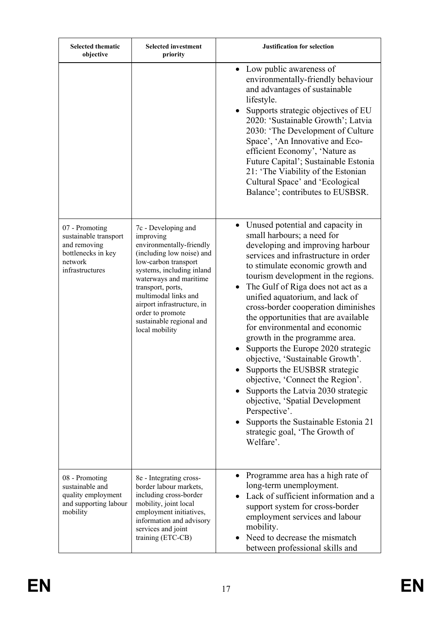| <b>Selected thematic</b><br>objective                                                                       | <b>Selected investment</b><br>priority                                                                                                                                                                                                                                                                                | <b>Justification for selection</b>                                                                                                                                                                                                                                                                                                                                                                                                                                                                                                                                                                                                                                                                                                                                                             |
|-------------------------------------------------------------------------------------------------------------|-----------------------------------------------------------------------------------------------------------------------------------------------------------------------------------------------------------------------------------------------------------------------------------------------------------------------|------------------------------------------------------------------------------------------------------------------------------------------------------------------------------------------------------------------------------------------------------------------------------------------------------------------------------------------------------------------------------------------------------------------------------------------------------------------------------------------------------------------------------------------------------------------------------------------------------------------------------------------------------------------------------------------------------------------------------------------------------------------------------------------------|
|                                                                                                             |                                                                                                                                                                                                                                                                                                                       | • Low public awareness of<br>environmentally-friendly behaviour<br>and advantages of sustainable<br>lifestyle.<br>Supports strategic objectives of EU<br>2020: 'Sustainable Growth'; Latvia<br>2030: 'The Development of Culture<br>Space', 'An Innovative and Eco-<br>efficient Economy', 'Nature as<br>Future Capital'; Sustainable Estonia<br>21: 'The Viability of the Estonian<br>Cultural Space' and 'Ecological<br>Balance'; contributes to EUSBSR.                                                                                                                                                                                                                                                                                                                                     |
| 07 - Promoting<br>sustainable transport<br>and removing<br>bottlenecks in key<br>network<br>infrastructures | 7c - Developing and<br>improving<br>environmentally-friendly<br>(including low noise) and<br>low-carbon transport<br>systems, including inland<br>waterways and maritime<br>transport, ports,<br>multimodal links and<br>airport infrastructure, in<br>order to promote<br>sustainable regional and<br>local mobility | • Unused potential and capacity in<br>small harbours; a need for<br>developing and improving harbour<br>services and infrastructure in order<br>to stimulate economic growth and<br>tourism development in the regions.<br>The Gulf of Riga does not act as a<br>$\bullet$<br>unified aquatorium, and lack of<br>cross-border cooperation diminishes<br>the opportunities that are available<br>for environmental and economic<br>growth in the programme area.<br>Supports the Europe 2020 strategic<br>objective, 'Sustainable Growth'.<br>Supports the EUSBSR strategic<br>objective, 'Connect the Region'.<br>Supports the Latvia 2030 strategic<br>objective, 'Spatial Development<br>Perspective'.<br>Supports the Sustainable Estonia 21<br>strategic goal, 'The Growth of<br>Welfare'. |
| 08 - Promoting<br>sustainable and<br>quality employment<br>and supporting labour<br>mobility                | 8e - Integrating cross-<br>border labour markets,<br>including cross-border<br>mobility, joint local<br>employment initiatives,<br>information and advisory<br>services and joint<br>training (ETC-CB)                                                                                                                | Programme area has a high rate of<br>long-term unemployment.<br>Lack of sufficient information and a<br>support system for cross-border<br>employment services and labour<br>mobility.<br>Need to decrease the mismatch<br>between professional skills and                                                                                                                                                                                                                                                                                                                                                                                                                                                                                                                                     |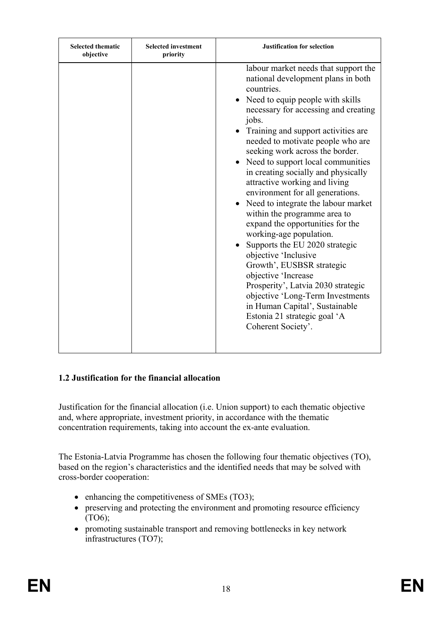| <b>Selected thematic</b><br>objective | <b>Selected investment</b><br>priority | <b>Justification for selection</b>                                                                                                                                                                                                                                                                                                                                                                                                                                                                                                                                                                                                                                                                                                                                                                                                                                       |
|---------------------------------------|----------------------------------------|--------------------------------------------------------------------------------------------------------------------------------------------------------------------------------------------------------------------------------------------------------------------------------------------------------------------------------------------------------------------------------------------------------------------------------------------------------------------------------------------------------------------------------------------------------------------------------------------------------------------------------------------------------------------------------------------------------------------------------------------------------------------------------------------------------------------------------------------------------------------------|
|                                       |                                        | labour market needs that support the<br>national development plans in both<br>countries.<br>• Need to equip people with skills<br>necessary for accessing and creating<br>jobs.<br>Training and support activities are.<br>needed to motivate people who are<br>seeking work across the border.<br>• Need to support local communities<br>in creating socially and physically<br>attractive working and living<br>environment for all generations.<br>Need to integrate the labour market<br>within the programme area to<br>expand the opportunities for the<br>working-age population.<br>Supports the EU 2020 strategic<br>objective 'Inclusive<br>Growth', EUSBSR strategic<br>objective 'Increase<br>Prosperity', Latvia 2030 strategic<br>objective 'Long-Term Investments<br>in Human Capital', Sustainable<br>Estonia 21 strategic goal 'A<br>Coherent Society'. |

### **1.2 Justification for the financial allocation**

Justification for the financial allocation (i.e. Union support) to each thematic objective and, where appropriate, investment priority, in accordance with the thematic concentration requirements, taking into account the ex-ante evaluation.

The Estonia-Latvia Programme has chosen the following four thematic objectives (TO), based on the region's characteristics and the identified needs that may be solved with cross-border cooperation:

- $\bullet$  enhancing the competitiveness of SMEs (TO3);
- preserving and protecting the environment and promoting resource efficiency (TO6);
- promoting sustainable transport and removing bottlenecks in key network infrastructures (TO7);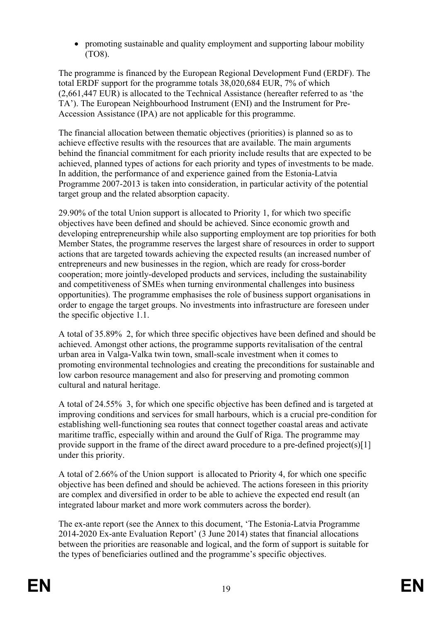promoting sustainable and quality employment and supporting labour mobility (TO8).

The programme is financed by the European Regional Development Fund (ERDF). The total ERDF support for the programme totals 38,020,684 EUR, 7% of which (2,661,447 EUR) is allocated to the Technical Assistance (hereafter referred to as 'the TA'). The European Neighbourhood Instrument (ENI) and the Instrument for Pre-Accession Assistance (IPA) are not applicable for this programme.

The financial allocation between thematic objectives (priorities) is planned so as to achieve effective results with the resources that are available. The main arguments behind the financial commitment for each priority include results that are expected to be achieved, planned types of actions for each priority and types of investments to be made. In addition, the performance of and experience gained from the Estonia-Latvia Programme 2007-2013 is taken into consideration, in particular activity of the potential target group and the related absorption capacity.

29.90% of the total Union support is allocated to Priority 1, for which two specific objectives have been defined and should be achieved. Since economic growth and developing entrepreneurship while also supporting employment are top priorities for both Member States, the programme reserves the largest share of resources in order to support actions that are targeted towards achieving the expected results (an increased number of entrepreneurs and new businesses in the region, which are ready for cross-border cooperation; more jointly-developed products and services, including the sustainability and competitiveness of SMEs when turning environmental challenges into business opportunities). The programme emphasises the role of business support organisations in order to engage the target groups. No investments into infrastructure are foreseen under the specific objective 1.1.

A total of 35.89% 2, for which three specific objectives have been defined and should be achieved. Amongst other actions, the programme supports revitalisation of the central urban area in Valga-Valka twin town, small-scale investment when it comes to promoting environmental technologies and creating the preconditions for sustainable and low carbon resource management and also for preserving and promoting common cultural and natural heritage.

A total of 24.55% 3, for which one specific objective has been defined and is targeted at improving conditions and services for small harbours, which is a crucial pre-condition for establishing well-functioning sea routes that connect together coastal areas and activate maritime traffic, especially within and around the Gulf of Riga. The programme may provide support in the frame of the direct award procedure to a pre-defined project(s)[1] under this priority.

A total of 2.66% of the Union support is allocated to Priority 4, for which one specific objective has been defined and should be achieved. The actions foreseen in this priority are complex and diversified in order to be able to achieve the expected end result (an integrated labour market and more work commuters across the border).

The ex-ante report (see the Annex to this document, 'The Estonia-Latvia Programme 2014-2020 Ex-ante Evaluation Report' (3 June 2014) states that financial allocations between the priorities are reasonable and logical, and the form of support is suitable for the types of beneficiaries outlined and the programme's specific objectives.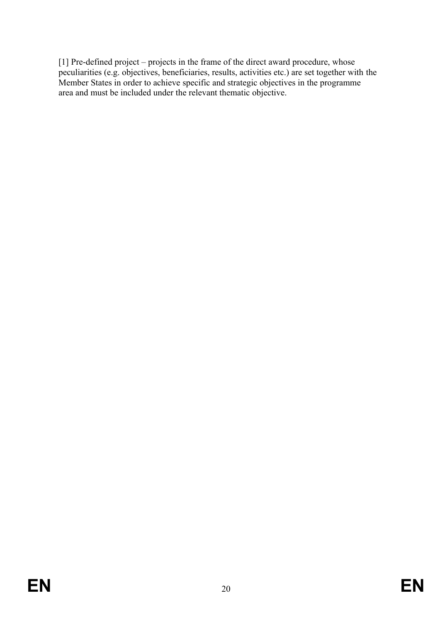[1] Pre-defined project – projects in the frame of the direct award procedure, whose peculiarities (e.g. objectives, beneficiaries, results, activities etc.) are set together with the Member States in order to achieve specific and strategic objectives in the programme area and must be included under the relevant thematic objective.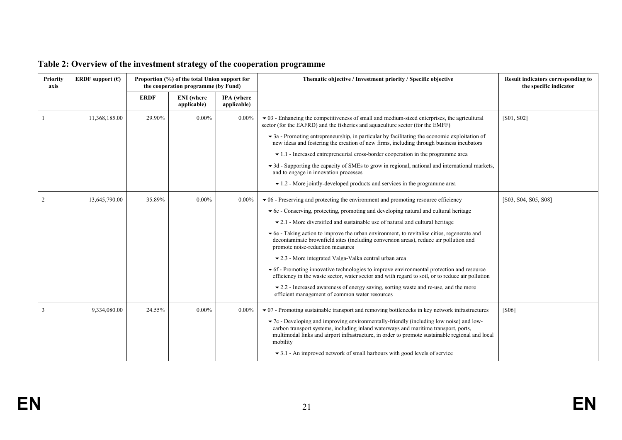| <b>Priority</b><br>axis | <b>ERDF</b> support $(\epsilon)$ | Proportion (%) of the total Union support for<br>the cooperation programme (by Fund) |                                  |                                  | Thematic objective / Investment priority / Specific objective                                                                                                                                                                                                                                 | Result indicators corresponding to<br>the specific indicator |
|-------------------------|----------------------------------|--------------------------------------------------------------------------------------|----------------------------------|----------------------------------|-----------------------------------------------------------------------------------------------------------------------------------------------------------------------------------------------------------------------------------------------------------------------------------------------|--------------------------------------------------------------|
|                         |                                  | <b>ERDF</b>                                                                          | <b>ENI</b> (where<br>applicable) | <b>IPA</b> (where<br>applicable) |                                                                                                                                                                                                                                                                                               |                                                              |
|                         | 11,368,185.00                    | 29.90%                                                                               | $0.00\%$                         | $0.00\%$                         | $\bullet$ 03 - Enhancing the competitiveness of small and medium-sized enterprises, the agricultural<br>sector (for the EAFRD) and the fisheries and aquaculture sector (for the EMFF)                                                                                                        | [ <sub>S01</sub> , <sub>S02</sub> ]                          |
|                         |                                  |                                                                                      |                                  |                                  | $\blacktriangleright$ 3a - Promoting entrepreneurship, in particular by facilitating the economic exploitation of<br>new ideas and fostering the creation of new firms, including through business incubators                                                                                 |                                                              |
|                         |                                  |                                                                                      |                                  |                                  | $\bullet$ 1.1 - Increased entrepreneurial cross-border cooperation in the programme area                                                                                                                                                                                                      |                                                              |
|                         |                                  |                                                                                      |                                  |                                  | $\blacktriangleright$ 3d - Supporting the capacity of SMEs to grow in regional, national and international markets,<br>and to engage in innovation processes                                                                                                                                  |                                                              |
|                         |                                  |                                                                                      |                                  |                                  | $\blacktriangleright$ 1.2 - More jointly-developed products and services in the programme area                                                                                                                                                                                                |                                                              |
| 2                       | 13,645,790.00                    | 35.89%                                                                               | $0.00\%$                         | $0.00\%$                         | $\bullet$ 06 - Preserving and protecting the environment and promoting resource efficiency                                                                                                                                                                                                    | [S03, S04, S05, S08]                                         |
|                         |                                  |                                                                                      |                                  |                                  | $\bullet$ 6c - Conserving, protecting, promoting and developing natural and cultural heritage                                                                                                                                                                                                 |                                                              |
|                         |                                  |                                                                                      |                                  |                                  | $\bullet$ 2.1 - More diversified and sustainable use of natural and cultural heritage                                                                                                                                                                                                         |                                                              |
|                         |                                  |                                                                                      |                                  |                                  | Ge - Taking action to improve the urban environment, to revitalise cities, regenerate and<br>decontaminate brownfield sites (including conversion areas), reduce air pollution and<br>promote noise-reduction measures                                                                        |                                                              |
|                         |                                  |                                                                                      |                                  |                                  | ▼ 2.3 - More integrated Valga-Valka central urban area                                                                                                                                                                                                                                        |                                                              |
|                         |                                  |                                                                                      |                                  |                                  | • 6f - Promoting innovative technologies to improve environmental protection and resource<br>efficiency in the waste sector, water sector and with regard to soil, or to reduce air pollution                                                                                                 |                                                              |
|                         |                                  |                                                                                      |                                  |                                  | $\bullet$ 2.2 - Increased awareness of energy saving, sorting waste and re-use, and the more<br>efficient management of common water resources                                                                                                                                                |                                                              |
|                         | 9,334,080.00                     | 24.55%                                                                               | $0.00\%$                         | $0.00\%$                         | $\bullet$ 07 - Promoting sustainable transport and removing bottlenecks in key network infrastructures                                                                                                                                                                                        | [S06]                                                        |
|                         |                                  |                                                                                      |                                  |                                  | • 7c - Developing and improving environmentally-friendly (including low noise) and low-<br>carbon transport systems, including inland waterways and maritime transport, ports,<br>multimodal links and airport infrastructure, in order to promote sustainable regional and local<br>mobility |                                                              |
|                         |                                  |                                                                                      |                                  |                                  | $\bullet$ 3.1 - An improved network of small harbours with good levels of service                                                                                                                                                                                                             |                                                              |

# **Table 2: Overview of the investment strategy of the cooperation programme**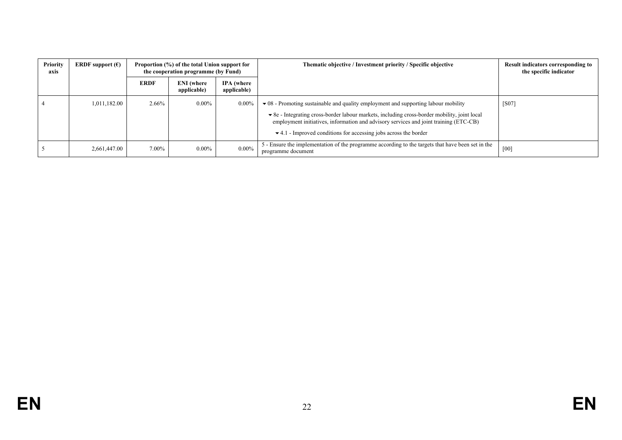| Priority<br>axis | <b>ERDF</b> support $(\epsilon)$ | Proportion (%) of the total Union support for<br>the cooperation programme (by Fund) |                                  |                                  | Thematic objective / Investment priority / Specific objective                                                                                                                                                                                                                                                                                                                       | Result indicators corresponding to<br>the specific indicator |
|------------------|----------------------------------|--------------------------------------------------------------------------------------|----------------------------------|----------------------------------|-------------------------------------------------------------------------------------------------------------------------------------------------------------------------------------------------------------------------------------------------------------------------------------------------------------------------------------------------------------------------------------|--------------------------------------------------------------|
|                  |                                  | <b>ERDF</b>                                                                          | <b>ENI</b> (where<br>applicable) | <b>IPA</b> (where<br>applicable) |                                                                                                                                                                                                                                                                                                                                                                                     |                                                              |
|                  | 1,011,182.00                     | 2.66%                                                                                | $0.00\%$                         | $0.00\%$                         | $\bullet$ 08 - Promoting sustainable and quality employment and supporting labour mobility<br>$\bullet$ 8e - Integrating cross-border labour markets, including cross-border mobility, joint local<br>employment initiatives, information and advisory services and joint training (ETC-CB)<br>$\blacktriangleright$ 4.1 - Improved conditions for accessing jobs across the border | $\sqrt{S}07$                                                 |
|                  | 2,661,447.00                     | 7.00%                                                                                | $0.00\%$                         | $0.00\%$                         | 5 - Ensure the implementation of the programme according to the targets that have been set in the<br>programme document                                                                                                                                                                                                                                                             | [00]                                                         |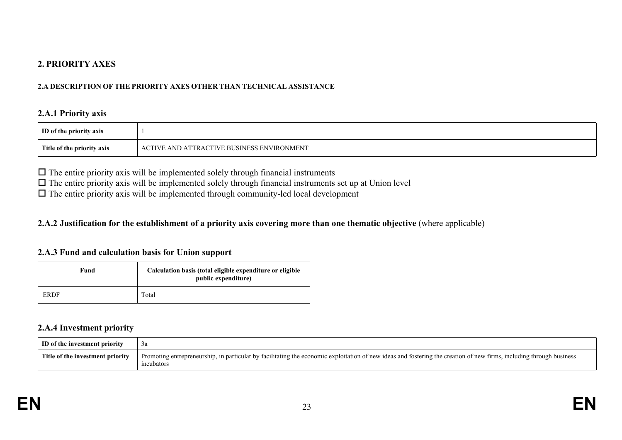### **2. PRIORITY AXES**

#### **2.A DESCRIPTION OF THE PRIORITY AXES OTHER THAN TECHNICAL ASSISTANCE**

#### **2.A.1 Priority axis**

| ID of the priority axis    |                                                               |
|----------------------------|---------------------------------------------------------------|
| Title of the priority axis | <b>E AND ATTRACTIVE BUSINESS ENVIRONMENT</b><br>$\Gamma$ TIVE |

 $\Box$  The entire priority axis will be implemented solely through financial instruments

 $\Box$  The entire priority axis will be implemented solely through financial instruments set up at Union level

 $\Box$  The entire priority axis will be implemented through community-led local development

#### 2.A.2 Justification for the establishment of a priority axis covering more than one thematic objective (where applicable)

#### **2.A.3 Fund and calculation basis for Union support**

| Fund | Calculation basis (total eligible expenditure or eligible<br>public expenditure) |
|------|----------------------------------------------------------------------------------|
| ERDF | Total                                                                            |

#### **2.A.4 Investment priority**

| ID of the investment priority    |                                                                                                                                                                                    |
|----------------------------------|------------------------------------------------------------------------------------------------------------------------------------------------------------------------------------|
| Title of the investment priority | Promoting entrepreneurship, in particular by facilitating the economic exploitation of new ideas and fostering the creation of new firms, including through business<br>incubators |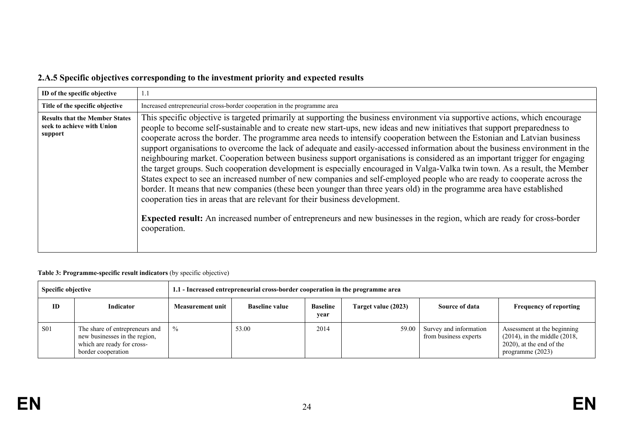# **2.A.5 Specific objectives corresponding to the investment priority and expected results**

| ID of the specific objective                                                   | 1.1                                                                                                                                                                                                                                                                                                                                                                                                                                                                                                                                                                                                                                                                                                                                                                                                                                                                                                                                                                                                                                                                                                                                                                                                                                                                     |
|--------------------------------------------------------------------------------|-------------------------------------------------------------------------------------------------------------------------------------------------------------------------------------------------------------------------------------------------------------------------------------------------------------------------------------------------------------------------------------------------------------------------------------------------------------------------------------------------------------------------------------------------------------------------------------------------------------------------------------------------------------------------------------------------------------------------------------------------------------------------------------------------------------------------------------------------------------------------------------------------------------------------------------------------------------------------------------------------------------------------------------------------------------------------------------------------------------------------------------------------------------------------------------------------------------------------------------------------------------------------|
| Title of the specific objective                                                | Increased entrepreneurial cross-border cooperation in the programme area                                                                                                                                                                                                                                                                                                                                                                                                                                                                                                                                                                                                                                                                                                                                                                                                                                                                                                                                                                                                                                                                                                                                                                                                |
| <b>Results that the Member States</b><br>seek to achieve with Union<br>support | This specific objective is targeted primarily at supporting the business environment via supportive actions, which encourage<br>people to become self-sustainable and to create new start-ups, new ideas and new initiatives that support preparedness to<br>cooperate across the border. The programme area needs to intensify cooperation between the Estonian and Latvian business<br>support organisations to overcome the lack of adequate and easily-accessed information about the business environment in the<br>neighbouring market. Cooperation between business support organisations is considered as an important trigger for engaging<br>the target groups. Such cooperation development is especially encouraged in Valga-Valka twin town. As a result, the Member<br>States expect to see an increased number of new companies and self-employed people who are ready to cooperate across the<br>border. It means that new companies (these been younger than three years old) in the programme area have established<br>cooperation ties in areas that are relevant for their business development.<br><b>Expected result:</b> An increased number of entrepreneurs and new businesses in the region, which are ready for cross-border<br>cooperation. |

#### **Table 3: Programme-specific result indicators** (by specific objective)

| Specific objective |                                                                                                                     | 1.1 - Increased entrepreneurial cross-border cooperation in the programme area |                       |                         |                     |                                                 |                                                                                                                          |
|--------------------|---------------------------------------------------------------------------------------------------------------------|--------------------------------------------------------------------------------|-----------------------|-------------------------|---------------------|-------------------------------------------------|--------------------------------------------------------------------------------------------------------------------------|
| <b>ID</b>          | <b>Indicator</b>                                                                                                    | Measurement unit                                                               | <b>Baseline value</b> | <b>Baseline</b><br>year | Target value (2023) | Source of data                                  | <b>Frequency of reporting</b>                                                                                            |
| <b>S01</b>         | The share of entrepreneurs and<br>new businesses in the region,<br>which are ready for cross-<br>border cooperation | $\%$                                                                           | 53.00                 | 2014                    | 59.00               | Survey and information<br>from business experts | Assessment at the beginning<br>$(2014)$ , in the middle $(2018)$ ,<br>$(2020)$ , at the end of the<br>programme $(2023)$ |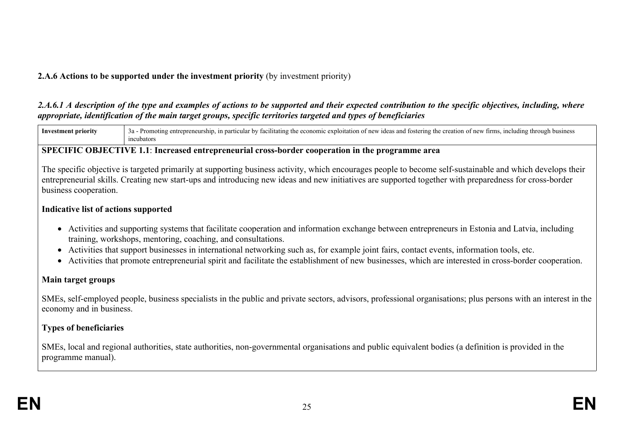### **2.A.6 Actions to be supported under the investment priority** (by investment priority)

### 2.A.6.1 A description of the type and examples of actions to be supported and their expected contribution to the specific objectives, including, where *appropriate, identification of the main target groups, specific territories targeted and types of beneficiaries*



#### **SPECIFIC OBJECTIVE 1.1**: **Increased entrepreneurial cross-border cooperation in the programme area**

The specific objective is targeted primarily at supporting business activity, which encourages people to become self-sustainable and which develops their entrepreneurial skills. Creating new start-ups and introducing new ideas and new initiatives are supported together with preparedness for cross-border business cooperation.

### **Indicative list of actions supported**

- Activities and supporting systems that facilitate cooperation and information exchange between entrepreneurs in Estonia and Latvia, including training, workshops, mentoring, coaching, and consultations.
- Activities that support businesses in international networking such as, for example joint fairs, contact events, information tools, etc.
- Activities that promote entrepreneurial spirit and facilitate the establishment of new businesses, which are interested in cross-border cooperation.

### **Main target groups**

SMEs, self-employed people, business specialists in the public and private sectors, advisors, professional organisations; plus persons with an interest in the economy and in business.

### **Types of beneficiaries**

SMEs, local and regional authorities, state authorities, non-governmental organisations and public equivalent bodies (a definition is provided in the programme manual).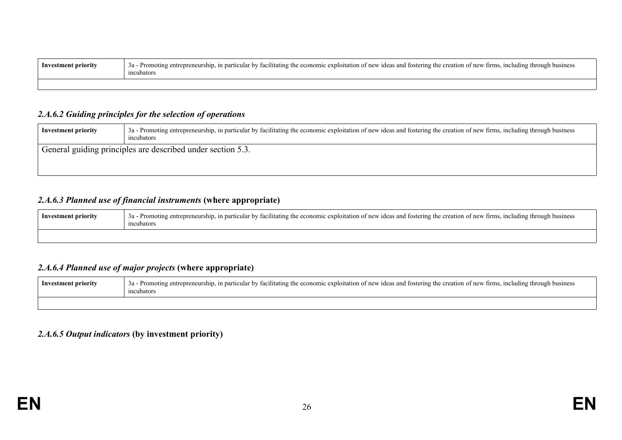| Inve<br>: priority<br>enг | . including through-<br>:1litating<br>new <sub>1</sub> d<br>business<br>Promo<br>utation<br>deas and fostering.<br>tırms.<br>o the creation<br>nev:<br>- 111<br>the ecor<br>ənomic expic<br>ticula<br>١In<br>n:<br>ncubators |
|---------------------------|------------------------------------------------------------------------------------------------------------------------------------------------------------------------------------------------------------------------------|
|                           |                                                                                                                                                                                                                              |

#### *2.A.6.2 Guiding principles for the selection of operations*

| <b>Investment priority</b> | 3a - Promoting entrepreneurship, in particular by facilitating the economic exploitation of new ideas and fostering the creation of new firms, including through business<br>incubators |
|----------------------------|-----------------------------------------------------------------------------------------------------------------------------------------------------------------------------------------|
|                            | <sup>1</sup> General guiding principles are described under section 5.3.                                                                                                                |

### *2.A.6.3 Planned use of financial instruments* **(where appropriate)**

| Investmen<br>t prıorıtv | economic<br>∵ †irms.<br>, including through business<br>ship<br>) of new<br>: exploitation of new i<br>the creation<br>and fostering t<br>rticular by<br>3a<br>ideas<br>ubator |
|-------------------------|--------------------------------------------------------------------------------------------------------------------------------------------------------------------------------|
|                         |                                                                                                                                                                                |

### *2.A.6.4 Planned use of major projects* **(where appropriate)**

| Investment priority | e-Promoting entrepreneurship, in particular by facilitating the economic exploitation of new ideas and fostering the creation of new firms, including through business |
|---------------------|------------------------------------------------------------------------------------------------------------------------------------------------------------------------|
|                     |                                                                                                                                                                        |

### *2.A.6.5 Output indicators* **(by investment priority)**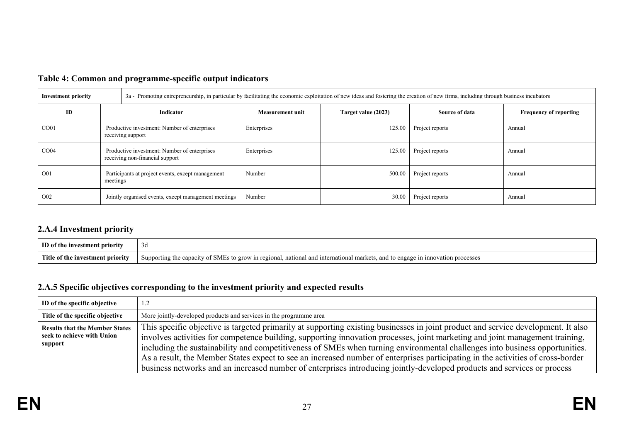| <b>Investment priority</b>                                               |                                                                                 | 3a - Promoting entrepreneurship, in particular by facilitating the economic exploitation of new ideas and fostering the creation of new firms, including through business incubators |                         |                     |                 |                               |  |
|--------------------------------------------------------------------------|---------------------------------------------------------------------------------|--------------------------------------------------------------------------------------------------------------------------------------------------------------------------------------|-------------------------|---------------------|-----------------|-------------------------------|--|
| ID                                                                       | Indicator                                                                       |                                                                                                                                                                                      | <b>Measurement unit</b> | Target value (2023) | Source of data  | <b>Frequency of reporting</b> |  |
| CO <sub>01</sub>                                                         | Productive investment: Number of enterprises<br>receiving support               |                                                                                                                                                                                      | Enterprises             | 125.00              | Project reports | Annual                        |  |
| CO <sub>04</sub>                                                         | Productive investment: Number of enterprises<br>receiving non-financial support |                                                                                                                                                                                      | Enterprises             | 125.00              | Project reports | Annual                        |  |
| O <sub>0</sub> 1                                                         | Participants at project events, except management<br>meetings                   |                                                                                                                                                                                      | Number                  | 500.00              | Project reports | Annual                        |  |
| O <sub>0</sub> 2<br>Jointly organised events, except management meetings |                                                                                 | Number                                                                                                                                                                               | 30.00                   | Project reports     | Annual          |                               |  |

# **Table 4: Common and programme-specific output indicators**

# **2.A.4 Investment priority**

| ID <sub>0</sub>    | 3a                                                                                                                                                                                  |
|--------------------|-------------------------------------------------------------------------------------------------------------------------------------------------------------------------------------|
| stment priority    |                                                                                                                                                                                     |
| - Title<br>. 10rit | $-$<br>.id inte<br>mation.<br>Supporting<br>- SMES<br><b>orow</b><br>: marken<br>- 1 n 1<br>processes<br>regional<br>.arnotional<br>and<br>ens<br>ግበዶ 11.<br>capacity<br>68 N.C<br> |

### **2.A.5 Specific objectives corresponding to the investment priority and expected results**

| ID of the specific objective                                                   | 1.2                                                                                                                                                                                                                                                                                                                                                                                                                                                                                                                                                                                                                                                            |
|--------------------------------------------------------------------------------|----------------------------------------------------------------------------------------------------------------------------------------------------------------------------------------------------------------------------------------------------------------------------------------------------------------------------------------------------------------------------------------------------------------------------------------------------------------------------------------------------------------------------------------------------------------------------------------------------------------------------------------------------------------|
| Title of the specific objective                                                | More jointly-developed products and services in the programme area                                                                                                                                                                                                                                                                                                                                                                                                                                                                                                                                                                                             |
| <b>Results that the Member States</b><br>seek to achieve with Union<br>support | This specific objective is targeted primarily at supporting existing businesses in joint product and service development. It also<br>involves activities for competence building, supporting innovation processes, joint marketing and joint management training,<br>including the sustainability and competitiveness of SMEs when turning environmental challenges into business opportunities.<br>As a result, the Member States expect to see an increased number of enterprises participating in the activities of cross-border<br>business networks and an increased number of enterprises introducing jointly-developed products and services or process |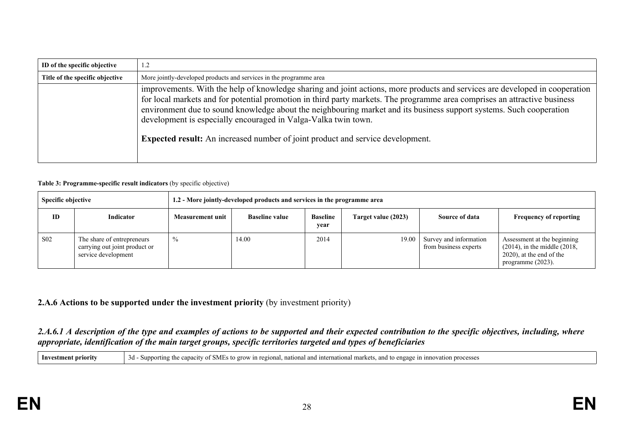| ID of the specific objective    | 1.2                                                                                                                                                                                                                                                                                                                                                                                                                                                                                                                                        |  |  |  |  |
|---------------------------------|--------------------------------------------------------------------------------------------------------------------------------------------------------------------------------------------------------------------------------------------------------------------------------------------------------------------------------------------------------------------------------------------------------------------------------------------------------------------------------------------------------------------------------------------|--|--|--|--|
| Title of the specific objective | More jointly-developed products and services in the programme area                                                                                                                                                                                                                                                                                                                                                                                                                                                                         |  |  |  |  |
|                                 | improvements. With the help of knowledge sharing and joint actions, more products and services are developed in cooperation<br>for local markets and for potential promotion in third party markets. The programme area comprises an attractive business<br>environment due to sound knowledge about the neighbouring market and its business support systems. Such cooperation<br>development is especially encouraged in Valga-Valka twin town.<br><b>Expected result:</b> An increased number of joint product and service development. |  |  |  |  |

#### **Table 3: Programme-specific result indicators** (by specific objective)

| <b>Specific objective</b> |                                                                                    | 1.2 - More jointly-developed products and services in the programme area |                       |                         |                     |                                                 |                                                                                                                            |
|---------------------------|------------------------------------------------------------------------------------|--------------------------------------------------------------------------|-----------------------|-------------------------|---------------------|-------------------------------------------------|----------------------------------------------------------------------------------------------------------------------------|
| ID                        | Indicator                                                                          | Measurement unit                                                         | <b>Baseline value</b> | <b>Baseline</b><br>year | Target value (2023) | Source of data                                  | <b>Frequency of reporting</b>                                                                                              |
| S <sub>0</sub> 2          | The share of entrepreneurs<br>carrying out joint product or<br>service development | $\%$                                                                     | 14.00                 | 2014                    | 19.00               | Survey and information<br>from business experts | Assessment at the beginning<br>$(2014)$ , in the middle $(2018)$ ,<br>$(2020)$ , at the end of the<br>programme $(2023)$ . |

### **2.A.6 Actions to be supported under the investment priority** (by investment priority)

#### 2.A.6.1 A description of the type and examples of actions to be supported and their expected contribution to the specific objectives, including, where *appropriate, identification of the main target groups, specific territories targeted and types of beneficiaries*

**Investment priority** 3d - Supporting the capacity of SMEs to grow in regional, national and international markets, and to engage in innovation processes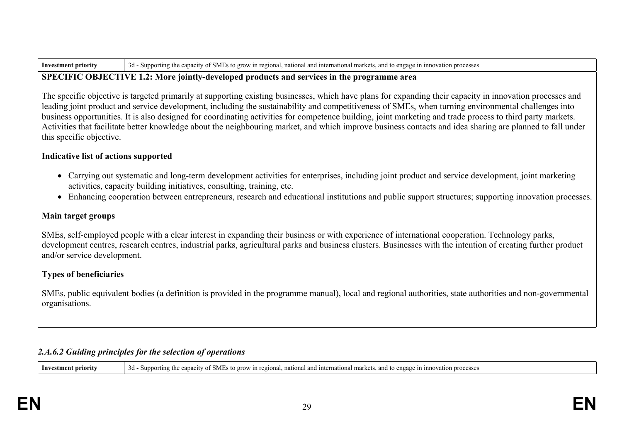| <b>Investment priority</b> | . - Supporting the capacity of SMEs to grow in regional, national and international markets, and to engage in innovation r<br>3d - Suppor<br>, and to engage in innovation processes |
|----------------------------|--------------------------------------------------------------------------------------------------------------------------------------------------------------------------------------|
|----------------------------|--------------------------------------------------------------------------------------------------------------------------------------------------------------------------------------|

#### **SPECIFIC OBJECTIVE 1.2: More jointly-developed products and services in the programme area**

The specific objective is targeted primarily at supporting existing businesses, which have plans for expanding their capacity in innovation processes and leading joint product and service development, including the sustainability and competitiveness of SMEs, when turning environmental challenges into business opportunities. It is also designed for coordinating activities for competence building, joint marketing and trade process to third party markets. Activities that facilitate better knowledge about the neighbouring market, and which improve business contacts and idea sharing are planned to fall under this specific objective.

### **Indicative list of actions supported**

- Carrying out systematic and long-term development activities for enterprises, including joint product and service development, joint marketing activities, capacity building initiatives, consulting, training, etc.
- Enhancing cooperation between entrepreneurs, research and educational institutions and public support structures; supporting innovation processes.

### **Main target groups**

SMEs, self-employed people with a clear interest in expanding their business or with experience of international cooperation. Technology parks, development centres, research centres, industrial parks, agricultural parks and business clusters. Businesses with the intention of creating further product and/or service development.

### **Types of beneficiaries**

SMEs, public equivalent bodies (a definition is provided in the programme manual), local and regional authorities, state authorities and non-governmental organisations.

## *2.A.6.2 Guiding principles for the selection of operations*

**Investment priority** 3d - Supporting the capacity of SMEs to grow in regional, national and international markets, and to engage in innovation processes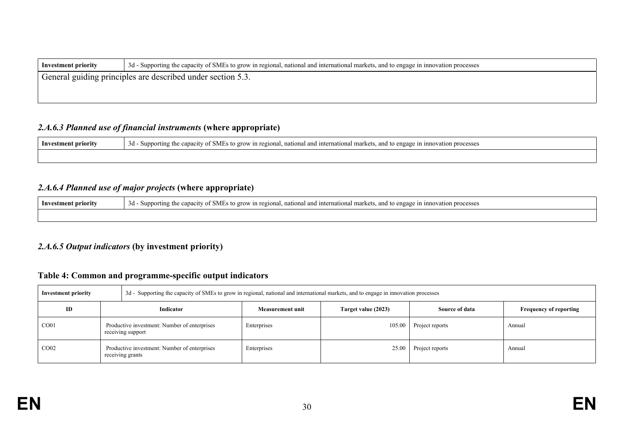| <b>Investment priority</b>                                  | 3d - Supporting the capacity of SMEs to grow in regional, national and international markets, and to engage in innovation processes |  |  |  |  |
|-------------------------------------------------------------|-------------------------------------------------------------------------------------------------------------------------------------|--|--|--|--|
| General guiding principles are described under section 5.3. |                                                                                                                                     |  |  |  |  |
|                                                             |                                                                                                                                     |  |  |  |  |

#### *2.A.6.3 Planned use of financial instruments* **(where appropriate)**

| Investment priority | nonal, national and international markets,<br>the canaci<br><b>Supporting</b><br>erow in regi<br>and 1<br>engage<br>processes<br><b>SMES</b><br>3a |
|---------------------|----------------------------------------------------------------------------------------------------------------------------------------------------|
|                     |                                                                                                                                                    |

### *2.A.6.4 Planned use of major projects* **(where appropriate)**

| 0.03<br><b>FT</b><br>Inves<br>enga <sub>k</sub><br>1nr<br>processes<br>iation<br>arket <sup>-</sup><br>t priority<br>and internation.<br>) ørow<br>ി 1<br>regional<br>m<br>capacity<br>pporting<br>$3d -$<br>enr<br>. vanc |  |  |
|----------------------------------------------------------------------------------------------------------------------------------------------------------------------------------------------------------------------------|--|--|
|                                                                                                                                                                                                                            |  |  |

#### *2.A.6.5 Output indicators* **(by investment priority)**

### **Table 4: Common and programme-specific output indicators**

| <b>Investment priority</b> |                                                                   | 3d - Supporting the capacity of SMEs to grow in regional, national and international markets, and to engage in innovation processes |                         |                     |                 |                               |  |  |
|----------------------------|-------------------------------------------------------------------|-------------------------------------------------------------------------------------------------------------------------------------|-------------------------|---------------------|-----------------|-------------------------------|--|--|
| ID                         | Indicator                                                         |                                                                                                                                     | <b>Measurement unit</b> | Target value (2023) | Source of data  | <b>Frequency of reporting</b> |  |  |
| CO <sub>01</sub>           | Productive investment: Number of enterprises<br>receiving support |                                                                                                                                     | Enterprises             | 105.00              | Project reports | Annual                        |  |  |
| CO <sub>02</sub>           |                                                                   | Productive investment: Number of enterprises<br>receiving grants                                                                    | Enterprises             | 25.00               | Project reports | Annual                        |  |  |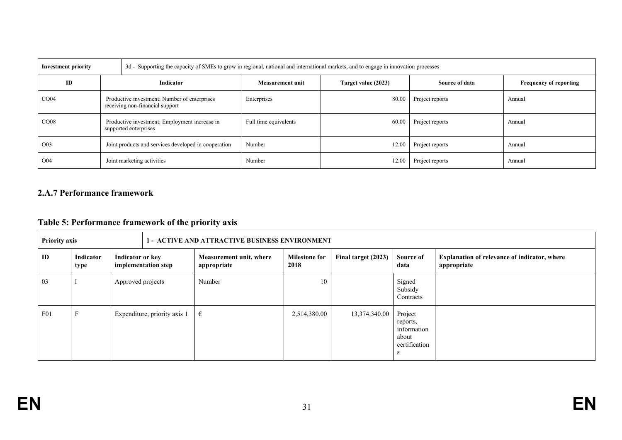| <b>Investment priority</b> |                                                                                 | 3d - Supporting the capacity of SMEs to grow in regional, national and international markets, and to engage in innovation processes |                         |                     |                 |                               |  |
|----------------------------|---------------------------------------------------------------------------------|-------------------------------------------------------------------------------------------------------------------------------------|-------------------------|---------------------|-----------------|-------------------------------|--|
| ID                         | Indicator                                                                       |                                                                                                                                     | <b>Measurement unit</b> | Target value (2023) | Source of data  | <b>Frequency of reporting</b> |  |
| CO <sub>04</sub>           | Productive investment: Number of enterprises<br>receiving non-financial support |                                                                                                                                     | Enterprises             | 80.00               | Project reports | Annual                        |  |
| CO <sub>08</sub>           | Productive investment: Employment increase in<br>supported enterprises          |                                                                                                                                     | Full time equivalents   | 60.00               | Project reports | Annual                        |  |
| O <sub>0</sub> 3           | Joint products and services developed in cooperation                            |                                                                                                                                     | Number                  | 12.00               | Project reports | Annual                        |  |
| O <sub>04</sub>            | Joint marketing activities                                                      |                                                                                                                                     | Number                  | 12.00               | Project reports | Annual                        |  |

### **2.A.7 Performance framework**

# **Table 5: Performance framework of the priority axis**

|     | <b>Priority axis</b><br><b>1 - ACTIVE AND ATTRACTIVE BUSINESS ENVIRONMENT</b> |                                         |                              |                                        |                              |                     |                                                              |                                                                    |
|-----|-------------------------------------------------------------------------------|-----------------------------------------|------------------------------|----------------------------------------|------------------------------|---------------------|--------------------------------------------------------------|--------------------------------------------------------------------|
| ID  | Indicator<br>type                                                             | Indicator or key<br>implementation step |                              | Measurement unit, where<br>appropriate | <b>Milestone for</b><br>2018 | Final target (2023) | Source of<br>data                                            | <b>Explanation of relevance of indicator, where</b><br>appropriate |
| 03  |                                                                               | Approved projects                       |                              | Number                                 | 10                           |                     | Signed<br>Subsidy<br>Contracts                               |                                                                    |
| F01 | н.                                                                            |                                         | Expenditure, priority axis 1 | €                                      | 2,514,380.00                 | 13,374,340.00       | Project<br>reports,<br>information<br>about<br>certification |                                                                    |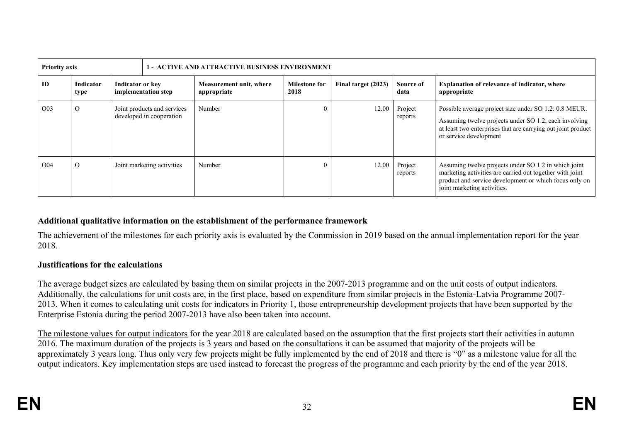| <b>Priority axis</b><br><b>1 - ACTIVE AND ATTRACTIVE BUSINESS ENVIRONMENT</b> |                   |                                         |                                                         |                                        |                              |                     |                    |                                                                                                                                                                                                           |
|-------------------------------------------------------------------------------|-------------------|-----------------------------------------|---------------------------------------------------------|----------------------------------------|------------------------------|---------------------|--------------------|-----------------------------------------------------------------------------------------------------------------------------------------------------------------------------------------------------------|
| ID                                                                            | Indicator<br>type | Indicator or key<br>implementation step |                                                         | Measurement unit, where<br>appropriate | <b>Milestone for</b><br>2018 | Final target (2023) | Source of<br>data  | <b>Explanation of relevance of indicator, where</b><br>appropriate                                                                                                                                        |
| O <sub>0</sub> 3                                                              | $\Omega$          |                                         | Joint products and services<br>developed in cooperation | Number                                 |                              | 12.00               | Project<br>reports | Possible average project size under SO 1.2: 0.8 MEUR.<br>Assuming twelve projects under SO 1.2, each involving<br>at least two enterprises that are carrying out joint product<br>or service development  |
| O <sub>04</sub>                                                               | $\Omega$          |                                         | Joint marketing activities                              | Number                                 |                              | 12.00               | Project<br>reports | Assuming twelve projects under SO 1.2 in which joint<br>marketing activities are carried out together with joint<br>product and service development or which focus only on<br>joint marketing activities. |

### **Additional qualitative information on the establishment of the performance framework**

The achievement of the milestones for each priority axis is evaluated by the Commission in 2019 based on the annual implementation report for the year 2018.

#### **Justifications for the calculations**

The average budget sizes are calculated by basing them on similar projects in the 2007-2013 programme and on the unit costs of output indicators. Additionally, the calculations for unit costs are, in the first place, based on expenditure from similar projects in the Estonia-Latvia Programme 2007- 2013. When it comes to calculating unit costs for indicators in Priority 1, those entrepreneurship development projects that have been supported by the Enterprise Estonia during the period 2007-2013 have also been taken into account.

The milestone values for output indicators for the year 2018 are calculated based on the assumption that the first projects start their activities in autumn 2016. The maximum duration of the projects is 3 years and based on the consultations it can be assumed that majority of the projects will be approximately 3 years long. Thus only very few projects might be fully implemented by the end of 2018 and there is "0" as a milestone value for all the output indicators. Key implementation steps are used instead to forecast the progress of the programme and each priority by the end of the year 2018.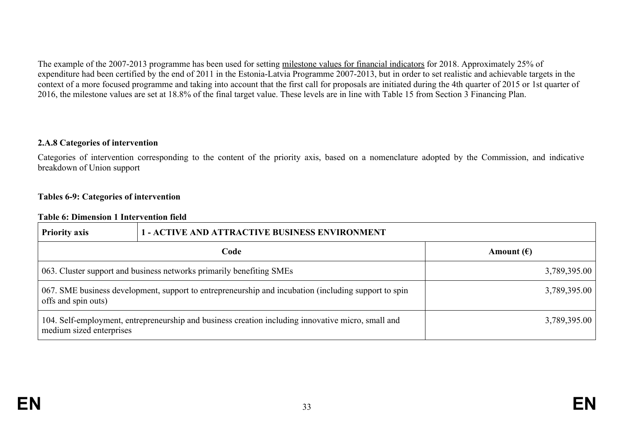The example of the 2007-2013 programme has been used for setting milestone values for financial indicators for 2018. Approximately 25% of expenditure had been certified by the end of 2011 in the Estonia-Latvia Programme 2007-2013, but in order to set realistic and achievable targets in the context of a more focused programme and taking into account that the first call for proposals are initiated during the 4th quarter of 2015 or 1st quarter of 2016, the milestone values are set at 18.8% of the final target value. These levels are in line with Table 15 from Section 3 Financing Plan.

#### **2.A.8 Categories of intervention**

Categories of intervention corresponding to the content of the priority axis, based on a nomenclature adopted by the Commission, and indicative breakdown of Union support

#### **Tables 6-9: Categories of intervention**

#### **Table 6: Dimension 1 Intervention field**

| <b>Priority axis</b>                                                                                                        | <b>1 - ACTIVE AND ATTRACTIVE BUSINESS ENVIRONMENT</b>                                              |                     |  |  |  |
|-----------------------------------------------------------------------------------------------------------------------------|----------------------------------------------------------------------------------------------------|---------------------|--|--|--|
|                                                                                                                             | Code                                                                                               | Amount $(\epsilon)$ |  |  |  |
|                                                                                                                             | 063. Cluster support and business networks primarily benefiting SMEs                               | 3,789,395.00        |  |  |  |
| 067. SME business development, support to entrepreneurship and incubation (including support to spin<br>offs and spin outs) | 3,789,395.00                                                                                       |                     |  |  |  |
| medium sized enterprises                                                                                                    | 104. Self-employment, entrepreneurship and business creation including innovative micro, small and | 3,789,395.00        |  |  |  |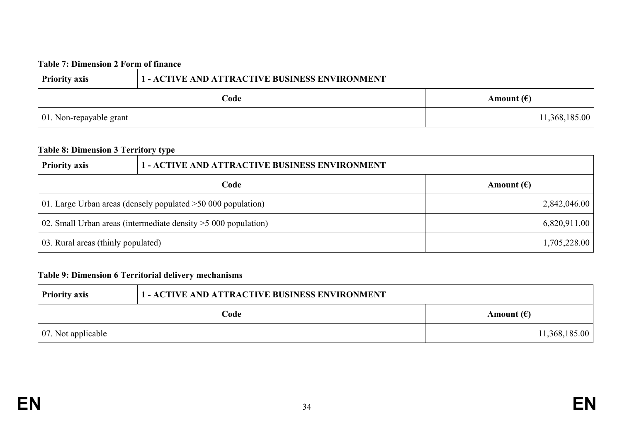### **Table 7: Dimension 2 Form of finance**

| <b>Priority axis</b>            | <b>1 - ACTIVE AND ATTRACTIVE BUSINESS ENVIRONMENT</b> |                     |  |  |  |
|---------------------------------|-------------------------------------------------------|---------------------|--|--|--|
|                                 | Code                                                  | Amount $(\epsilon)$ |  |  |  |
| $\vert$ 01. Non-repayable grant |                                                       | 11,368,185.00       |  |  |  |

# **Table 8: Dimension 3 Territory type**

| <b>Priority axis</b>                                              | <b>1 - ACTIVE AND ATTRACTIVE BUSINESS ENVIRONMENT</b>          |                     |  |  |
|-------------------------------------------------------------------|----------------------------------------------------------------|---------------------|--|--|
|                                                                   | Code                                                           | Amount $(\epsilon)$ |  |  |
|                                                                   | 01. Large Urban areas (densely populated $>50,000$ population) | 2,842,046.00        |  |  |
| 02. Small Urban areas (intermediate density $>$ 5 000 population) | 6,820,911.00                                                   |                     |  |  |
| 03. Rural areas (thinly populated)                                |                                                                | 1,705,228.00        |  |  |

### **Table 9: Dimension 6 Territorial delivery mechanisms**

| <b>Priority axis</b> | <b>1 - ACTIVE AND ATTRACTIVE BUSINESS ENVIRONMENT</b> |                     |  |  |  |
|----------------------|-------------------------------------------------------|---------------------|--|--|--|
|                      | Code                                                  | Amount $(\epsilon)$ |  |  |  |
| 07. Not applicable   |                                                       | 11,368,185.00       |  |  |  |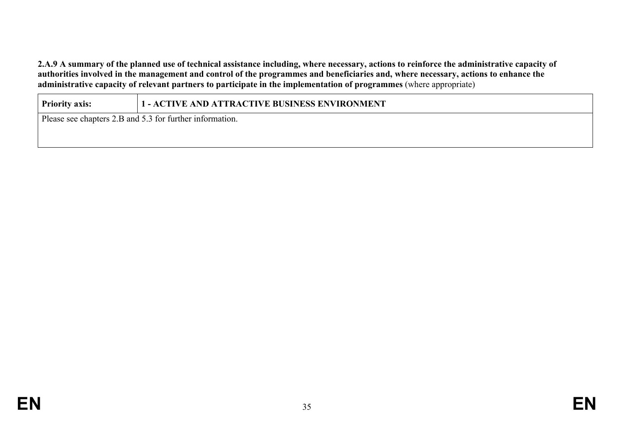2.A.9 A summary of the planned use of technical assistance including, where necessary, actions to reinforce the administrative capacity of authorities involved in the management and control of the programmes and beneficiaries and, where necessary, actions to enhance the **administrative capacity of relevant partners to participate in the implementation of programmes** (where appropriate)

**Priority axis: 1 - ACTIVE AND ATTRACTIVE BUSINESS ENVIRONMENT**

Please see chapters 2.B and 5.3 for further information.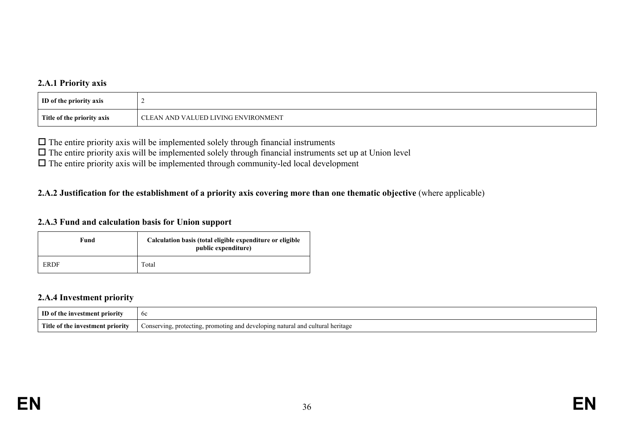### **2.A.1 Priority axis**

| ID of the priority axis    |                                     |
|----------------------------|-------------------------------------|
| Title of the priority axis | CLEAN AND VALUED LIVING ENVIRONMENT |

 $\Box$  The entire priority axis will be implemented solely through financial instruments

 $\Box$  The entire priority axis will be implemented solely through financial instruments set up at Union level

 $\Box$  The entire priority axis will be implemented through community-led local development

### 2.A.2 Justification for the establishment of a priority axis covering more than one thematic objective (where applicable)

#### **2.A.3 Fund and calculation basis for Union support**

| Fund | Calculation basis (total eligible expenditure or eligible<br>public expenditure) |  |  |
|------|----------------------------------------------------------------------------------|--|--|
| ERDF | Total                                                                            |  |  |

### **2.A.4 Investment priority**

| TD of                                         | oc                                                                                            |
|-----------------------------------------------|-----------------------------------------------------------------------------------------------|
| Title .<br>≙of the ⊺<br>e investment priority | , promoting and developing natural and cultural l<br>Conserving,<br>heritage<br>. protecting. |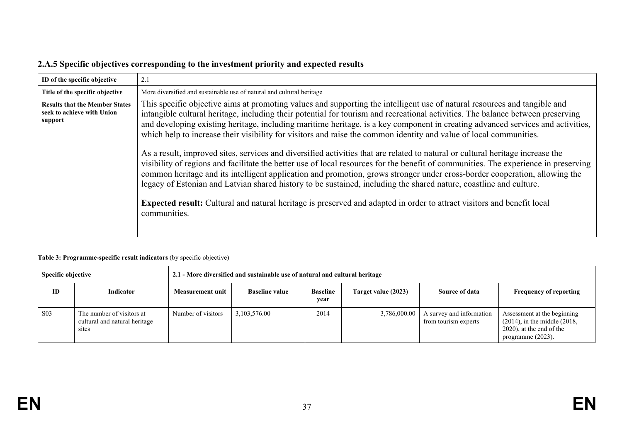|  |  | 2.A.5 Specific objectives corresponding to the investment priority and expected results |
|--|--|-----------------------------------------------------------------------------------------|
|--|--|-----------------------------------------------------------------------------------------|

| ID of the specific objective                                                   | 2.1                                                                                                                                                                                                                                                                                                                                                                                                                                                                                                                                                                                                                                                                                                                                                                                                                                                                                                                                                                                                                                                                                                                                                                                                 |
|--------------------------------------------------------------------------------|-----------------------------------------------------------------------------------------------------------------------------------------------------------------------------------------------------------------------------------------------------------------------------------------------------------------------------------------------------------------------------------------------------------------------------------------------------------------------------------------------------------------------------------------------------------------------------------------------------------------------------------------------------------------------------------------------------------------------------------------------------------------------------------------------------------------------------------------------------------------------------------------------------------------------------------------------------------------------------------------------------------------------------------------------------------------------------------------------------------------------------------------------------------------------------------------------------|
| Title of the specific objective                                                | More diversified and sustainable use of natural and cultural heritage                                                                                                                                                                                                                                                                                                                                                                                                                                                                                                                                                                                                                                                                                                                                                                                                                                                                                                                                                                                                                                                                                                                               |
| <b>Results that the Member States</b><br>seek to achieve with Union<br>support | This specific objective aims at promoting values and supporting the intelligent use of natural resources and tangible and<br>intangible cultural heritage, including their potential for tourism and recreational activities. The balance between preserving<br>and developing existing heritage, including maritime heritage, is a key component in creating advanced services and activities,<br>which help to increase their visibility for visitors and raise the common identity and value of local communities.<br>As a result, improved sites, services and diversified activities that are related to natural or cultural heritage increase the<br>visibility of regions and facilitate the better use of local resources for the benefit of communities. The experience in preserving<br>common heritage and its intelligent application and promotion, grows stronger under cross-border cooperation, allowing the<br>legacy of Estonian and Latvian shared history to be sustained, including the shared nature, coastline and culture.<br><b>Expected result:</b> Cultural and natural heritage is preserved and adapted in order to attract visitors and benefit local<br>communities. |

#### **Table 3: Programme-specific result indicators** (by specific objective)

| Specific objective |                                                                     | 2.1 - More diversified and sustainable use of natural and cultural heritage |                       |                         |                     |                                                  |                                                                                                                        |
|--------------------|---------------------------------------------------------------------|-----------------------------------------------------------------------------|-----------------------|-------------------------|---------------------|--------------------------------------------------|------------------------------------------------------------------------------------------------------------------------|
| ID                 | Indicator                                                           | Measurement unit                                                            | <b>Baseline value</b> | <b>Baseline</b><br>year | Target value (2023) | Source of data                                   | <b>Frequency of reporting</b>                                                                                          |
| S <sub>0</sub> 3   | The number of visitors at<br>cultural and natural heritage<br>sites | Number of visitors                                                          | 3,103,576.00          | 2014                    | 3,786,000.00        | A survey and information<br>from tourism experts | Assessment at the beginning<br>$(2014)$ , in the middle $(2018)$ ,<br>2020), at the end of the<br>programme $(2023)$ . |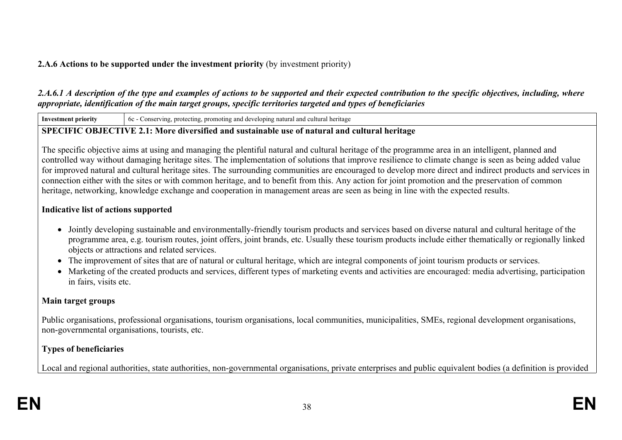# **2.A.6 Actions to be supported under the investment priority** (by investment priority)

# 2.A.6.1 A description of the type and examples of actions to be supported and their expected contribution to the specific objectives, including, where *appropriate, identification of the main target groups, specific territories targeted and types of beneficiaries*

**Investment priority** 6c - Conserving, protecting, promoting and developing natural and cultural heritage

# **SPECIFIC OBJECTIVE 2.1: More diversified and sustainable use of natural and cultural heritage**

The specific objective aims at using and managing the plentiful natural and cultural heritage of the programme area in an intelligent, planned and controlled way without damaging heritage sites. The implementation of solutions that improve resilience to climate change is seen as being added value for improved natural and cultural heritage sites. The surrounding communities are encouraged to develop more direct and indirect products and services in connection either with the sites or with common heritage, and to benefit from this. Any action for joint promotion and the preservation of common heritage, networking, knowledge exchange and cooperation in management areas are seen as being in line with the expected results.

# **Indicative list of actions supported**

- Jointly developing sustainable and environmentally-friendly tourism products and services based on diverse natural and cultural heritage of the programme area, e.g. tourism routes, joint offers, joint brands, etc. Usually these tourism products include either thematically or regionally linked objects or attractions and related services.
- The improvement of sites that are of natural or cultural heritage, which are integral components of joint tourism products or services.
- Marketing of the created products and services, different types of marketing events and activities are encouraged: media advertising, participation in fairs, visits etc.

# **Main target groups**

Public organisations, professional organisations, tourism organisations, local communities, municipalities, SMEs, regional development organisations, non-governmental organisations, tourists, etc.

# **Types of beneficiaries**

Local and regional authorities, state authorities, non-governmental organisations, private enterprises and public equivalent bodies (a definition is provided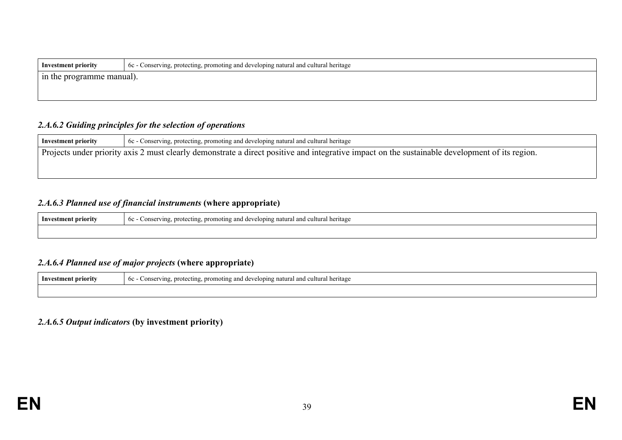| Investment priority       | $\sim$ 6c - Conserving, protecting, promoting and developing natural and cultural heritage |  |
|---------------------------|--------------------------------------------------------------------------------------------|--|
| In the programme manual). |                                                                                            |  |
|                           |                                                                                            |  |

### *2.A.6.2 Guiding principles for the selection of operations*

| Investment priority                                                                                                                            | 6c - Conserving, protecting, promoting and developing natural and cultural heritage |  |  |
|------------------------------------------------------------------------------------------------------------------------------------------------|-------------------------------------------------------------------------------------|--|--|
| Projects under priority axis 2 must clearly demonstrate a direct positive and integrative impact on the sustainable development of its region. |                                                                                     |  |  |
|                                                                                                                                                |                                                                                     |  |  |
|                                                                                                                                                |                                                                                     |  |  |

# *2.A.6.3 Planned use of financial instruments* **(where appropriate)**

| Investment priority<br>$\sim$<br>onservin<br>ntına and<br>$\Delta$<br>heritage<br><b>profe</b><br>nromo.<br>oning natur.<br>$\cdots$ on $\sim$<br>etins<br>$\sim$<br>-41 I V<br>v<br>vun |  |
|------------------------------------------------------------------------------------------------------------------------------------------------------------------------------------------|--|
|                                                                                                                                                                                          |  |

### *2.A.6.4 Planned use of major projects* **(where appropriate)**

| Investment priority | eloping natural and cultural heritage<br>6c<br>. promoting and<br>$\Delta V$<br>rotectino.<br>Conser<br>ving<br>uwu. |  |
|---------------------|----------------------------------------------------------------------------------------------------------------------|--|
|                     |                                                                                                                      |  |

#### *2.A.6.5 Output indicators* **(by investment priority)**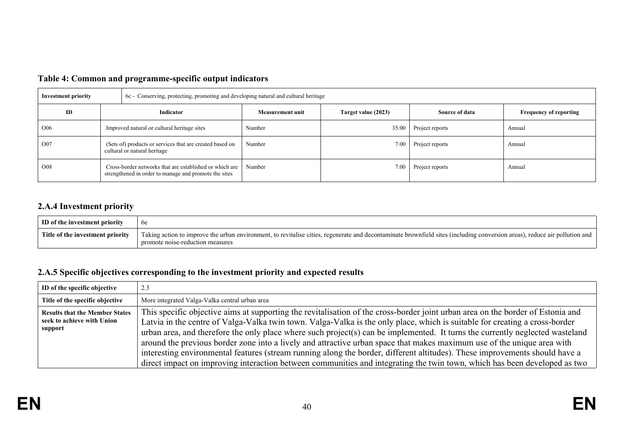| <b>Investment priority</b> |                                                                                          | 6c - Conserving, protecting, promoting and developing natural and cultural heritage                              |                         |                     |                 |                               |
|----------------------------|------------------------------------------------------------------------------------------|------------------------------------------------------------------------------------------------------------------|-------------------------|---------------------|-----------------|-------------------------------|
| ID                         | Indicator                                                                                |                                                                                                                  | <b>Measurement unit</b> | Target value (2023) | Source of data  | <b>Frequency of reporting</b> |
| O <sub>06</sub>            |                                                                                          | Improved natural or cultural heritage sites                                                                      | Number                  | 35.00               | Project reports | Annual                        |
| O07                        | (Sets of) products or services that are created based on<br>cultural or natural heritage |                                                                                                                  | Number                  | 7.00                | Project reports | Annual                        |
| O <sub>08</sub>            |                                                                                          | Cross-border networks that are established or which are<br>strengthened in order to manage and promote the sites | Number                  | 7.00                | Project reports | Annual                        |

# **Table 4: Common and programme-specific output indicators**

# **2.A.4 Investment priority**

| ID of the investment priority    | <sub>0е</sub>                                                                                                                                                                                                    |
|----------------------------------|------------------------------------------------------------------------------------------------------------------------------------------------------------------------------------------------------------------|
| Title of the investment priority | Taking action to improve the urban environment, to revitalise cities, regenerate and decontaminate brownfield sites (including conversion areas), reduce air pollution and  <br>promote noise-reduction measures |

# **2.A.5 Specific objectives corresponding to the investment priority and expected results**

| ID of the specific objective                                                   | 2.3                                                                                                                                                                                                                                                                                                                                                                                                                                                                                                                                                                                                                                                                                                                                                                                    |
|--------------------------------------------------------------------------------|----------------------------------------------------------------------------------------------------------------------------------------------------------------------------------------------------------------------------------------------------------------------------------------------------------------------------------------------------------------------------------------------------------------------------------------------------------------------------------------------------------------------------------------------------------------------------------------------------------------------------------------------------------------------------------------------------------------------------------------------------------------------------------------|
| Title of the specific objective                                                | More integrated Valga-Valka central urban area                                                                                                                                                                                                                                                                                                                                                                                                                                                                                                                                                                                                                                                                                                                                         |
| <b>Results that the Member States</b><br>seek to achieve with Union<br>support | This specific objective aims at supporting the revitalisation of the cross-border joint urban area on the border of Estonia and<br>Latvia in the centre of Valga-Valka twin town. Valga-Valka is the only place, which is suitable for creating a cross-border<br>urban area, and therefore the only place where such project(s) can be implemented. It turns the currently neglected wasteland<br>around the previous border zone into a lively and attractive urban space that makes maximum use of the unique area with<br>interesting environmental features (stream running along the border, different altitudes). These improvements should have a<br>direct impact on improving interaction between communities and integrating the twin town, which has been developed as two |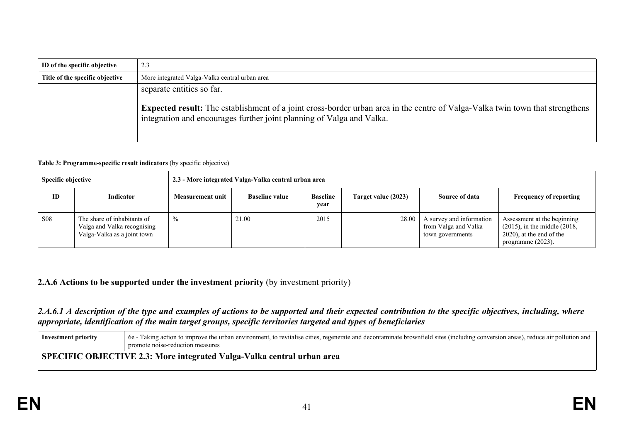| ID of the specific objective    | 2.3                                                                                                                                                                                                           |
|---------------------------------|---------------------------------------------------------------------------------------------------------------------------------------------------------------------------------------------------------------|
| Title of the specific objective | More integrated Valga-Valka central urban area                                                                                                                                                                |
|                                 | separate entities so far.                                                                                                                                                                                     |
|                                 | <b>Expected result:</b> The establishment of a joint cross-border urban area in the centre of Valga-Valka twin town that strengthens<br>integration and encourages further joint planning of Valga and Valka. |

#### **Table 3: Programme-specific result indicators** (by specific objective)

| <b>Specific objective</b> |                                                                                           | 2.3 - More integrated Valga-Valka central urban area |                       |                         |                     |                                                                      |                                                                                                                            |
|---------------------------|-------------------------------------------------------------------------------------------|------------------------------------------------------|-----------------------|-------------------------|---------------------|----------------------------------------------------------------------|----------------------------------------------------------------------------------------------------------------------------|
| ID                        | Indicator                                                                                 | <b>Measurement unit</b>                              | <b>Baseline value</b> | <b>Baseline</b><br>year | Target value (2023) | Source of data                                                       | <b>Frequency of reporting</b>                                                                                              |
| <b>S08</b>                | The share of inhabitants of<br>Valga and Valka recognising<br>Valga-Valka as a joint town | $\%$                                                 | 21.00                 | 2015                    | 28.00               | A survey and information<br>from Valga and Valka<br>town governments | Assessment at the beginning<br>$(2015)$ , in the middle $(2018)$ ,<br>$(2020)$ , at the end of the<br>programme $(2023)$ . |

#### **2.A.6 Actions to be supported under the investment priority** (by investment priority)

### 2.A.6.1 A description of the type and examples of actions to be supported and their expected contribution to the specific objectives, including, where *appropriate, identification of the main target groups, specific territories targeted and types of beneficiaries*

| Investment priority | 6e - Taking action to improve the urban environment, to revitalise cities, regenerate and decontaminate brownfield sites (including conversion areas), reduce air pollution and<br>promote noise-reduction measures |
|---------------------|---------------------------------------------------------------------------------------------------------------------------------------------------------------------------------------------------------------------|
|                     | SPECIFIC OBJECTIVE 2.3: More integrated Valga-Valka central urban area                                                                                                                                              |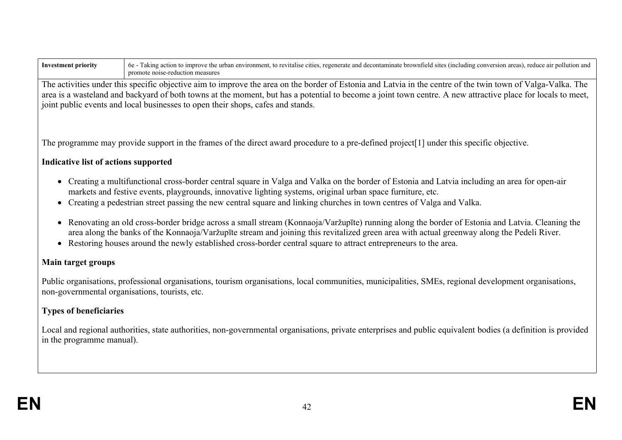| <b>Investment priority</b> | 6e - Taking action to improve the urban environment, to revitalise cities, regenerate and decontaminate brownfield sites (including conversion areas), reduce air pollution and<br>promote noise-reduction measures                                                                                                                                                                                           |
|----------------------------|---------------------------------------------------------------------------------------------------------------------------------------------------------------------------------------------------------------------------------------------------------------------------------------------------------------------------------------------------------------------------------------------------------------|
|                            | The activities under this specific objective aim to improve the area on the border of Estonia and Latvia in the centre of the twin town of Valga-Valka. The<br>area is a wasteland and backyard of both towns at the moment, but has a potential to become a joint town centre. A new attractive place for locals to meet,<br>joint public events and local businesses to open their shops, cafes and stands. |

The programme may provide support in the frames of the direct award procedure to a pre-defined project[1] under this specific objective.

# **Indicative list of actions supported**

- Creating a multifunctional cross-border central square in Valga and Valka on the border of Estonia and Latvia including an area for open-air markets and festive events, playgrounds, innovative lighting systems, original urban space furniture, etc.
- Creating a pedestrian street passing the new central square and linking churches in town centres of Valga and Valka.
- Renovating an old cross-border bridge across a small stream (Konnaoja/Varžupīte) running along the border of Estonia and Latvia. Cleaning the area along the banks of the Konnaoja/Varžupīte stream and joining this revitalized green area with actual greenway along the Pedeli River.
- Restoring houses around the newly established cross-border central square to attract entrepreneurs to the area.

### **Main target groups**

Public organisations, professional organisations, tourism organisations, local communities, municipalities, SMEs, regional development organisations, non-governmental organisations, tourists, etc.

# **Types of beneficiaries**

Local and regional authorities, state authorities, non-governmental organisations, private enterprises and public equivalent bodies (a definition is provided in the programme manual).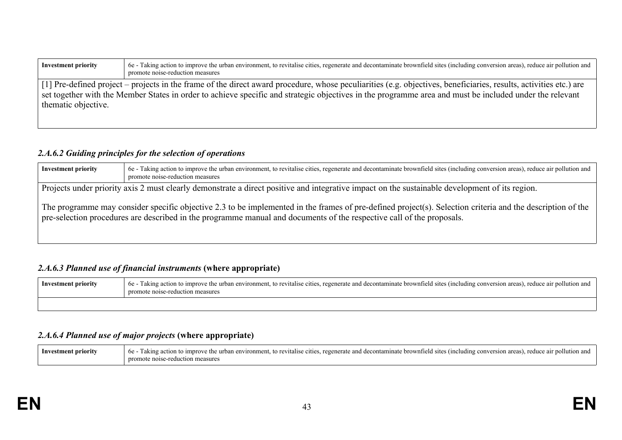| <b>Investment priority</b> | 6e - Taking action to improve the urban environment, to revitalise cities, regenerate and decontaminate brownfield sites (including conversion areas), reduce air pollution and<br>promote noise-reduction measures                                                                                                          |
|----------------------------|------------------------------------------------------------------------------------------------------------------------------------------------------------------------------------------------------------------------------------------------------------------------------------------------------------------------------|
| thematic objective.        | [1] Pre-defined project – projects in the frame of the direct award procedure, whose peculiarities (e.g. objectives, beneficiaries, results, activities etc.) are<br>set together with the Member States in order to achieve specific and strategic objectives in the programme area and must be included under the relevant |

#### *2.A.6.2 Guiding principles for the selection of operations*

| <b>Investment priority</b>                                                                                                                                                                                                                                                                                                                                                                                                            | 6e - Taking action to improve the urban environment, to revitalise cities, regenerate and decontaminate brownfield sites (including conversion areas), reduce air pollution and<br>promote noise-reduction measures |
|---------------------------------------------------------------------------------------------------------------------------------------------------------------------------------------------------------------------------------------------------------------------------------------------------------------------------------------------------------------------------------------------------------------------------------------|---------------------------------------------------------------------------------------------------------------------------------------------------------------------------------------------------------------------|
| Projects under priority axis 2 must clearly demonstrate a direct positive and integrative impact on the sustainable development of its region.<br>The programme may consider specific objective 2.3 to be implemented in the frames of pre-defined project(s). Selection criteria and the description of the<br>pre-selection procedures are described in the programme manual and documents of the respective call of the proposals. |                                                                                                                                                                                                                     |
|                                                                                                                                                                                                                                                                                                                                                                                                                                       |                                                                                                                                                                                                                     |

# *2.A.6.3 Planned use of financial instruments* **(where appropriate)**

| Investment priority | 6e - Taking action to improve the urban environment, to revitalise cities, regenerate and decontaminate brownfield sites (including conversion areas), reduce air pollution and<br>promote noise-reduction measures |
|---------------------|---------------------------------------------------------------------------------------------------------------------------------------------------------------------------------------------------------------------|
|                     |                                                                                                                                                                                                                     |

# *2.A.6.4 Planned use of major projects* **(where appropriate)**

| Inve | r action to improve the urban environment, to revitalise cities, regenerate and decontaminate brownfield sites (including conversion areas).<br>1 aking<br>reduce. |
|------|--------------------------------------------------------------------------------------------------------------------------------------------------------------------|
|      | nro<br>e-reduction measures<br>mote noise.                                                                                                                         |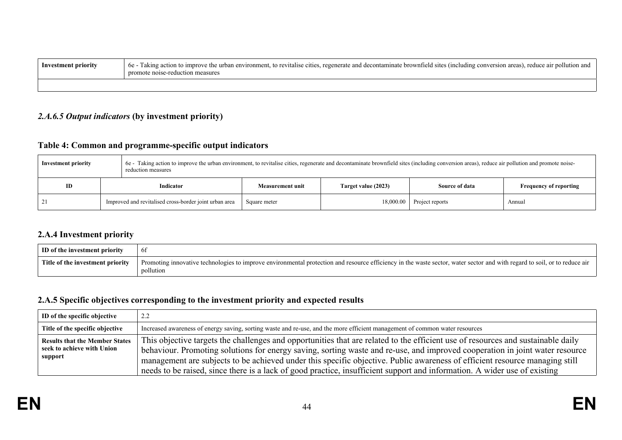| Investment priority | 6e - Taking action to improve the urban environment, to revitalise cities, regenerate and decontaminate brownfield sites (including conversion areas), reduce air pollution and<br>promote noise-reduction measures |
|---------------------|---------------------------------------------------------------------------------------------------------------------------------------------------------------------------------------------------------------------|
|                     |                                                                                                                                                                                                                     |

# *2.A.6.5 Output indicators* **(by investment priority)**

# **Table 4: Common and programme-specific output indicators**

| 6e - Taking action to improve the urban environment, to revitalise cities, regenerate and decontaminate brownfield sites (including conversion areas), reduce air pollution and promote noise-<br><b>Investment priority</b><br>reduction measures |                                                        |                         |                     |                 |                               |
|----------------------------------------------------------------------------------------------------------------------------------------------------------------------------------------------------------------------------------------------------|--------------------------------------------------------|-------------------------|---------------------|-----------------|-------------------------------|
| ID                                                                                                                                                                                                                                                 | Indicator                                              | <b>Measurement unit</b> | Target value (2023) | Source of data  | <b>Frequency of reporting</b> |
|                                                                                                                                                                                                                                                    | Improved and revitalised cross-border joint urban area | Square meter            | 18,000.00           | Project reports | Annual                        |

#### **2.A.4 Investment priority**

| ID of the investment priority    | <sup>6</sup>                                                                                                                                                                           |
|----------------------------------|----------------------------------------------------------------------------------------------------------------------------------------------------------------------------------------|
| Title of the investment priority | Promoting innovative technologies to improve environmental protection and resource efficiency in the waste sector, water sector and with regard to soil, or to reduce air<br>pollution |

# **2.A.5 Specific objectives corresponding to the investment priority and expected results**

| ID of the specific objective                                                   | 2.2                                                                                                                                                                                                                                                                                                                                                                                                                                                                                                                          |
|--------------------------------------------------------------------------------|------------------------------------------------------------------------------------------------------------------------------------------------------------------------------------------------------------------------------------------------------------------------------------------------------------------------------------------------------------------------------------------------------------------------------------------------------------------------------------------------------------------------------|
| Title of the specific objective                                                | Increased awareness of energy saving, sorting waste and re-use, and the more efficient management of common water resources                                                                                                                                                                                                                                                                                                                                                                                                  |
| <b>Results that the Member States</b><br>seek to achieve with Union<br>support | This objective targets the challenges and opportunities that are related to the efficient use of resources and sustainable daily<br>behaviour. Promoting solutions for energy saving, sorting waste and re-use, and improved cooperation in joint water resource<br>management are subjects to be achieved under this specific objective. Public awareness of efficient resource managing still<br>needs to be raised, since there is a lack of good practice, insufficient support and information. A wider use of existing |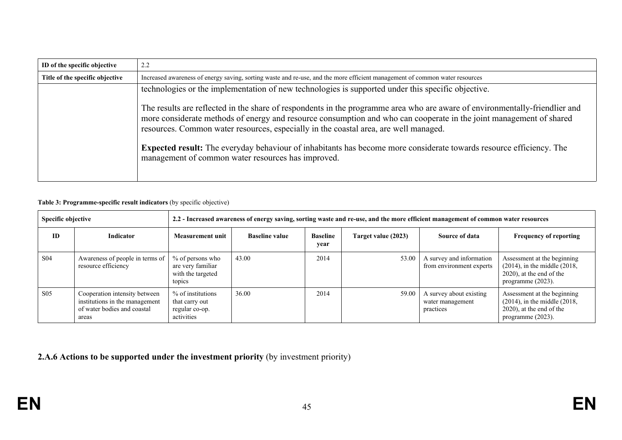| ID of the specific objective    | 2.2                                                                                                                                                                                                                                                                                                                                        |
|---------------------------------|--------------------------------------------------------------------------------------------------------------------------------------------------------------------------------------------------------------------------------------------------------------------------------------------------------------------------------------------|
| Title of the specific objective | Increased awareness of energy saving, sorting waste and re-use, and the more efficient management of common water resources                                                                                                                                                                                                                |
|                                 | technologies or the implementation of new technologies is supported under this specific objective.                                                                                                                                                                                                                                         |
|                                 | The results are reflected in the share of respondents in the programme area who are aware of environmentally-friendlier and<br>more considerate methods of energy and resource consumption and who can cooperate in the joint management of shared<br>resources. Common water resources, especially in the coastal area, are well managed. |
|                                 | <b>Expected result:</b> The everyday behaviour of inhabitants has become more considerate towards resource efficiency. The<br>management of common water resources has improved.                                                                                                                                                           |

#### **Table 3: Programme-specific result indicators** (by specific objective)

| Specific objective |                                                                                                         | 2.2 - Increased awareness of energy saving, sorting waste and re-use, and the more efficient management of common water resources |                       |                         |                     |                                                          |                                                                                                                            |  |  |
|--------------------|---------------------------------------------------------------------------------------------------------|-----------------------------------------------------------------------------------------------------------------------------------|-----------------------|-------------------------|---------------------|----------------------------------------------------------|----------------------------------------------------------------------------------------------------------------------------|--|--|
| <b>ID</b>          | <b>Indicator</b>                                                                                        | Measurement unit                                                                                                                  | <b>Baseline value</b> | <b>Baseline</b><br>year | Target value (2023) | Source of data                                           | <b>Frequency of reporting</b>                                                                                              |  |  |
| S <sub>04</sub>    | Awareness of people in terms of<br>resource efficiency                                                  | % of persons who<br>are very familiar<br>with the targeted<br>topics                                                              | 43.00                 | 2014                    | 53.00               | A survey and information<br>from environment experts     | Assessment at the beginning<br>$(2014)$ , in the middle $(2018)$ ,<br>$(2020)$ , at the end of the<br>programme $(2023)$ . |  |  |
| S <sub>05</sub>    | Cooperation intensity between<br>institutions in the management<br>of water bodies and coastal<br>areas | % of institutions<br>that carry out<br>regular co-op.<br>activities                                                               | 36.00                 | 2014                    | 59.00               | A survey about existing<br>water management<br>practices | Assessment at the beginning<br>$(2014)$ , in the middle $(2018)$ ,<br>$(2020)$ , at the end of the<br>programme $(2023)$ . |  |  |

**2.A.6 Actions to be supported under the investment priority** (by investment priority)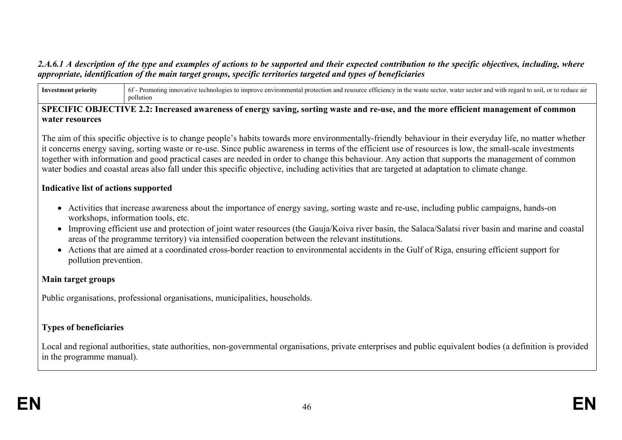### 2.A.6.1 A description of the type and examples of actions to be supported and their expected contribution to the specific objectives, including, where *appropriate, identification of the main target groups, specific territories targeted and types of beneficiaries*

Investment priority 6f - Promoting innovative technologies to improve environmental protection and resource efficiency in the waste sector, water sector and with regard to soil, or to reduce air pollution

#### SPECIFIC OBJECTIVE 2.2: Increased awareness of energy saving, sorting waste and re-use, and the more efficient management of common **water resources**

The aim of this specific objective is to change people's habits towards more environmentally-friendly behaviour in their everyday life, no matter whether it concerns energy saving, sorting waste or re-use. Since public awareness in terms of the efficient use of resources is low, the small-scale investments together with information and good practical cases are needed in order to change this behaviour. Any action that supports the management of common water bodies and coastal areas also fall under this specific objective, including activities that are targeted at adaptation to climate change.

#### **Indicative list of actions supported**

- Activities that increase awareness about the importance of energy saving, sorting waste and re-use, including public campaigns, hands-on workshops, information tools, etc.
- Improving efficient use and protection of joint water resources (the Gauja/Koiva river basin, the Salaca/Salatsi river basin and marine and coastal areas of the programme territory) via intensified cooperation between the relevant institutions.
- Actions that are aimed at a coordinated cross-border reaction to environmental accidents in the Gulf of Riga, ensuring efficient support for pollution prevention.

### **Main target groups**

Public organisations, professional organisations, municipalities, households.

# **Types of beneficiaries**

Local and regional authorities, state authorities, non-governmental organisations, private enterprises and public equivalent bodies (a definition is provided in the programme manual).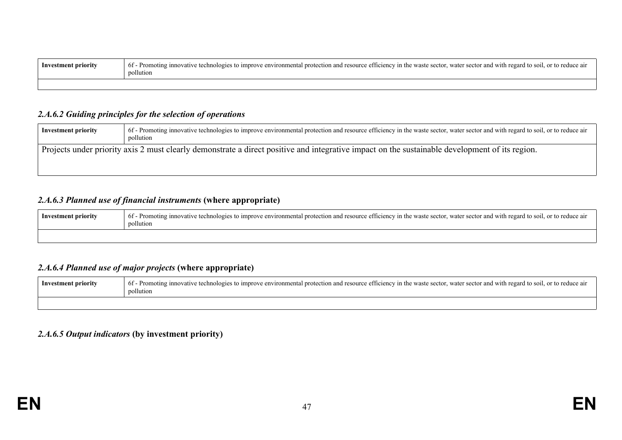| Investment priority | f - Promoting innovative technologies to improve environmental protection and resource efficiency in the waste sector, water sector and with regard to soil, or to reduce air<br>$\epsilon$<br>6t<br>pollution |
|---------------------|----------------------------------------------------------------------------------------------------------------------------------------------------------------------------------------------------------------|
|                     |                                                                                                                                                                                                                |

#### *2.A.6.2 Guiding principles for the selection of operations*

| Investment priority | 6f - Promoting innovative technologies to improve environmental protection and resource efficiency in the waste sector, water sector and with regard to soil, or to reduce air<br>pollution |
|---------------------|---------------------------------------------------------------------------------------------------------------------------------------------------------------------------------------------|
|                     | Projects under priority axis 2 must clearly demonstrate a direct positive and integrative impact on the sustainable development of its region.                                              |

## *2.A.6.3 Planned use of financial instruments* **(where appropriate)**

| Investment priority | 6f - Promoting innovative technologies to improve environmental protection and resource efficiency in the waste sector, water sector and with regard to soil, or to reduce air<br>pollution |
|---------------------|---------------------------------------------------------------------------------------------------------------------------------------------------------------------------------------------|
|                     |                                                                                                                                                                                             |

# *2.A.6.4 Planned use of major projects* **(where appropriate)**

| Investment priority | 6f - Promoting innovative technologies to improve environmental protection and resource efficiency in the waste sector, water sector and with regard to soil, or to reduce air<br>ıllutıon |
|---------------------|--------------------------------------------------------------------------------------------------------------------------------------------------------------------------------------------|
|                     |                                                                                                                                                                                            |

### *2.A.6.5 Output indicators* **(by investment priority)**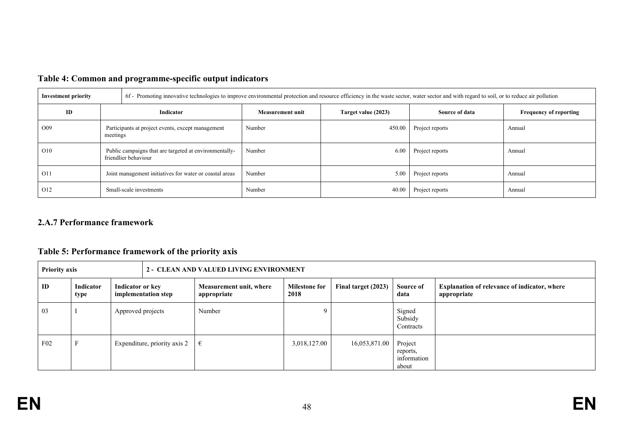| <b>Investment priority</b> |                                                                                | 6f - Promoting innovative technologies to improve environmental protection and resource efficiency in the waste sector, water sector and with regard to soil, or to reduce air pollution |                         |                     |                 |                               |  |  |  |
|----------------------------|--------------------------------------------------------------------------------|------------------------------------------------------------------------------------------------------------------------------------------------------------------------------------------|-------------------------|---------------------|-----------------|-------------------------------|--|--|--|
| ID                         | Indicator                                                                      |                                                                                                                                                                                          | <b>Measurement unit</b> | Target value (2023) | Source of data  | <b>Frequency of reporting</b> |  |  |  |
| O <sub>0</sub> 9           | Participants at project events, except management<br>meetings                  |                                                                                                                                                                                          | Number                  | 450.00              | Project reports | Annual                        |  |  |  |
| O <sub>10</sub>            | Public campaigns that are targeted at environmentally-<br>friendlier behaviour |                                                                                                                                                                                          | Number                  | 6.00                | Project reports | Annual                        |  |  |  |
| O11                        | Joint management initiatives for water or coastal areas                        |                                                                                                                                                                                          | Number                  | 5.00                | Project reports | Annual                        |  |  |  |
| O <sub>12</sub>            | Small-scale investments                                                        |                                                                                                                                                                                          | Number                  | 40.00               | Project reports | Annual                        |  |  |  |

# **Table 4: Common and programme-specific output indicators**

### **2.A.7 Performance framework**

# **Table 5: Performance framework of the priority axis**

| <b>Priority axis</b><br>2 - CLEAN AND VALUED LIVING ENVIRONMENT |                   |                                         |                              |                                        |                              |                     |                                             |                                                                    |
|-----------------------------------------------------------------|-------------------|-----------------------------------------|------------------------------|----------------------------------------|------------------------------|---------------------|---------------------------------------------|--------------------------------------------------------------------|
| ID                                                              | Indicator<br>type | Indicator or key<br>implementation step |                              | Measurement unit, where<br>appropriate | <b>Milestone for</b><br>2018 | Final target (2023) | Source of<br>data                           | <b>Explanation of relevance of indicator, where</b><br>appropriate |
| 03                                                              |                   | Approved projects                       |                              | Number                                 | $\Omega$                     |                     | Signed<br>Subsidy<br>Contracts              |                                                                    |
| $F_{02}$                                                        |                   |                                         | Expenditure, priority axis 2 | €                                      | 3,018,127.00                 | 16,053,871.00       | Project<br>reports,<br>information<br>about |                                                                    |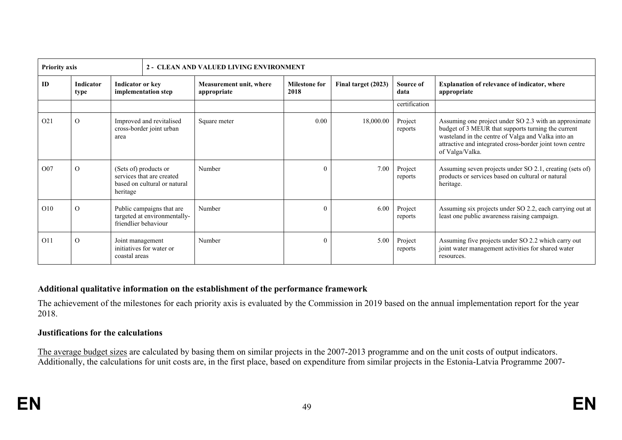| <b>Priority axis</b> |                   |                                                                                                |                          | 2 - CLEAN AND VALUED LIVING ENVIRONMENT |                              |                     |                    |                                                                                                                                                                                                                                                  |
|----------------------|-------------------|------------------------------------------------------------------------------------------------|--------------------------|-----------------------------------------|------------------------------|---------------------|--------------------|--------------------------------------------------------------------------------------------------------------------------------------------------------------------------------------------------------------------------------------------------|
| ID                   | Indicator<br>type | Indicator or key<br>implementation step                                                        |                          | Measurement unit, where<br>appropriate  | <b>Milestone for</b><br>2018 | Final target (2023) | Source of<br>data  | <b>Explanation of relevance of indicator, where</b><br>appropriate                                                                                                                                                                               |
|                      |                   |                                                                                                |                          |                                         |                              |                     | certification      |                                                                                                                                                                                                                                                  |
| O <sub>21</sub>      | $\Omega$          | Improved and revitalised<br>cross-border joint urban<br>area                                   |                          | Square meter                            | 0.00                         | 18,000.00           | Project<br>reports | Assuming one project under SO 2.3 with an approximate<br>budget of 3 MEUR that supports turning the current<br>wasteland in the centre of Valga and Valka into an<br>attractive and integrated cross-border joint town centre<br>of Valga/Valka. |
| O <sub>07</sub>      | $\Omega$          | (Sets of) products or<br>services that are created<br>based on cultural or natural<br>heritage |                          | Number                                  | $\theta$                     | 7.00                | Project<br>reports | Assuming seven projects under SO 2.1, creating (sets of)<br>products or services based on cultural or natural<br>heritage.                                                                                                                       |
| O <sub>10</sub>      | $\Omega$          | Public campaigns that are<br>targeted at environmentally-<br>friendlier behaviour              |                          | Number                                  | $\Omega$                     | 6.00                | Project<br>reports | Assuming six projects under SO 2.2, each carrying out at<br>least one public awareness raising campaign.                                                                                                                                         |
| O11                  | $\Omega$          | Joint management<br>coastal areas                                                              | initiatives for water or | Number                                  | $\Omega$                     | 5.00                | Project<br>reports | Assuming five projects under SO 2.2 which carry out<br>joint water management activities for shared water<br>resources.                                                                                                                          |

#### **Additional qualitative information on the establishment of the performance framework**

The achievement of the milestones for each priority axis is evaluated by the Commission in 2019 based on the annual implementation report for the year 2018.

#### **Justifications for the calculations**

The average budget sizes are calculated by basing them on similar projects in the 2007-2013 programme and on the unit costs of output indicators. Additionally, the calculations for unit costs are, in the first place, based on expenditure from similar projects in the Estonia-Latvia Programme 2007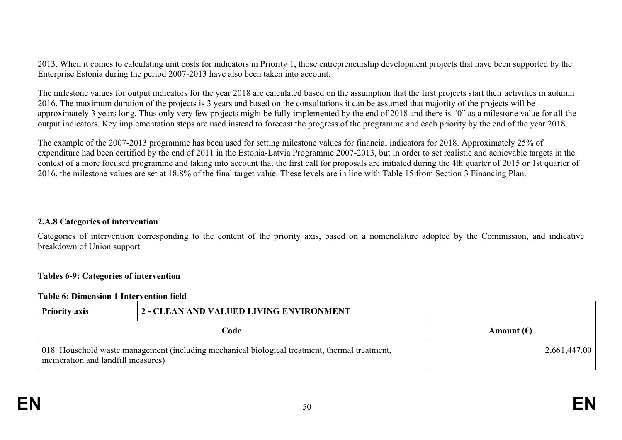2013. When it comes to calculating unit costs for indicators in Priority 1, those entrepreneurship development projects that have been supported by the Enterprise Estonia during the period 2007-2013 have also been taken into account.

The milestone values for output indicators for the year 2018 are calculated based on the assumption that the first projects start their activities in autumn 2016. The maximum duration of the projects is 3 years and based on the consultations it can be assumed that majority of the projects will be approximately 3 years long. Thus only very few projects might be fully implemented by the end of 2018 and there is "0" as a milestone value for all the output indicators. Key implementation steps are used instead to forecast the progress of the programme and each priority by the end of the year 2018.

The example of the 2007-2013 programme has been used for setting milestone values for financial indicators for 2018. Approximately 25% of expenditure had been certified by the end of 2011 in the Estonia-Latvia Programme 2007-2013, but in order to set realistic and achievable targets in the context of a more focused programme and taking into account that the first call for proposals are initiated during the 4th quarter of 2015 or 1st quarter of 2016, the milestone values are set at 18.8% of the final target value. These levels are in line with Table 15 from Section 3 Financing Plan.

#### **2.A.8 Categories of intervention**

Categories of intervention corresponding to the content of the priority axis, based on a nomenclature adopted by the Commission, and indicative breakdown of Union support

#### **Tables 6-9: Categories of intervention**

#### **Table 6: Dimension 1 Intervention field**

| <b>Priority axis</b>                | 2 - CLEAN AND VALUED LIVING ENVIRONMENT                                                        |                     |  |  |  |  |
|-------------------------------------|------------------------------------------------------------------------------------------------|---------------------|--|--|--|--|
|                                     | Code                                                                                           | Amount $(\epsilon)$ |  |  |  |  |
| incineration and landfill measures) | 018. Household waste management (including mechanical biological treatment, thermal treatment, | 2,661,447.00        |  |  |  |  |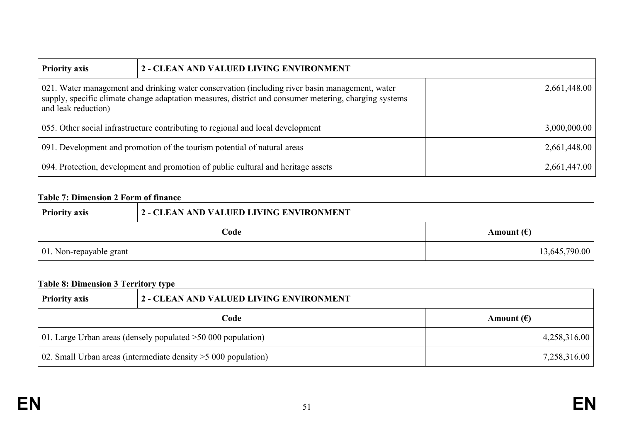| <b>Priority axis</b>                                                            | 2 - CLEAN AND VALUED LIVING ENVIRONMENT                                                                                                                                                                                 |              |  |  |  |  |  |
|---------------------------------------------------------------------------------|-------------------------------------------------------------------------------------------------------------------------------------------------------------------------------------------------------------------------|--------------|--|--|--|--|--|
| and leak reduction)                                                             | 021. Water management and drinking water conservation (including river basin management, water<br>2,661,448.00<br>supply, specific climate change adaptation measures, district and consumer metering, charging systems |              |  |  |  |  |  |
| 055. Other social infrastructure contributing to regional and local development | 3,000,000.00                                                                                                                                                                                                            |              |  |  |  |  |  |
|                                                                                 | 091. Development and promotion of the tourism potential of natural areas                                                                                                                                                | 2,661,448.00 |  |  |  |  |  |
|                                                                                 | 094. Protection, development and promotion of public cultural and heritage assets                                                                                                                                       | 2,661,447.00 |  |  |  |  |  |

# **Table 7: Dimension 2 Form of finance**

| <b>Priority axis</b>            | 2 - CLEAN AND VALUED LIVING ENVIRONMENT |                     |  |
|---------------------------------|-----------------------------------------|---------------------|--|
|                                 | Code                                    | Amount $(\epsilon)$ |  |
| $\vert$ 01. Non-repayable grant |                                         | 13,645,790.00       |  |

# **Table 8: Dimension 3 Territory type**

| <b>Priority axis</b>                                            | 2 - CLEAN AND VALUED LIVING ENVIRONMENT |                     |  |  |
|-----------------------------------------------------------------|-----------------------------------------|---------------------|--|--|
|                                                                 | Code                                    | Amount $(\epsilon)$ |  |  |
| 01. Large Urban areas (densely populated $>50,000$ population)  |                                         | 4,258,316.00        |  |  |
| 02. Small Urban areas (intermediate density $>5000$ population) |                                         | 7,258,316.00        |  |  |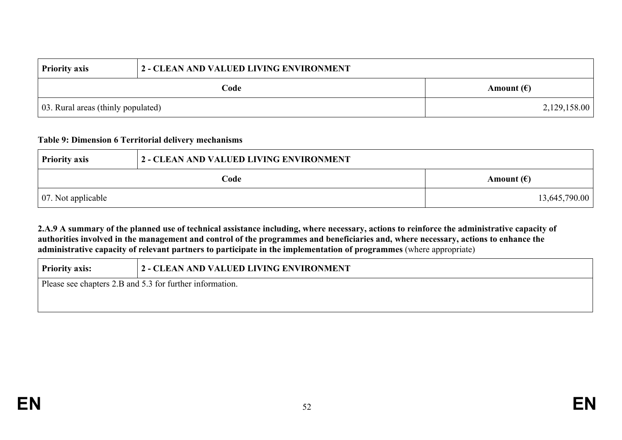| <b>Priority axis</b>               | 2 - CLEAN AND VALUED LIVING ENVIRONMENT |                     |  |  |
|------------------------------------|-----------------------------------------|---------------------|--|--|
|                                    | Code                                    | Amount $(\epsilon)$ |  |  |
| 03. Rural areas (thinly populated) |                                         | 2,129,158.00        |  |  |

#### **Table 9: Dimension 6 Territorial delivery mechanisms**

| <b>Priority axis</b>       | 2 - CLEAN AND VALUED LIVING ENVIRONMENT |                     |  |  |
|----------------------------|-----------------------------------------|---------------------|--|--|
|                            | Code                                    | Amount $(\epsilon)$ |  |  |
| $\vert$ 07. Not applicable |                                         | 13,645,790.00       |  |  |

2.A.9 A summary of the planned use of technical assistance including, where necessary, actions to reinforce the administrative capacity of authorities involved in the management and control of the programmes and beneficiaries and, where necessary, actions to enhance the **administrative capacity of relevant partners to participate in the implementation of programmes** (where appropriate)

| <b>Priority axis:</b>                                    | 2 - CLEAN AND VALUED LIVING ENVIRONMENT |  |  |
|----------------------------------------------------------|-----------------------------------------|--|--|
| Please see chapters 2.B and 5.3 for further information. |                                         |  |  |
|                                                          |                                         |  |  |
|                                                          |                                         |  |  |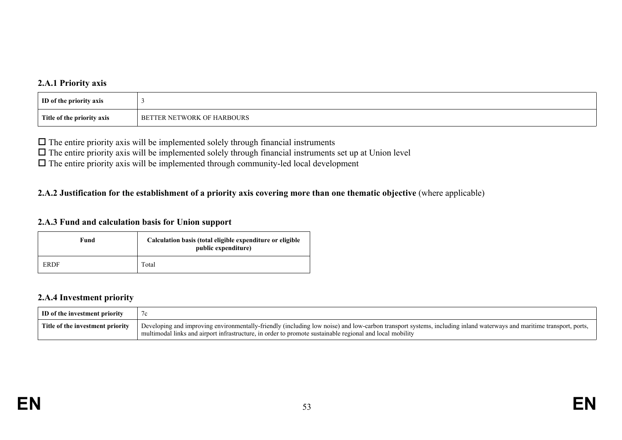### **2.A.1 Priority axis**

| <b>ID</b> of the priority axis |                                             |
|--------------------------------|---------------------------------------------|
| Title of the priority axis     | TTER NETWORK<br>L OF HARBOURS<br><b>BET</b> |

 $\Box$  The entire priority axis will be implemented solely through financial instruments

 $\Box$  The entire priority axis will be implemented solely through financial instruments set up at Union level

 $\Box$  The entire priority axis will be implemented through community-led local development

### 2.A.2 Justification for the establishment of a priority axis covering more than one thematic objective (where applicable)

#### **2.A.3 Fund and calculation basis for Union support**

| Fund | Calculation basis (total eligible expenditure or eligible<br>public expenditure) |  |  |
|------|----------------------------------------------------------------------------------|--|--|
| ERDF | Total                                                                            |  |  |

#### **2.A.4 Investment priority**

| ID of the investment priority    |                                                                                                                                                                                                                                                                                 |
|----------------------------------|---------------------------------------------------------------------------------------------------------------------------------------------------------------------------------------------------------------------------------------------------------------------------------|
| Title of the investment priority | Developing and improving environmentally-friendly (including low noise) and low-carbon transport systems, including inland waterways and maritime transport, ports,<br>multimodal links and airport infrastructure, in order to promote sustainable regional and local mobility |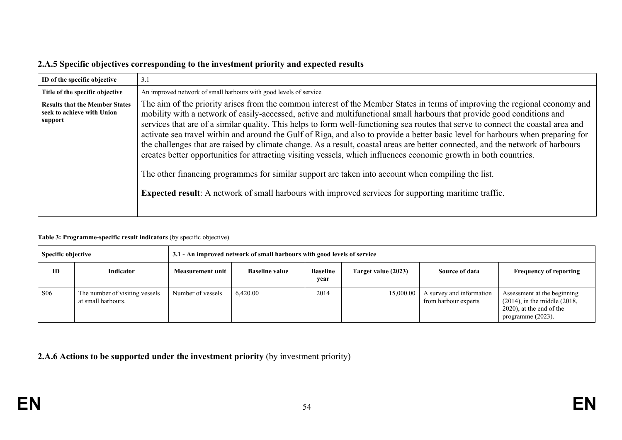|  |  | 2.A.5 Specific objectives corresponding to the investment priority and expected results |
|--|--|-----------------------------------------------------------------------------------------|
|--|--|-----------------------------------------------------------------------------------------|

| ID of the specific objective                                                   | 3.1                                                                                                                                                                                                                                                                                                                                                                                                                                                                                                                                                                                                                                                                                                                                                                                                                                                                                                                                                                                                        |
|--------------------------------------------------------------------------------|------------------------------------------------------------------------------------------------------------------------------------------------------------------------------------------------------------------------------------------------------------------------------------------------------------------------------------------------------------------------------------------------------------------------------------------------------------------------------------------------------------------------------------------------------------------------------------------------------------------------------------------------------------------------------------------------------------------------------------------------------------------------------------------------------------------------------------------------------------------------------------------------------------------------------------------------------------------------------------------------------------|
| Title of the specific objective                                                | An improved network of small harbours with good levels of service                                                                                                                                                                                                                                                                                                                                                                                                                                                                                                                                                                                                                                                                                                                                                                                                                                                                                                                                          |
| <b>Results that the Member States</b><br>seek to achieve with Union<br>support | The aim of the priority arises from the common interest of the Member States in terms of improving the regional economy and<br>mobility with a network of easily-accessed, active and multifunctional small harbours that provide good conditions and<br>services that are of a similar quality. This helps to form well-functioning sea routes that serve to connect the coastal area and<br>activate sea travel within and around the Gulf of Riga, and also to provide a better basic level for harbours when preparing for<br>the challenges that are raised by climate change. As a result, coastal areas are better connected, and the network of harbours<br>creates better opportunities for attracting visiting vessels, which influences economic growth in both countries.<br>The other financing programmes for similar support are taken into account when compiling the list.<br><b>Expected result:</b> A network of small harbours with improved services for supporting maritime traffic. |

#### **Table 3: Programme-specific result indicators** (by specific objective)

| Specific objective |                                                      | 3.1 - An improved network of small harbours with good levels of service |                       |                         |                     |                                                  |                                                                                                                            |
|--------------------|------------------------------------------------------|-------------------------------------------------------------------------|-----------------------|-------------------------|---------------------|--------------------------------------------------|----------------------------------------------------------------------------------------------------------------------------|
| ID                 | Indicator                                            | Measurement unit                                                        | <b>Baseline value</b> | <b>Baseline</b><br>year | Target value (2023) | Source of data                                   | <b>Frequency of reporting</b>                                                                                              |
| <b>S06</b>         | The number of visiting vessels<br>at small harbours. | Number of vessels                                                       | 6.420.00              | 2014                    | 15,000.00           | A survey and information<br>from harbour experts | Assessment at the beginning<br>$(2014)$ , in the middle $(2018)$ ,<br>$(2020)$ , at the end of the<br>programme $(2023)$ . |

**2.A.6 Actions to be supported under the investment priority** (by investment priority)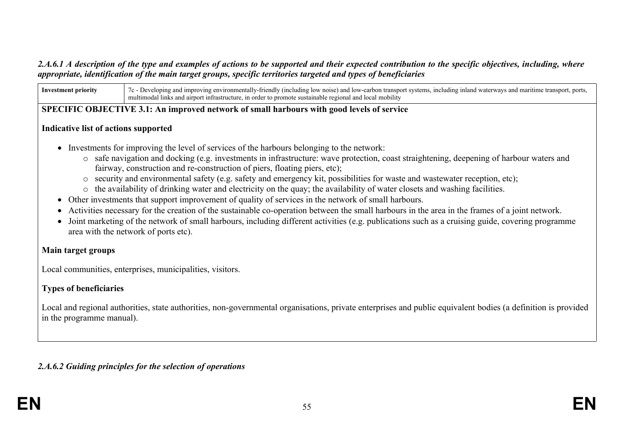#### 2.A.6.1 A description of the type and examples of actions to be supported and their expected contribution to the specific objectives, including, where *appropriate, identification of the main target groups, specific territories targeted and types of beneficiaries*

**Investment priority** 7c - Developing and improving environmentally-friendly (including low noise) and low-carbon transport systems, including inland waterways and maritime transport, ports, multimodal links and airport infrastructure, in order to promote sustainable regional and local mobility

#### **SPECIFIC OBJECTIVE 3.1: An improved network of small harbours with good levels of service**

#### **Indicative list of actions supported**

- Investments for improving the level of services of the harbours belonging to the network:
	- o safe navigation and docking (e.g. investments in infrastructure: wave protection, coast straightening, deepening of harbour waters and fairway, construction and re-construction of piers, floating piers, etc);
	- o security and environmental safety (e.g. safety and emergency kit, possibilities for waste and wastewater reception, etc);
	- o the availability of drinking water and electricity on the quay; the availability of water closets and washing facilities.
- Other investments that support improvement of quality of services in the network of small harbours.
- Activities necessary for the creation of the sustainable co-operation between the small harbours in the area in the frames of a joint network.
- Joint marketing of the network of small harbours, including different activities (e.g. publications such as a cruising guide, covering programme area with the network of ports etc).

### **Main target groups**

Local communities, enterprises, municipalities, visitors.

# **Types of beneficiaries**

Local and regional authorities, state authorities, non-governmental organisations, private enterprises and public equivalent bodies (a definition is provided in the programme manual).

# *2.A.6.2 Guiding principles for the selection of operations*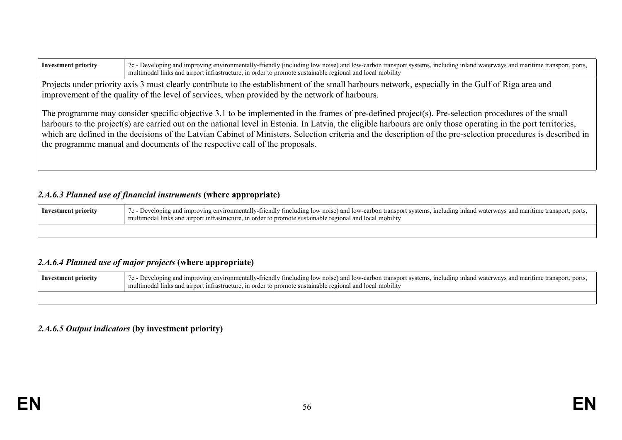| <b>Investment priority</b>                                                                                                                                                                                                                           | 7c - Developing and improving environmentally-friendly (including low noise) and low-carbon transport systems, including inland waterways and maritime transport, ports,<br>multimodal links and airport infrastructure, in order to promote sustainable regional and local mobility                                                                                                                                                                                                                                                                                   |  |
|------------------------------------------------------------------------------------------------------------------------------------------------------------------------------------------------------------------------------------------------------|------------------------------------------------------------------------------------------------------------------------------------------------------------------------------------------------------------------------------------------------------------------------------------------------------------------------------------------------------------------------------------------------------------------------------------------------------------------------------------------------------------------------------------------------------------------------|--|
| Projects under priority axis 3 must clearly contribute to the establishment of the small harbours network, especially in the Gulf of Riga area and<br>improvement of the quality of the level of services, when provided by the network of harbours. |                                                                                                                                                                                                                                                                                                                                                                                                                                                                                                                                                                        |  |
|                                                                                                                                                                                                                                                      | The programme may consider specific objective 3.1 to be implemented in the frames of pre-defined project(s). Pre-selection procedures of the small<br>harbours to the project(s) are carried out on the national level in Estonia. In Latvia, the eligible harbours are only those operating in the port territories,<br>which are defined in the decisions of the Latvian Cabinet of Ministers. Selection criteria and the description of the pre-selection procedures is described in<br>the programme manual and documents of the respective call of the proposals. |  |

# *2.A.6.3 Planned use of financial instruments* **(where appropriate)**

| Investment priority | 7c - Developing and improving environmentally-friendly (including low noise) and low-carbon transport systems, including inland waterways and maritime transport, ports,<br>multimodal links and airport infrastructure, in order to promote sustainable regional and local mobility |
|---------------------|--------------------------------------------------------------------------------------------------------------------------------------------------------------------------------------------------------------------------------------------------------------------------------------|
|                     |                                                                                                                                                                                                                                                                                      |

# *2.A.6.4 Planned use of major projects* **(where appropriate)**

| Investment priority | 7c - Developing and improving environmentally-friendly (including low noise) and low-carbon transport systems, including inland waterways and maritime transport, ports,<br>multimodal links and airport infrastructure, in order to promote sustainable regional and local mobility |
|---------------------|--------------------------------------------------------------------------------------------------------------------------------------------------------------------------------------------------------------------------------------------------------------------------------------|
|                     |                                                                                                                                                                                                                                                                                      |

# *2.A.6.5 Output indicators* **(by investment priority)**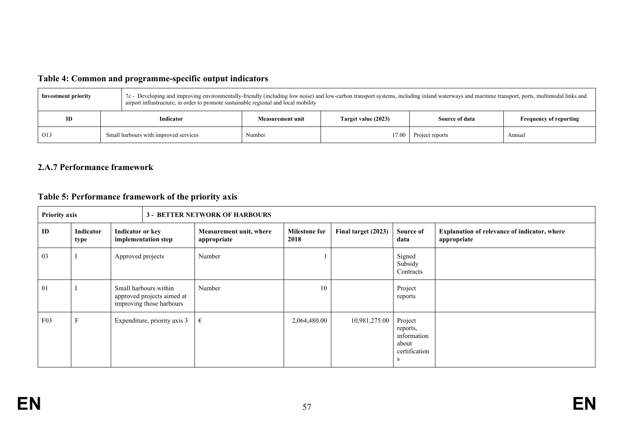# **Table 4: Common and programme-specific output indicators**

| 7c - Developing and improving environmentally-friendly (including low noise) and low-carbon transport systems, including inland waterways and maritime transport, ports, multimodal links and<br><b>Investment priority</b><br>airport infrastructure, in order to promote sustainable regional and local mobility |                                       |                  |                     |                 |                               |
|--------------------------------------------------------------------------------------------------------------------------------------------------------------------------------------------------------------------------------------------------------------------------------------------------------------------|---------------------------------------|------------------|---------------------|-----------------|-------------------------------|
| ID                                                                                                                                                                                                                                                                                                                 | Indicator                             | Measurement unit | Target value (2023) | Source of data  | <b>Frequency of reporting</b> |
| O13                                                                                                                                                                                                                                                                                                                | Small harbours with improved services | Number           | 17.00               | Project reports | Annual                        |

# **2.A.7 Performance framework**

# **Table 5: Performance framework of the priority axis**

| <b>Priority axis</b> |                   |                         | <b>3 - BETTER NETWORK OF HARBOURS</b>                                           |                                        |                              |                     |                                                                    |                                                             |
|----------------------|-------------------|-------------------------|---------------------------------------------------------------------------------|----------------------------------------|------------------------------|---------------------|--------------------------------------------------------------------|-------------------------------------------------------------|
| ID                   | Indicator<br>type | <b>Indicator or key</b> | implementation step                                                             | Measurement unit, where<br>appropriate | <b>Milestone for</b><br>2018 | Final target (2023) | Source of<br>data                                                  | Explanation of relevance of indicator, where<br>appropriate |
| 03                   |                   | Approved projects       |                                                                                 | Number                                 |                              |                     | Signed<br>Subsidy<br>Contracts                                     |                                                             |
| 01                   |                   |                         | Small harbours within<br>approved projects aimed at<br>improving those harbours | Number                                 | 10                           |                     | Project<br>reports                                                 |                                                             |
| F03                  |                   |                         | Expenditure, priority axis 3                                                    | €                                      | 2,064,480.00                 | 10,981,275.00       | Project<br>reports,<br>information<br>about<br>certification<br>-S |                                                             |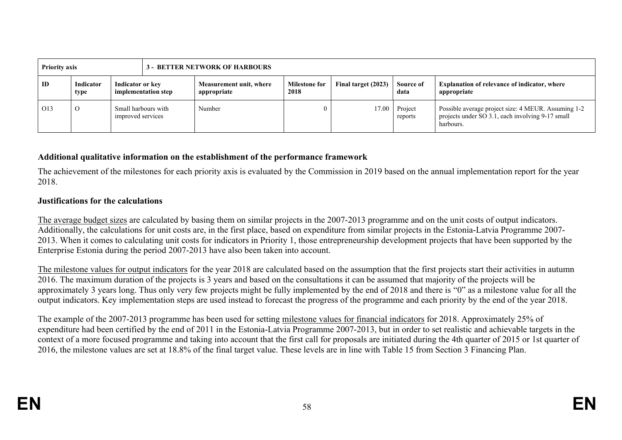| <b>Priority axis</b> |                   |                   | <b>3 - BETTER NETWORK OF HARBOURS</b> |                                        |                              |                     |                    |                                                                                                                      |
|----------------------|-------------------|-------------------|---------------------------------------|----------------------------------------|------------------------------|---------------------|--------------------|----------------------------------------------------------------------------------------------------------------------|
| ID                   | Indicator<br>type | Indicator or key  | implementation step                   | Measurement unit, where<br>appropriate | <b>Milestone for</b><br>2018 | Final target (2023) | Source of<br>data  | <b>Explanation of relevance of indicator, where</b><br>appropriate                                                   |
| O13                  |                   | improved services | Small harbours with                   | Number                                 |                              | 17.00               | Project<br>reports | Possible average project size: 4 MEUR. Assuming 1-2<br>projects under SO 3.1, each involving 9-17 small<br>harbours. |

#### **Additional qualitative information on the establishment of the performance framework**

The achievement of the milestones for each priority axis is evaluated by the Commission in 2019 based on the annual implementation report for the year 2018.

#### **Justifications for the calculations**

The average budget sizes are calculated by basing them on similar projects in the 2007-2013 programme and on the unit costs of output indicators. Additionally, the calculations for unit costs are, in the first place, based on expenditure from similar projects in the Estonia-Latvia Programme 2007- 2013. When it comes to calculating unit costs for indicators in Priority 1, those entrepreneurship development projects that have been supported by the Enterprise Estonia during the period 2007-2013 have also been taken into account.

The milestone values for output indicators for the year 2018 are calculated based on the assumption that the first projects start their activities in autumn 2016. The maximum duration of the projects is 3 years and based on the consultations it can be assumed that majority of the projects will be approximately 3 years long. Thus only very few projects might be fully implemented by the end of 2018 and there is "0" as a milestone value for all the output indicators. Key implementation steps are used instead to forecast the progress of the programme and each priority by the end of the year 2018.

The example of the 2007-2013 programme has been used for setting milestone values for financial indicators for 2018. Approximately 25% of expenditure had been certified by the end of 2011 in the Estonia-Latvia Programme 2007-2013, but in order to set realistic and achievable targets in the context of a more focused programme and taking into account that the first call for proposals are initiated during the 4th quarter of 2015 or 1st quarter of 2016, the milestone values are set at 18.8% of the final target value. These levels are in line with Table 15 from Section 3 Financing Plan.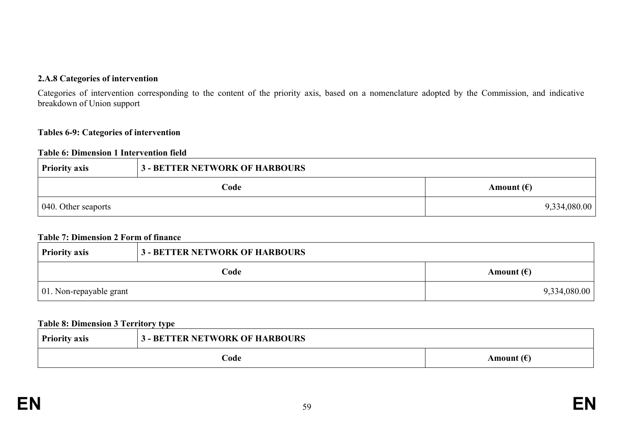#### **2.A.8 Categories of intervention**

Categories of intervention corresponding to the content of the priority axis, based on a nomenclature adopted by the Commission, and indicative breakdown of Union support

#### **Tables 6-9: Categories of intervention**

#### **Table 6: Dimension 1 Intervention field**

| <b>Priority axis</b> | <b>3 - BETTER NETWORK OF HARBOURS</b> |                     |
|----------------------|---------------------------------------|---------------------|
|                      | Code                                  | Amount $(\epsilon)$ |
| 040. Other seaports  |                                       | 9,334,080.00        |

#### **Table 7: Dimension 2 Form of finance**

| <b>Priority axis</b>            | <b>3 - BETTER NETWORK OF HARBOURS</b> |                     |
|---------------------------------|---------------------------------------|---------------------|
|                                 | Code                                  | Amount $(\epsilon)$ |
| $\vert$ 01. Non-repayable grant |                                       | 9,334,080.00        |

#### **Table 8: Dimension 3 Territory type**

| <b>Priority axis</b> | 3 - BETTER NETWORK OF HARBOURS |                     |
|----------------------|--------------------------------|---------------------|
|                      | Code                           | Amount $(\epsilon)$ |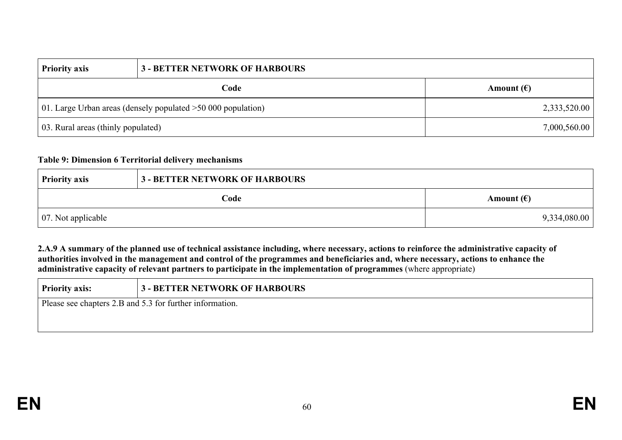| <b>Priority axis</b>                                           | <b>3 - BETTER NETWORK OF HARBOURS</b> |                     |
|----------------------------------------------------------------|---------------------------------------|---------------------|
| Code                                                           |                                       | Amount $(\epsilon)$ |
| 01. Large Urban areas (densely populated $>50,000$ population) |                                       | 2,333,520.00        |
| 03. Rural areas (thinly populated)                             |                                       | 7,000,560.00        |

#### **Table 9: Dimension 6 Territorial delivery mechanisms**

| <b>Priority axis</b>       | <b>3 - BETTER NETWORK OF HARBOURS</b> |                     |
|----------------------------|---------------------------------------|---------------------|
|                            | Code                                  | Amount $(\epsilon)$ |
| $\vert$ 07. Not applicable |                                       | 9,334,080.00        |

2.A.9 A summary of the planned use of technical assistance including, where necessary, actions to reinforce the administrative capacity of authorities involved in the management and control of the programmes and beneficiaries and, where necessary, actions to enhance the **administrative capacity of relevant partners to participate in the implementation of programmes** (where appropriate)

| <b>Priority axis:</b>                                    | <b>3 - BETTER NETWORK OF HARBOURS</b> |  |
|----------------------------------------------------------|---------------------------------------|--|
| Please see chapters 2.B and 5.3 for further information. |                                       |  |
|                                                          |                                       |  |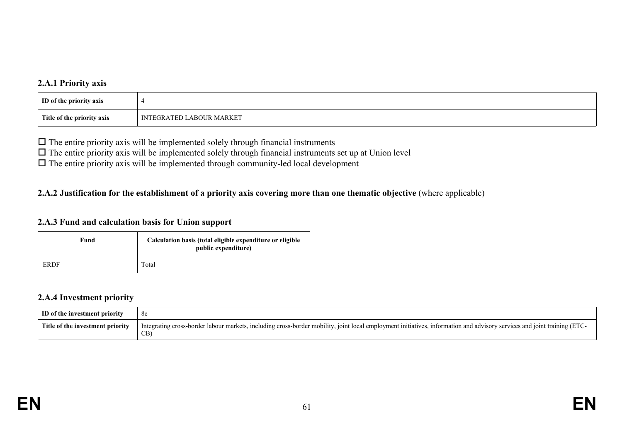#### **2.A.1 Priority axis**

| ID of the priority axis    |                   |
|----------------------------|-------------------|
| Title of the priority axis | LABOUR MARKET     |
|                            | <b>TEGRATED</b> L |

 $\Box$  The entire priority axis will be implemented solely through financial instruments

 $\Box$  The entire priority axis will be implemented solely through financial instruments set up at Union level

 $\Box$  The entire priority axis will be implemented through community-led local development

### 2.A.2 Justification for the establishment of a priority axis covering more than one thematic objective (where applicable)

#### **2.A.3 Fund and calculation basis for Union support**

| Fund | Calculation basis (total eligible expenditure or eligible<br>public expenditure) |
|------|----------------------------------------------------------------------------------|
| ERDF | Total                                                                            |

#### **2.A.4 Investment priority**

| ID of the investment priority    | 8e                                                                                                                                                                                   |
|----------------------------------|--------------------------------------------------------------------------------------------------------------------------------------------------------------------------------------|
| Title of the investment priority | Integrating cross-border labour markets, including cross-border mobility, joint local employment initiatives,<br>s, information and advisory services and joint training (ETC-<br>CB |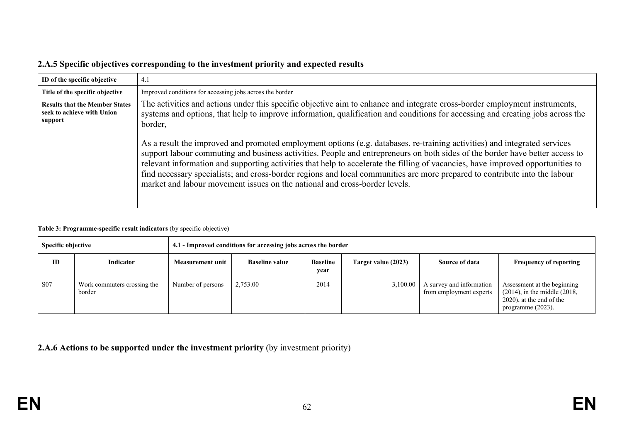|  |  | 2.A.5 Specific objectives corresponding to the investment priority and expected results |
|--|--|-----------------------------------------------------------------------------------------|
|--|--|-----------------------------------------------------------------------------------------|

| ID of the specific objective                                                   | 4.1                                                                                                                                                                                                                                                                                                                                                                                                                                                                                                                                                                                                      |
|--------------------------------------------------------------------------------|----------------------------------------------------------------------------------------------------------------------------------------------------------------------------------------------------------------------------------------------------------------------------------------------------------------------------------------------------------------------------------------------------------------------------------------------------------------------------------------------------------------------------------------------------------------------------------------------------------|
| Title of the specific objective                                                | Improved conditions for accessing jobs across the border                                                                                                                                                                                                                                                                                                                                                                                                                                                                                                                                                 |
| <b>Results that the Member States</b><br>seek to achieve with Union<br>support | The activities and actions under this specific objective aim to enhance and integrate cross-border employment instruments,<br>systems and options, that help to improve information, qualification and conditions for accessing and creating jobs across the<br>border,                                                                                                                                                                                                                                                                                                                                  |
|                                                                                | As a result the improved and promoted employment options (e.g. databases, re-training activities) and integrated services<br>support labour commuting and business activities. People and entrepreneurs on both sides of the border have better access to<br>relevant information and supporting activities that help to accelerate the filling of vacancies, have improved opportunities to<br>find necessary specialists; and cross-border regions and local communities are more prepared to contribute into the labour<br>market and labour movement issues on the national and cross-border levels. |

#### **Table 3: Programme-specific result indicators** (by specific objective)

| <b>Specific objective</b> |                                       | 4.1 - Improved conditions for accessing jobs across the border |                       |                         |                     |                                                     |                                                                                                                            |
|---------------------------|---------------------------------------|----------------------------------------------------------------|-----------------------|-------------------------|---------------------|-----------------------------------------------------|----------------------------------------------------------------------------------------------------------------------------|
| ID                        | Indicator                             | Measurement unit                                               | <b>Baseline value</b> | <b>Baseline</b><br>year | Target value (2023) | Source of data                                      | <b>Frequency of reporting</b>                                                                                              |
| <b>S07</b>                | Work commuters crossing the<br>border | Number of persons                                              | 2,753.00              | 2014                    | 3,100.00            | A survey and information<br>from employment experts | Assessment at the beginning<br>$(2014)$ , in the middle $(2018)$ ,<br>$(2020)$ , at the end of the<br>programme $(2023)$ . |

**2.A.6 Actions to be supported under the investment priority** (by investment priority)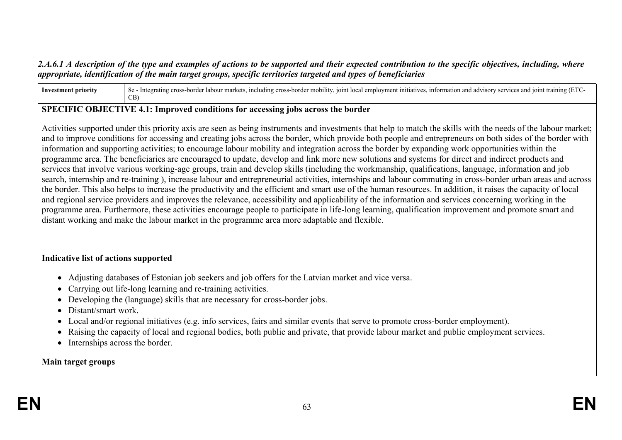### 2.A.6.1 A description of the type and examples of actions to be supported and their expected contribution to the specific objectives, including, where *appropriate, identification of the main target groups, specific territories targeted and types of beneficiaries*

| <b>Inv</b> | $\mathbf{Q}$<br>∵mob.<br>* mar⊾<br>ioint<br>$^{\circ}$ ning ,<br>atıv.<br>`clud.<br>$\cdots$<br>- cross<br>≃ eross<br>nteors<br>and<br>antc<br>າen<br>$\mathbf{r}$ u $\mathbf{r}$<br>'ar<br><b>JISOT</b> V<br>រោយ<br>лог<br>0C |
|------------|--------------------------------------------------------------------------------------------------------------------------------------------------------------------------------------------------------------------------------|
|            | CB                                                                                                                                                                                                                             |

#### **SPECIFIC OBJECTIVE 4.1: Improved conditions for accessing jobs across the border**

Activities supported under this priority axis are seen as being instruments and investments that help to match the skills with the needs of the labour market; and to improve conditions for accessing and creating jobs across the border, which provide both people and entrepreneurs on both sides of the border with information and supporting activities; to encourage labour mobility and integration across the border by expanding work opportunities within the programme area. The beneficiaries are encouraged to update, develop and link more new solutions and systems for direct and indirect products and services that involve various working-age groups, train and develop skills (including the workmanship, qualifications, language, information and job search, internship and re-training ), increase labour and entrepreneurial activities, internships and labour commuting in cross-border urban areas and across the border. This also helps to increase the productivity and the efficient and smart use of the human resources. In addition, it raises the capacity of local and regional service providers and improves the relevance, accessibility and applicability of the information and services concerning working in the programme area. Furthermore, these activities encourage people to participate in life-long learning, qualification improvement and promote smart and distant working and make the labour market in the programme area more adaptable and flexible.

#### **Indicative list of actions supported**

- Adjusting databases of Estonian job seekers and job offers for the Latvian market and vice versa.
- Carrying out life-long learning and re-training activities.
- Developing the (language) skills that are necessary for cross-border jobs.
- Distant/smart work.
- Local and/or regional initiatives (e.g. info services, fairs and similar events that serve to promote cross-border employment).
- Raising the capacity of local and regional bodies, both public and private, that provide labour market and public employment services.
- Internships across the border.

### **Main target groups**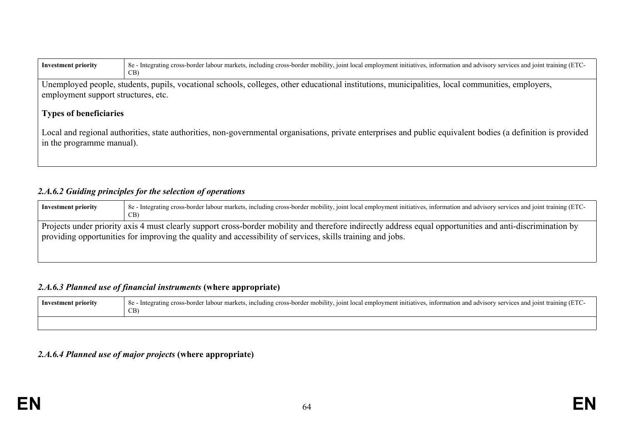| <b>Investment priority</b>                                                                                                                                                                 | 8e - Integrating cross-border labour markets, including cross-border mobility, joint local employment initiatives, information and advisory services and joint training (ETC-<br>CB     |  |  |  |  |  |  |
|--------------------------------------------------------------------------------------------------------------------------------------------------------------------------------------------|-----------------------------------------------------------------------------------------------------------------------------------------------------------------------------------------|--|--|--|--|--|--|
|                                                                                                                                                                                            | Unemployed people, students, pupils, vocational schools, colleges, other educational institutions, municipalities, local communities, employers,<br>employment support structures, etc. |  |  |  |  |  |  |
| <b>Types of beneficiaries</b>                                                                                                                                                              |                                                                                                                                                                                         |  |  |  |  |  |  |
|                                                                                                                                                                                            |                                                                                                                                                                                         |  |  |  |  |  |  |
| Local and regional authorities, state authorities, non-governmental organisations, private enterprises and public equivalent bodies (a definition is provided<br>in the programme manual). |                                                                                                                                                                                         |  |  |  |  |  |  |
|                                                                                                                                                                                            |                                                                                                                                                                                         |  |  |  |  |  |  |

### *2.A.6.2 Guiding principles for the selection of operations*

| <b>Investment priority</b> | 8e - Integrating cross-border labour markets, including cross-border mobility, joint local employment initiatives, information and advisory services and joint training (ETC-<br>CB)                                                                                    |
|----------------------------|-------------------------------------------------------------------------------------------------------------------------------------------------------------------------------------------------------------------------------------------------------------------------|
|                            | Projects under priority axis 4 must clearly support cross-border mobility and therefore indirectly address equal opportunities and anti-discrimination by<br>providing opportunities for improving the quality and accessibility of services, skills training and jobs. |

# *2.A.6.3 Planned use of financial instruments* **(where appropriate)**

| Investment priority | 8e - Integrating cross-border labour markets, including cross-border mobility, joint local employment initiatives, information and advisory services and joint training (ETC-<br>$CB$ . |
|---------------------|-----------------------------------------------------------------------------------------------------------------------------------------------------------------------------------------|
|                     |                                                                                                                                                                                         |

# *2.A.6.4 Planned use of major projects* **(where appropriate)**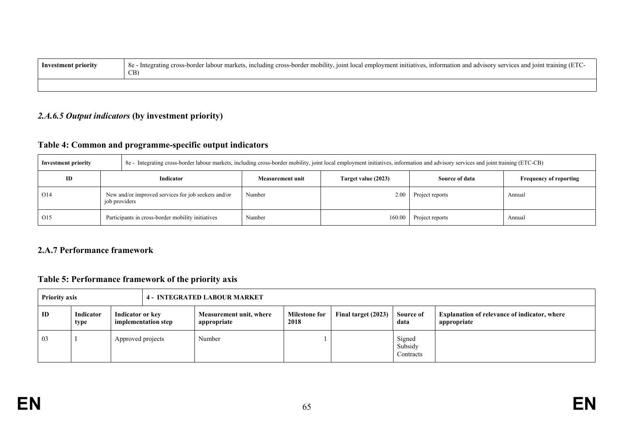| Investment priority | 8e - Integrating cross-border labour markets, including cross-border mobility, joint local employment initiatives, information and advisory services and joint training (ETC-<br>CR |
|---------------------|-------------------------------------------------------------------------------------------------------------------------------------------------------------------------------------|
|                     |                                                                                                                                                                                     |

# *2.A.6.5 Output indicators* **(by investment priority)**

# **Table 4: Common and programme-specific output indicators**

| <b>Investment priority</b> |               | 8e - Integrating cross-border labour markets, including cross-border mobility, joint local employment initiatives, information and advisory services and joint training (ETC-CB) |                  |                     |                 |                               |  |  |
|----------------------------|---------------|----------------------------------------------------------------------------------------------------------------------------------------------------------------------------------|------------------|---------------------|-----------------|-------------------------------|--|--|
| ID                         |               | Indicator                                                                                                                                                                        | Measurement unit | Target value (2023) | Source of data  | <b>Frequency of reporting</b> |  |  |
| O <sub>14</sub>            | job providers | New and/or improved services for job seekers and/or                                                                                                                              | Number           | 2.00                | Project reports | Annual                        |  |  |
| O15                        |               | Participants in cross-border mobility initiatives                                                                                                                                | Number           | 160.00              | Project reports | Annual                        |  |  |

## **2.A.7 Performance framework**

# **Table 5: Performance framework of the priority axis**

| <b>Priority axis</b> |  |                   |                                         |  | <b>4 - INTEGRATED LABOUR MARKET</b>    |                              |                     |                                |                                                                    |
|----------------------|--|-------------------|-----------------------------------------|--|----------------------------------------|------------------------------|---------------------|--------------------------------|--------------------------------------------------------------------|
| ID                   |  | Indicator<br>type | Indicator or key<br>implementation step |  | Measurement unit, where<br>appropriate | <b>Milestone for</b><br>2018 | Final target (2023) | Source of<br>data              | <b>Explanation of relevance of indicator, where</b><br>appropriate |
| 03                   |  |                   | Approved projects                       |  | Number                                 |                              |                     | Signed<br>Subsidy<br>Contracts |                                                                    |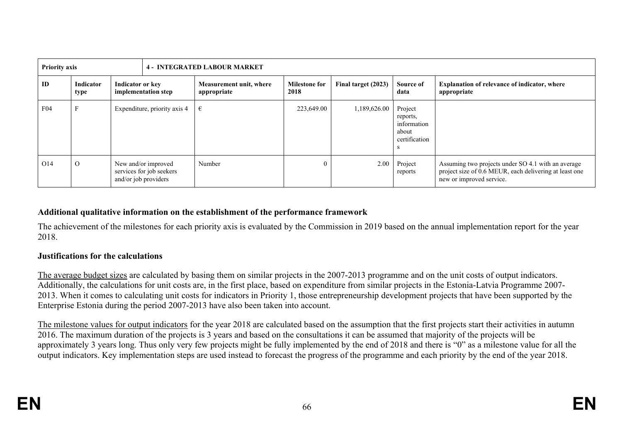| <b>Priority axis</b> | Indicator<br>Indicator or key<br>type                                               |                              | <b>4 - INTEGRATED LABOUR MARKET</b> |                                        |                              |                     |                                                                    |                                                                                                                                          |
|----------------------|-------------------------------------------------------------------------------------|------------------------------|-------------------------------------|----------------------------------------|------------------------------|---------------------|--------------------------------------------------------------------|------------------------------------------------------------------------------------------------------------------------------------------|
| ID                   |                                                                                     |                              | implementation step                 | Measurement unit, where<br>appropriate | <b>Milestone for</b><br>2018 | Final target (2023) | Source of<br>data                                                  | <b>Explanation of relevance of indicator, where</b><br>appropriate                                                                       |
| F <sub>04</sub>      |                                                                                     | Expenditure, priority axis 4 |                                     | €                                      | 223,649.00                   | 1,189,626.00        | Project<br>reports,<br>information<br>about<br>certification<br>-S |                                                                                                                                          |
| O14                  | $\Omega$<br>New and/or improved<br>services for job seekers<br>and/or job providers |                              |                                     | Number                                 |                              | 2.00                | Project<br>reports                                                 | Assuming two projects under SO 4.1 with an average<br>project size of 0.6 MEUR, each delivering at least one<br>new or improved service. |

# **Additional qualitative information on the establishment of the performance framework**

The achievement of the milestones for each priority axis is evaluated by the Commission in 2019 based on the annual implementation report for the year 2018.

### **Justifications for the calculations**

The average budget sizes are calculated by basing them on similar projects in the 2007-2013 programme and on the unit costs of output indicators. Additionally, the calculations for unit costs are, in the first place, based on expenditure from similar projects in the Estonia-Latvia Programme 2007- 2013. When it comes to calculating unit costs for indicators in Priority 1, those entrepreneurship development projects that have been supported by the Enterprise Estonia during the period 2007-2013 have also been taken into account.

The milestone values for output indicators for the year 2018 are calculated based on the assumption that the first projects start their activities in autumn 2016. The maximum duration of the projects is 3 years and based on the consultations it can be assumed that majority of the projects will be approximately 3 years long. Thus only very few projects might be fully implemented by the end of 2018 and there is "0" as a milestone value for all the output indicators. Key implementation steps are used instead to forecast the progress of the programme and each priority by the end of the year 2018.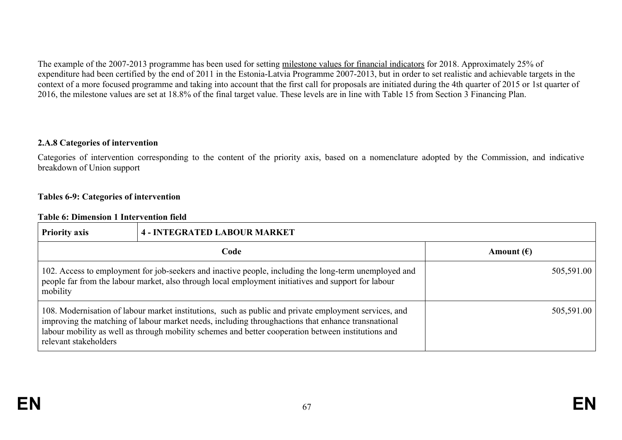The example of the 2007-2013 programme has been used for setting milestone values for financial indicators for 2018. Approximately 25% of expenditure had been certified by the end of 2011 in the Estonia-Latvia Programme 2007-2013, but in order to set realistic and achievable targets in the context of a more focused programme and taking into account that the first call for proposals are initiated during the 4th quarter of 2015 or 1st quarter of 2016, the milestone values are set at 18.8% of the final target value. These levels are in line with Table 15 from Section 3 Financing Plan.

#### **2.A.8 Categories of intervention**

Categories of intervention corresponding to the content of the priority axis, based on a nomenclature adopted by the Commission, and indicative breakdown of Union support

#### **Tables 6-9: Categories of intervention**

#### **Table 6: Dimension 1 Intervention field**

| <b>Priority axis</b>  | <b>4 - INTEGRATED LABOUR MARKET</b>                                                                                                                                                                                                                                                                                |                     |  |  |  |  |
|-----------------------|--------------------------------------------------------------------------------------------------------------------------------------------------------------------------------------------------------------------------------------------------------------------------------------------------------------------|---------------------|--|--|--|--|
|                       | Code                                                                                                                                                                                                                                                                                                               | Amount $(\epsilon)$ |  |  |  |  |
| mobility              | 102. Access to employment for job-seekers and inactive people, including the long-term unemployed and<br>people far from the labour market, also through local employment initiatives and support for labour                                                                                                       | 505,591.00          |  |  |  |  |
| relevant stakeholders | 108. Modernisation of labour market institutions, such as public and private employment services, and<br>improving the matching of labour market needs, including throughactions that enhance transnational<br>labour mobility as well as through mobility schemes and better cooperation between institutions and | 505,591.00          |  |  |  |  |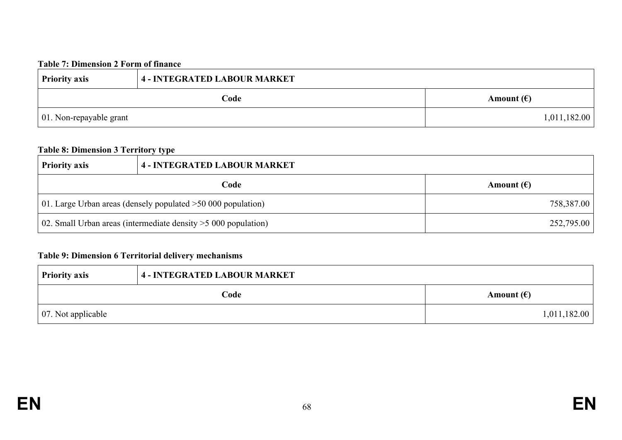### **Table 7: Dimension 2 Form of finance**

| <b>Priority axis</b>            | 4 - INTEGRATED LABOUR MARKET |                     |  |  |
|---------------------------------|------------------------------|---------------------|--|--|
|                                 | Code                         | Amount $(\epsilon)$ |  |  |
| $\vert$ 01. Non-repayable grant |                              | 1,011,182.00        |  |  |

# **Table 8: Dimension 3 Territory type**

| <b>Priority axis</b>                                                            | <b>4 - INTEGRATED LABOUR MARKET</b>                            |            |  |  |
|---------------------------------------------------------------------------------|----------------------------------------------------------------|------------|--|--|
| Code<br>Amount $(\epsilon)$                                                     |                                                                |            |  |  |
|                                                                                 | 01. Large Urban areas (densely populated $>50,000$ population) | 758,387.00 |  |  |
| 02. Small Urban areas (intermediate density $>$ 5 000 population)<br>252,795.00 |                                                                |            |  |  |

# **Table 9: Dimension 6 Territorial delivery mechanisms**

| <b>Priority axis</b>       | 4 - INTEGRATED LABOUR MARKET |                     |  |  |
|----------------------------|------------------------------|---------------------|--|--|
|                            | Code                         | Amount $(\epsilon)$ |  |  |
| $\vert$ 07. Not applicable |                              | 1,011,182.00        |  |  |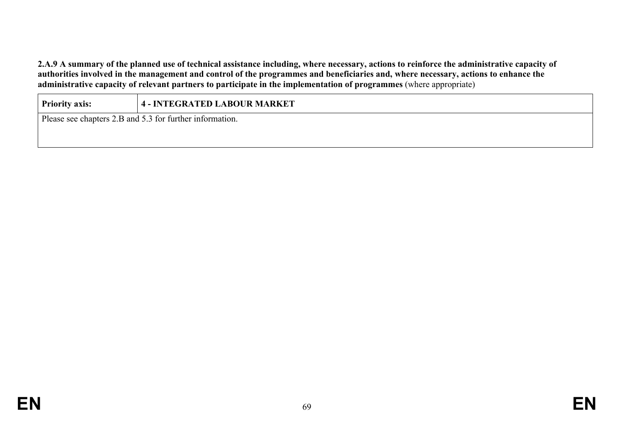2.A.9 A summary of the planned use of technical assistance including, where necessary, actions to reinforce the administrative capacity of authorities involved in the management and control of the programmes and beneficiaries and, where necessary, actions to enhance the **administrative capacity of relevant partners to participate in the implementation of programmes** (where appropriate)

| 4 - INTEGRATED LABOUR MARKET<br><b>Priority axis:</b> |                                                          |  |  |  |  |  |
|-------------------------------------------------------|----------------------------------------------------------|--|--|--|--|--|
|                                                       | Please see chapters 2.B and 5.3 for further information. |  |  |  |  |  |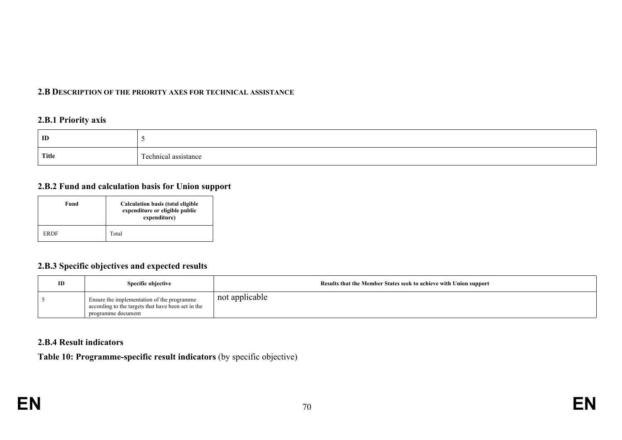#### **2.B DESCRIPTION OF THE PRIORITY AXES FOR TECHNICAL ASSISTANCE**

#### **2.B.1 Priority axis**

| ID           |                                                    |
|--------------|----------------------------------------------------|
| <b>Title</b> | --<br>achnical<br>0.0010<br>assistance<br>сеннісат |

# **2.B.2 Fund and calculation basis for Union support**

| Fund |             | Calculation basis (total eligible<br>expenditure or eligible public<br>expenditure) |  |
|------|-------------|-------------------------------------------------------------------------------------|--|
|      | <b>ERDF</b> | Total                                                                               |  |

# **2.B.3 Specific objectives and expected results**

| ID | <b>Specific objective</b>                                                                                              | Results that the Member States seek to achieve with Union support |
|----|------------------------------------------------------------------------------------------------------------------------|-------------------------------------------------------------------|
|    | Ensure the implementation of the programme<br>according to the targets that have been set in the<br>programme document | not applicable                                                    |

# **2.B.4 Result indicators**

**Table 10: Programme-specific result indicators** (by specific objective)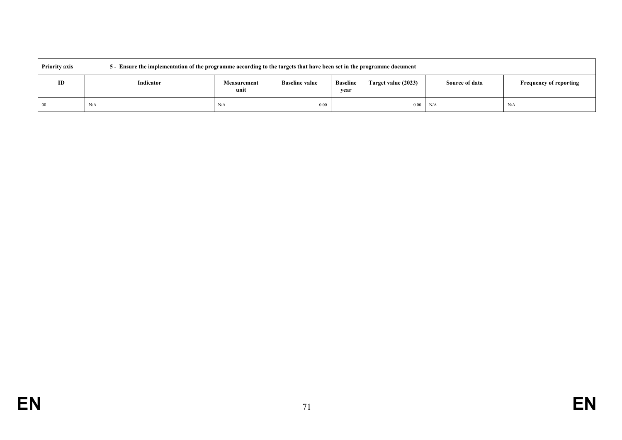| <b>Priority axis</b> |           | 5 - Ensure the implementation of the programme according to the targets that have been set in the programme document |                       |                         |                     |                       |                               |  |
|----------------------|-----------|----------------------------------------------------------------------------------------------------------------------|-----------------------|-------------------------|---------------------|-----------------------|-------------------------------|--|
| ID                   | Indicator | <b>Measurement</b><br>unit                                                                                           | <b>Baseline value</b> | <b>Baseline</b><br>vear | Target value (2023) | <b>Source of data</b> | <b>Frequency of reporting</b> |  |
| -00                  | N/A       | N/A                                                                                                                  | 0.00                  |                         | 0.00                | N/A                   | N/A                           |  |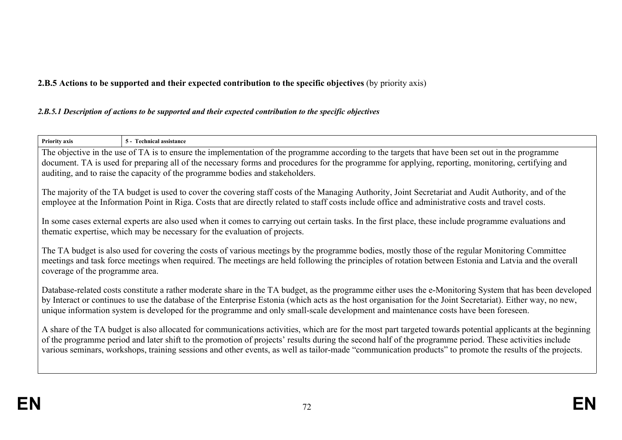# **2.B.5 Actions to be supported and their expected contribution to the specific objectives** (by priority axis)

#### *2.B.5.1 Description of actions to be supported and their expected contribution to the specific objectives*

| Priority axis                   | 5 - Technical assistance                                                                                                                                                                                                                                                                                                                                                                                                                                                           |  |  |  |  |  |
|---------------------------------|------------------------------------------------------------------------------------------------------------------------------------------------------------------------------------------------------------------------------------------------------------------------------------------------------------------------------------------------------------------------------------------------------------------------------------------------------------------------------------|--|--|--|--|--|
|                                 | The objective in the use of TA is to ensure the implementation of the programme according to the targets that have been set out in the programme<br>document. TA is used for preparing all of the necessary forms and procedures for the programme for applying, reporting, monitoring, certifying and<br>auditing, and to raise the capacity of the programme bodies and stakeholders.                                                                                            |  |  |  |  |  |
|                                 | The majority of the TA budget is used to cover the covering staff costs of the Managing Authority, Joint Secretariat and Audit Authority, and of the<br>employee at the Information Point in Riga. Costs that are directly related to staff costs include office and administrative costs and travel costs.                                                                                                                                                                        |  |  |  |  |  |
|                                 | In some cases external experts are also used when it comes to carrying out certain tasks. In the first place, these include programme evaluations and<br>the matic expertise, which may be necessary for the evaluation of projects.                                                                                                                                                                                                                                               |  |  |  |  |  |
| coverage of the programme area. | The TA budget is also used for covering the costs of various meetings by the programme bodies, mostly those of the regular Monitoring Committee<br>meetings and task force meetings when required. The meetings are held following the principles of rotation between Estonia and Latvia and the overall                                                                                                                                                                           |  |  |  |  |  |
|                                 | Database-related costs constitute a rather moderate share in the TA budget, as the programme either uses the e-Monitoring System that has been developed<br>by Interact or continues to use the database of the Enterprise Estonia (which acts as the host organisation for the Joint Secretariat). Either way, no new,<br>unique information system is developed for the programme and only small-scale development and maintenance costs have been foreseen.                     |  |  |  |  |  |
|                                 | A share of the TA budget is also allocated for communications activities, which are for the most part targeted towards potential applicants at the beginning<br>of the programme period and later shift to the promotion of projects' results during the second half of the programme period. These activities include<br>various seminars, workshops, training sessions and other events, as well as tailor-made "communication products" to promote the results of the projects. |  |  |  |  |  |
|                                 |                                                                                                                                                                                                                                                                                                                                                                                                                                                                                    |  |  |  |  |  |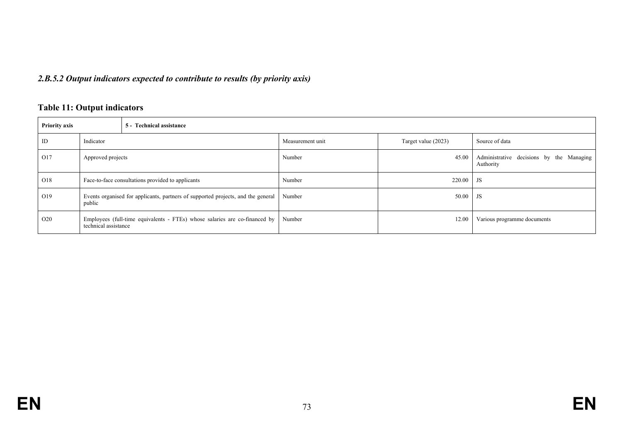# *2.B.5.2 Output indicators expected to contribute to results (by priority axis)*

# **Table 11: Output indicators**

| <b>Priority axis</b> |                                                                                            | 5 - Technical assistance                                                   |                  |                     |                                                       |  |  |  |
|----------------------|--------------------------------------------------------------------------------------------|----------------------------------------------------------------------------|------------------|---------------------|-------------------------------------------------------|--|--|--|
| ID                   | Indicator                                                                                  |                                                                            | Measurement unit | Target value (2023) | Source of data                                        |  |  |  |
| O17                  | Approved projects                                                                          |                                                                            | Number           | 45.00               | Administrative decisions by the Managing<br>Authority |  |  |  |
| O18                  | Face-to-face consultations provided to applicants                                          |                                                                            | Number           | 220.00              | <b>JS</b>                                             |  |  |  |
| O19                  | Events organised for applicants, partners of supported projects, and the general<br>public |                                                                            | Number           | 50.00               | JS                                                    |  |  |  |
| O <sub>20</sub>      | technical assistance                                                                       | Employees (full-time equivalents - FTEs) whose salaries are co-financed by | Number           | 12.00               | Various programme documents                           |  |  |  |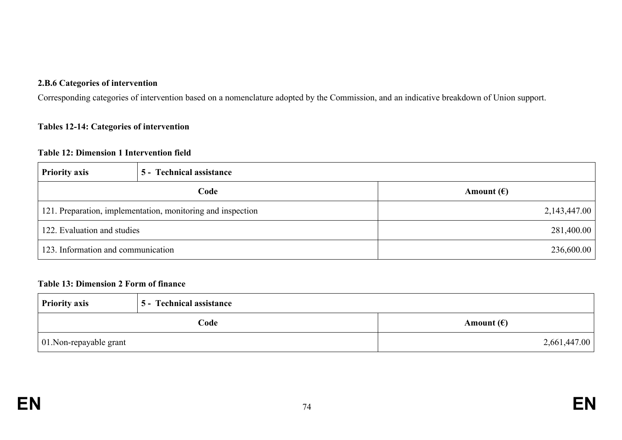#### **2.B.6 Categories of intervention**

Corresponding categories of intervention based on a nomenclature adopted by the Commission, and an indicative breakdown of Union support.

#### **Tables 12-14: Categories of intervention**

#### **Table 12: Dimension 1 Intervention field**

| <b>Priority axis</b>               | 5 - Technical assistance                                    |                     |
|------------------------------------|-------------------------------------------------------------|---------------------|
|                                    | Code                                                        | Amount $(\epsilon)$ |
|                                    | 121. Preparation, implementation, monitoring and inspection | 2,143,447.00        |
| 122. Evaluation and studies        |                                                             | 281,400.00          |
| 123. Information and communication |                                                             | 236,600.00          |

#### **Table 13: Dimension 2 Form of finance**

| <b>Priority axis</b>    | 5 - Technical assistance |                     |  |  |
|-------------------------|--------------------------|---------------------|--|--|
| Code                    |                          | Amount $(\epsilon)$ |  |  |
| 01. Non-repayable grant |                          | 2,661,447.00        |  |  |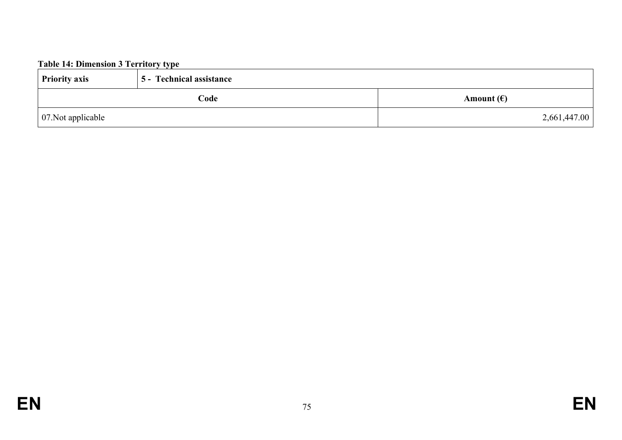# **Table 14: Dimension 3 Territory type**

| <b>Priority axis</b>       | 5 - Technical assistance |                     |
|----------------------------|--------------------------|---------------------|
|                            | Code                     | Amount $(\epsilon)$ |
| $\vert$ 07. Not applicable |                          | 2,661,447.00        |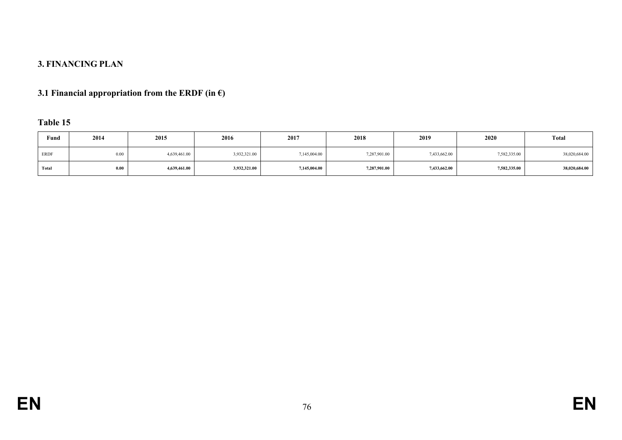# **3. FINANCING PLAN**

# **3.1 Financial appropriation from the ERDF (in €)**

# **Table 15**

| Fund  | 2014 | 2015         | 2016                                                                         | 2017         | 2018          | 2019         | 2020         |               |
|-------|------|--------------|------------------------------------------------------------------------------|--------------|---------------|--------------|--------------|---------------|
| ERDF  | 0.00 | 4,639,461.00 | 7,433,662.00<br>7,582,335.00<br>3,932,321.00<br>7,287,901.00<br>7,145,004.00 |              | 38,020,684.00 |              |              |               |
| Total | 0.00 | 4,639,461.00 | 3,932,321.00                                                                 | 7,145,004.00 | 7,287,901.00  | 7,433,662.00 | 7,582,335.00 | 38,020,684.00 |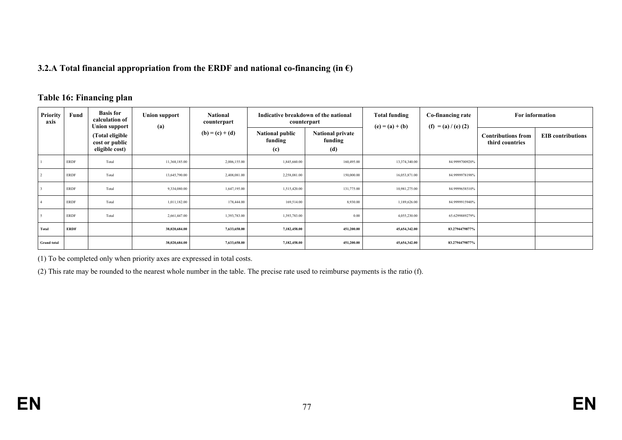#### **3.2.A Total financial appropriation from the ERDF and national co-financing (in €)**

#### **Table 16: Financing plan**

| <b>Priority</b><br>axis | Fund        | <b>Basis for</b><br>calculation of<br><b>Union support</b> | <b>Union support</b><br>(a) | <b>National</b><br>counterpart<br>$(b) = (c) + (d)$ | Indicative breakdown of the national<br>counterpart |                                           | <b>Total funding</b><br>$(e) = (a) + (b)$ |                       |                                              | For information          |
|-------------------------|-------------|------------------------------------------------------------|-----------------------------|-----------------------------------------------------|-----------------------------------------------------|-------------------------------------------|-------------------------------------------|-----------------------|----------------------------------------------|--------------------------|
|                         |             | (Total eligible<br>cost or public<br>eligible cost)        |                             |                                                     | <b>National public</b><br>funding<br>(c)            | <b>National private</b><br>funding<br>(d) |                                           | $(f) = (a) / (e) (2)$ | <b>Contributions from</b><br>third countries | <b>EIB</b> contributions |
|                         | ERDF        | Total                                                      | 11,368,185.00               | 2,006,155.00                                        | 1,845,660.00                                        | 160,495.00                                | 13,374,340.00                             | 84.9999700920%        |                                              |                          |
|                         | ERDF        | Total                                                      | 13,645,790.00               | 2,408,081.00                                        | 2,258,081.00                                        | 150,000.00                                | 16,053,871.00                             | 84.9999978198%        |                                              |                          |
|                         | <b>ERDF</b> | Total                                                      | 9,334,080.00                | 1,647,195.00                                        | 1,515,420.00                                        | 131,775.00                                | 10,981,275.00                             | 84.9999658510%        |                                              |                          |
|                         | ERDF        | Total                                                      | 1,011,182.00                | 178,444.00                                          | 169,514.00                                          | 8,930.00                                  | 1,189,626.00                              | 84.9999915940%        |                                              |                          |
|                         | <b>ERDF</b> | Total                                                      | 2,661,447.00                | 1,393,783.00                                        | 1,393,783.00                                        | 0.00                                      | 4,055,230.00                              | 65.6299889279%        |                                              |                          |
| Total                   | <b>ERDF</b> |                                                            | 38,020,684.00               | 7,633,658.00                                        | 7,182,458.00                                        | 451,200.00                                | 45,654,342.00                             | 83.2794479877%        |                                              |                          |
| <b>Grand</b> total      |             |                                                            | 38,020,684.00               | 7,633,658.00                                        | 7,182,458.00                                        | 451,200.00                                | 45,654,342.00                             | 83.2794479877%        |                                              |                          |

(1) To be completed only when priority axes are expressed in total costs.

(2) This rate may be rounded to the nearest whole number in the table. The precise rate used to reimburse payments is the ratio (f).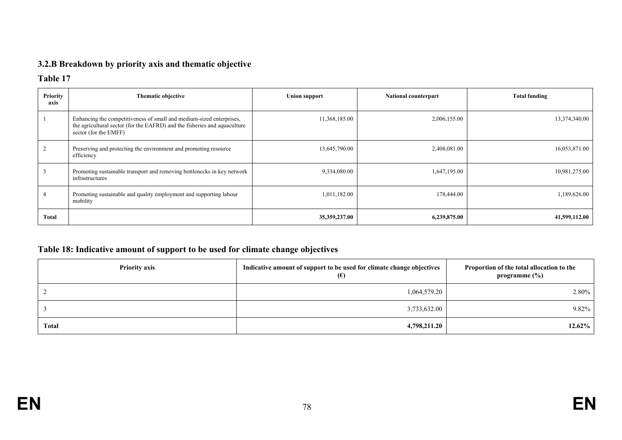# **3.2.B Breakdown by priority axis and thematic objective**

### **Table 17**

| <b>Priority</b><br>axis | Thematic objective                                                                                                                                                         | <b>Union support</b> | <b>National counterpart</b> | <b>Total funding</b> |
|-------------------------|----------------------------------------------------------------------------------------------------------------------------------------------------------------------------|----------------------|-----------------------------|----------------------|
|                         | Enhancing the competitiveness of small and medium-sized enterprises,<br>the agricultural sector (for the EAFRD) and the fisheries and aquaculture<br>sector (for the EMFF) | 11,368,185.00        | 2,006,155.00                | 13,374,340.00        |
|                         | Preserving and protecting the environment and promoting resource<br>efficiency                                                                                             | 13,645,790.00        | 2,408,081.00                | 16,053,871.00        |
|                         | Promoting sustainable transport and removing bottlenecks in key network<br>infrastructures                                                                                 | 9,334,080.00         | 1,647,195.00                | 10,981,275.00        |
|                         | Promoting sustainable and quality employment and supporting labour<br>mobility                                                                                             | 1,011,182.00         | 178,444.00                  | 1,189,626.00         |
| Total                   |                                                                                                                                                                            | 35, 359, 237.00      | 6,239,875.00                | 41,599,112.00        |

# **Table 18: Indicative amount of support to be used for climate change objectives**

| <b>Priority axis</b> | Indicative amount of support to be used for climate change objectives<br>$(\epsilon)$ | Proportion of the total allocation to the<br>programme $(\%)$ |  |
|----------------------|---------------------------------------------------------------------------------------|---------------------------------------------------------------|--|
|                      | 1,064,579.20                                                                          | 2.80%                                                         |  |
|                      | 3,733,632.00                                                                          | 9.82%                                                         |  |
| <b>Total</b>         | 4,798,211.20                                                                          | 12.62%                                                        |  |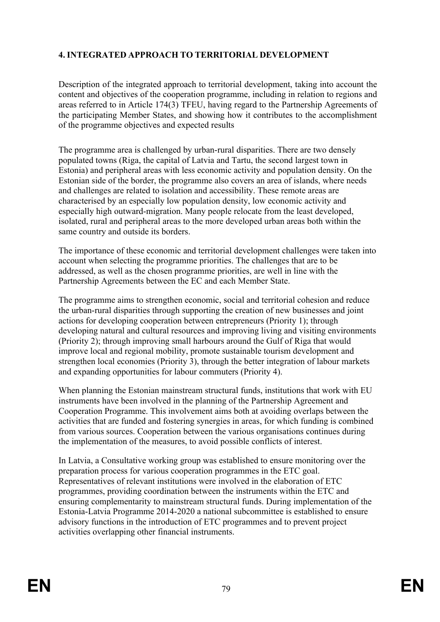### **4. INTEGRATED APPROACH TO TERRITORIAL DEVELOPMENT**

Description of the integrated approach to territorial development, taking into account the content and objectives of the cooperation programme, including in relation to regions and areas referred to in Article 174(3) TFEU, having regard to the Partnership Agreements of the participating Member States, and showing how it contributes to the accomplishment of the programme objectives and expected results

The programme area is challenged by urban-rural disparities. There are two densely populated towns (Riga, the capital of Latvia and Tartu, the second largest town in Estonia) and peripheral areas with less economic activity and population density. On the Estonian side of the border, the programme also covers an area of islands, where needs and challenges are related to isolation and accessibility. These remote areas are characterised by an especially low population density, low economic activity and especially high outward-migration. Many people relocate from the least developed, isolated, rural and peripheral areas to the more developed urban areas both within the same country and outside its borders.

The importance of these economic and territorial development challenges were taken into account when selecting the programme priorities. The challenges that are to be addressed, as well as the chosen programme priorities, are well in line with the Partnership Agreements between the EC and each Member State.

The programme aims to strengthen economic, social and territorial cohesion and reduce the urban-rural disparities through supporting the creation of new businesses and joint actions for developing cooperation between entrepreneurs (Priority 1); through developing natural and cultural resources and improving living and visiting environments (Priority 2); through improving small harbours around the Gulf of Riga that would improve local and regional mobility, promote sustainable tourism development and strengthen local economies (Priority 3), through the better integration of labour markets and expanding opportunities for labour commuters (Priority 4).

When planning the Estonian mainstream structural funds, institutions that work with EU instruments have been involved in the planning of the Partnership Agreement and Cooperation Programme. This involvement aims both at avoiding overlaps between the activities that are funded and fostering synergies in areas, for which funding is combined from various sources. Cooperation between the various organisations continues during the implementation of the measures, to avoid possible conflicts of interest.

In Latvia, a Consultative working group was established to ensure monitoring over the preparation process for various cooperation programmes in the ETC goal. Representatives of relevant institutions were involved in the elaboration of ETC programmes, providing coordination between the instruments within the ETC and ensuring complementarity to mainstream structural funds. During implementation of the Estonia-Latvia Programme 2014-2020 a national subcommittee is established to ensure advisory functions in the introduction of ETC programmes and to prevent project activities overlapping other financial instruments.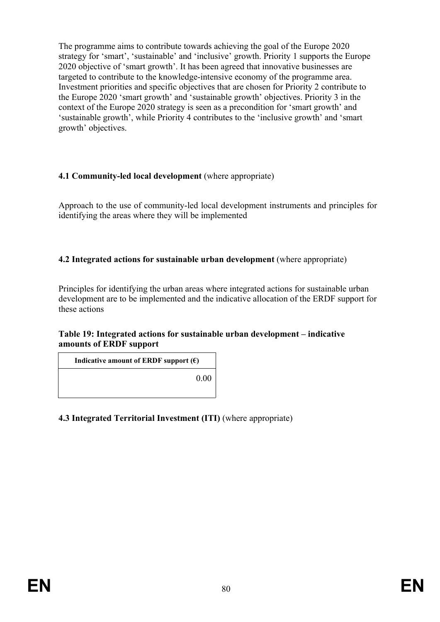The programme aims to contribute towards achieving the goal of the Europe 2020 strategy for 'smart', 'sustainable' and 'inclusive' growth. Priority 1 supports the Europe 2020 objective of 'smart growth'. It has been agreed that innovative businesses are targeted to contribute to the knowledge-intensive economy of the programme area. Investment priorities and specific objectives that are chosen for Priority 2 contribute to the Europe 2020 'smart growth' and 'sustainable growth' objectives. Priority 3 in the context of the Europe 2020 strategy is seen as a precondition for 'smart growth' and 'sustainable growth', while Priority 4 contributes to the 'inclusive growth' and 'smart growth' objectives.

### **4.1 Community-led local development** (where appropriate)

Approach to the use of community-led local development instruments and principles for identifying the areas where they will be implemented

### **4.2 Integrated actions for sustainable urban development** (where appropriate)

Principles for identifying the urban areas where integrated actions for sustainable urban development are to be implemented and the indicative allocation of the ERDF support for these actions

#### **Table 19: Integrated actions for sustainable urban development – indicative amounts of ERDF support**

**Indicative amount of ERDF** support  $(\epsilon)$ 

0.00

### **4.3 Integrated Territorial Investment (ITI)** (where appropriate)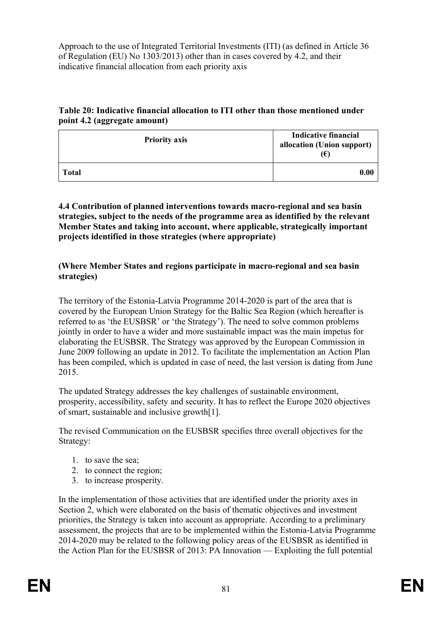Approach to the use of Integrated Territorial Investments (ITI) (as defined in Article 36 of Regulation (EU) No 1303/2013) other than in cases covered by 4.2, and their indicative financial allocation from each priority axis

### **Table 20: Indicative financial allocation to ITI other than those mentioned under point 4.2 (aggregate amount)**

| <b>Priority axis</b> | <b>Indicative financial</b><br>allocation (Union support)<br>(€) |
|----------------------|------------------------------------------------------------------|
| Total                | 0.00                                                             |

#### **4.4 Contribution of planned interventions towards macro-regional and sea basin strategies, subject to the needs of the programme area as identified by the relevant Member States and taking into account, where applicable, strategically important projects identified in those strategies (where appropriate)**

### **(Where Member States and regions participate in macro-regional and sea basin strategies)**

The territory of the Estonia-Latvia Programme 2014-2020 is part of the area that is covered by the European Union Strategy for the Baltic Sea Region (which hereafter is referred to as 'the EUSBSR' or 'the Strategy'). The need to solve common problems jointly in order to have a wider and more sustainable impact was the main impetus for elaborating the EUSBSR. The Strategy was approved by the European Commission in June 2009 following an update in 2012. To facilitate the implementation an Action Plan has been compiled, which is updated in case of need, the last version is dating from June 2015.

The updated Strategy addresses the key challenges of sustainable environment, prosperity, accessibility, safety and security. It has to reflect the Europe 2020 objectives of smart, sustainable and inclusive growth[1].

The revised Communication on the EUSBSR specifies three overall objectives for the Strategy:

- 1. to save the sea;
- 2. to connect the region;
- 3. to increase prosperity.

In the implementation of those activities that are identified under the priority axes in Section 2, which were elaborated on the basis of thematic objectives and investment priorities, the Strategy is taken into account as appropriate. According to a preliminary assessment, the projects that are to be implemented within the Estonia-Latvia Programme 2014-2020 may be related to the following policy areas of the EUSBSR as identified in the Action Plan for the EUSBSR of 2013: PA Innovation — Exploiting the full potential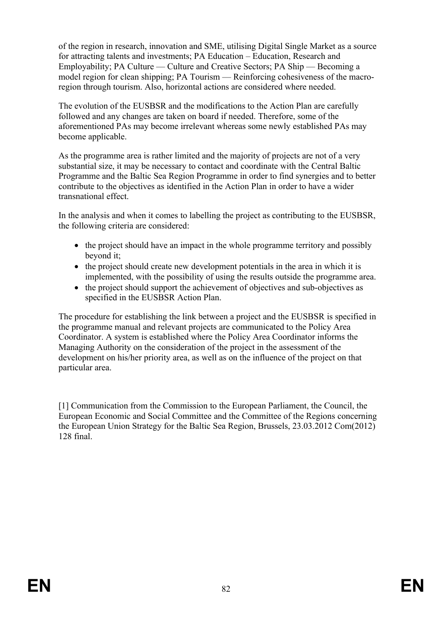of the region in research, innovation and SME, utilising Digital Single Market as a source for attracting talents and investments; PA Education – Education, Research and Employability; PA Culture — Culture and Creative Sectors; PA Ship — Becoming a model region for clean shipping; PA Tourism — Reinforcing cohesiveness of the macroregion through tourism. Also, horizontal actions are considered where needed.

The evolution of the EUSBSR and the modifications to the Action Plan are carefully followed and any changes are taken on board if needed. Therefore, some of the aforementioned PAs may become irrelevant whereas some newly established PAs may become applicable.

As the programme area is rather limited and the majority of projects are not of a very substantial size, it may be necessary to contact and coordinate with the Central Baltic Programme and the Baltic Sea Region Programme in order to find synergies and to better contribute to the objectives as identified in the Action Plan in order to have a wider transnational effect.

In the analysis and when it comes to labelling the project as contributing to the EUSBSR, the following criteria are considered:

- the project should have an impact in the whole programme territory and possibly beyond it;
- the project should create new development potentials in the area in which it is implemented, with the possibility of using the results outside the programme area.
- the project should support the achievement of objectives and sub-objectives as specified in the EUSBSR Action Plan.

The procedure for establishing the link between a project and the EUSBSR is specified in the programme manual and relevant projects are communicated to the Policy Area Coordinator. A system is established where the Policy Area Coordinator informs the Managing Authority on the consideration of the project in the assessment of the development on his/her priority area, as well as on the influence of the project on that particular area.

[1] Communication from the Commission to the European Parliament, the Council, the European Economic and Social Committee and the Committee of the Regions concerning the European Union Strategy for the Baltic Sea Region, Brussels, 23.03.2012 Com(2012) 128 final.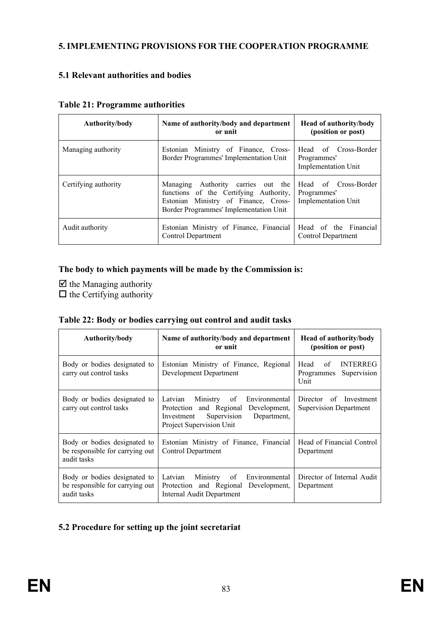### **5. IMPLEMENTING PROVISIONS FOR THE COOPERATION PROGRAMME**

### **5.1 Relevant authorities and bodies**

| Authority/body       | Name of authority/body and department<br>or unit                                                                                                               | <b>Head of authority/body</b><br>(position or post)               |  |  |
|----------------------|----------------------------------------------------------------------------------------------------------------------------------------------------------------|-------------------------------------------------------------------|--|--|
| Managing authority   | Estonian Ministry of Finance, Cross-<br>Border Programmes' Implementation Unit                                                                                 | Head of Cross-Border<br>Programmes'<br><b>Implementation Unit</b> |  |  |
| Certifying authority | Managing Authority carries out the<br>functions of the Certifying Authority,<br>Estonian Ministry of Finance, Cross-<br>Border Programmes' Implementation Unit | Head of Cross-Border<br>Programmes'<br><b>Implementation Unit</b> |  |  |
| Audit authority      | Estonian Ministry of Finance, Financial<br>Control Department                                                                                                  | Head of the Financial<br>Control Department                       |  |  |

#### **Table 21: Programme authorities**

### **The body to which payments will be made by the Commission is:**

 $\boxtimes$  the Managing authority  $\Box$  the Certifying authority

|  |  | Table 22: Body or bodies carrying out control and audit tasks |  |  |  |
|--|--|---------------------------------------------------------------|--|--|--|
|  |  |                                                               |  |  |  |

| Authority/body                                                                 | Name of authority/body and department<br>or unit                                                                                                        | <b>Head of authority/body</b><br>(position or post)                |  |  |
|--------------------------------------------------------------------------------|---------------------------------------------------------------------------------------------------------------------------------------------------------|--------------------------------------------------------------------|--|--|
| Body or bodies designated to<br>carry out control tasks                        | Estonian Ministry of Finance, Regional<br>Development Department                                                                                        | Head<br>of<br><b>INTERREG</b><br>Supervision<br>Programmes<br>Unit |  |  |
| Body or bodies designated to<br>carry out control tasks                        | Latvian Ministry of<br>Environmental<br>Protection and Regional<br>Development.<br>Department,<br>Supervision<br>Investment<br>Project Supervision Unit | Director of Investment<br><b>Supervision Department</b>            |  |  |
| Body or bodies designated to<br>be responsible for carrying out<br>audit tasks | Estonian Ministry of Finance, Financial<br>Control Department                                                                                           | Head of Financial Control<br>Department                            |  |  |
| Body or bodies designated to<br>be responsible for carrying out<br>audit tasks | Ministry of<br>Latvian<br>Environmental<br>Protection and Regional Development,<br>Internal Audit Department                                            | Director of Internal Audit<br>Department                           |  |  |

### **5.2 Procedure for setting up the joint secretariat**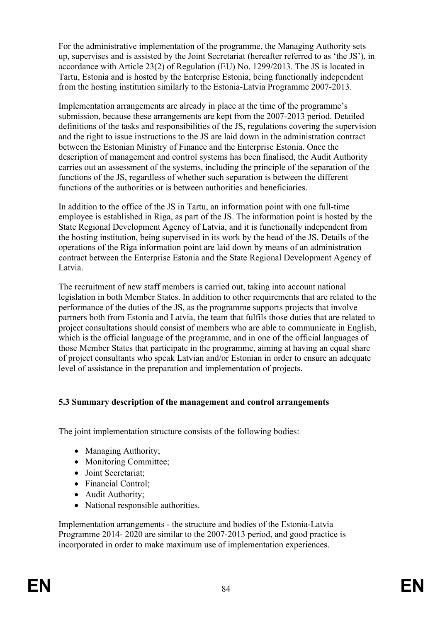For the administrative implementation of the programme, the Managing Authority sets up, supervises and is assisted by the Joint Secretariat (hereafter referred to as 'the JS'), in accordance with Article 23(2) of Regulation (EU) No. 1299/2013. The JS is located in Tartu, Estonia and is hosted by the Enterprise Estonia, being functionally independent from the hosting institution similarly to the Estonia-Latvia Programme 2007-2013.

Implementation arrangements are already in place at the time of the programme's submission, because these arrangements are kept from the 2007-2013 period. Detailed definitions of the tasks and responsibilities of the JS, regulations covering the supervision and the right to issue instructions to the JS are laid down in the administration contract between the Estonian Ministry of Finance and the Enterprise Estonia. Once the description of management and control systems has been finalised, the Audit Authority carries out an assessment of the systems, including the principle of the separation of the functions of the JS, regardless of whether such separation is between the different functions of the authorities or is between authorities and beneficiaries.

In addition to the office of the JS in Tartu, an information point with one full-time employee is established in Riga, as part of the JS. The information point is hosted by the State Regional Development Agency of Latvia, and it is functionally independent from the hosting institution, being supervised in its work by the head of the JS. Details of the operations of the Riga information point are laid down by means of an administration contract between the Enterprise Estonia and the State Regional Development Agency of Latvia.

The recruitment of new staff members is carried out, taking into account national legislation in both Member States. In addition to other requirements that are related to the performance of the duties of the JS, as the programme supports projects that involve partners both from Estonia and Latvia, the team that fulfils those duties that are related to project consultations should consist of members who are able to communicate in English, which is the official language of the programme, and in one of the official languages of those Member States that participate in the programme, aiming at having an equal share of project consultants who speak Latvian and/or Estonian in order to ensure an adequate level of assistance in the preparation and implementation of projects.

### **5.3 Summary description of the management and control arrangements**

The joint implementation structure consists of the following bodies:

- Managing Authority;
- Monitoring Committee;
- Joint Secretariat;
- Financial Control:
- Audit Authority;
- National responsible authorities.

Implementation arrangements - the structure and bodies of the Estonia-Latvia Programme 2014- 2020 are similar to the 2007-2013 period, and good practice is incorporated in order to make maximum use of implementation experiences.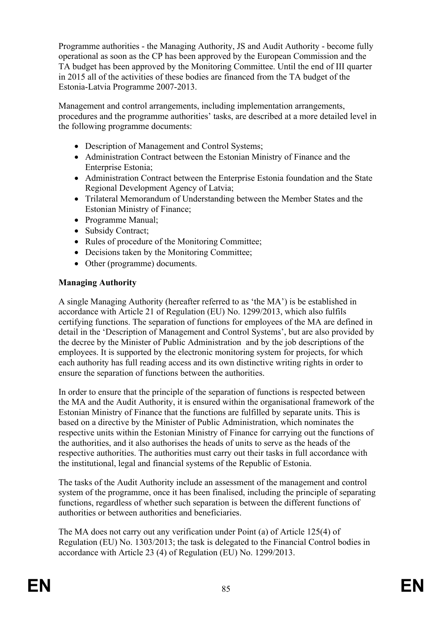Programme authorities - the Managing Authority, JS and Audit Authority - become fully operational as soon as the CP has been approved by the European Commission and the TA budget has been approved by the Monitoring Committee. Until the end of III quarter in 2015 all of the activities of these bodies are financed from the TA budget of the Estonia-Latvia Programme 2007-2013.

Management and control arrangements, including implementation arrangements, procedures and the programme authorities' tasks, are described at a more detailed level in the following programme documents:

- Description of Management and Control Systems;
- Administration Contract between the Estonian Ministry of Finance and the Enterprise Estonia;
- Administration Contract between the Enterprise Estonia foundation and the State Regional Development Agency of Latvia;
- Trilateral Memorandum of Understanding between the Member States and the Estonian Ministry of Finance;
- Programme Manual:
- Subsidy Contract;
- Rules of procedure of the Monitoring Committee;
- Decisions taken by the Monitoring Committee;
- Other (programme) documents.

#### **Managing Authority**

A single Managing Authority (hereafter referred to as 'the MA') is be established in accordance with Article 21 of Regulation (EU) No. 1299/2013, which also fulfils certifying functions. The separation of functions for employees of the MA are defined in detail in the 'Description of Management and Control Systems', but are also provided by the decree by the Minister of Public Administration and by the job descriptions of the employees. It is supported by the electronic monitoring system for projects, for which each authority has full reading access and its own distinctive writing rights in order to ensure the separation of functions between the authorities.

In order to ensure that the principle of the separation of functions is respected between the MA and the Audit Authority, it is ensured within the organisational framework of the Estonian Ministry of Finance that the functions are fulfilled by separate units. This is based on a directive by the Minister of Public Administration, which nominates the respective units within the Estonian Ministry of Finance for carrying out the functions of the authorities, and it also authorises the heads of units to serve as the heads of the respective authorities. The authorities must carry out their tasks in full accordance with the institutional, legal and financial systems of the Republic of Estonia.

The tasks of the Audit Authority include an assessment of the management and control system of the programme, once it has been finalised, including the principle of separating functions, regardless of whether such separation is between the different functions of authorities or between authorities and beneficiaries.

The MA does not carry out any verification under Point (a) of Article 125(4) of Regulation (EU) No. 1303/2013; the task is delegated to the Financial Control bodies in accordance with Article 23 (4) of Regulation (EU) No. 1299/2013.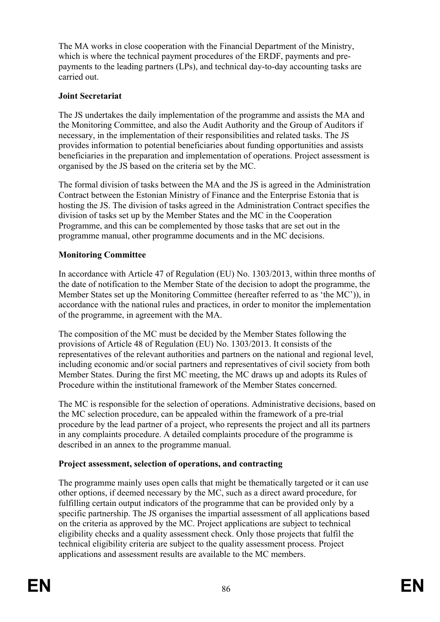The MA works in close cooperation with the Financial Department of the Ministry, which is where the technical payment procedures of the ERDF, payments and prepayments to the leading partners (LPs), and technical day-to-day accounting tasks are carried out.

### **Joint Secretariat**

The JS undertakes the daily implementation of the programme and assists the MA and the Monitoring Committee, and also the Audit Authority and the Group of Auditors if necessary, in the implementation of their responsibilities and related tasks. The JS provides information to potential beneficiaries about funding opportunities and assists beneficiaries in the preparation and implementation of operations. Project assessment is organised by the JS based on the criteria set by the MC.

The formal division of tasks between the MA and the JS is agreed in the Administration Contract between the Estonian Ministry of Finance and the Enterprise Estonia that is hosting the JS. The division of tasks agreed in the Administration Contract specifies the division of tasks set up by the Member States and the MC in the Cooperation Programme, and this can be complemented by those tasks that are set out in the programme manual, other programme documents and in the MC decisions.

### **Monitoring Committee**

In accordance with Article 47 of Regulation (EU) No. 1303/2013, within three months of the date of notification to the Member State of the decision to adopt the programme, the Member States set up the Monitoring Committee (hereafter referred to as 'the MC')), in accordance with the national rules and practices, in order to monitor the implementation of the programme, in agreement with the MA.

The composition of the MC must be decided by the Member States following the provisions of Article 48 of Regulation (EU) No. 1303/2013. It consists of the representatives of the relevant authorities and partners on the national and regional level, including economic and/or social partners and representatives of civil society from both Member States. During the first MC meeting, the MC draws up and adopts its Rules of Procedure within the institutional framework of the Member States concerned.

The MC is responsible for the selection of operations. Administrative decisions, based on the MC selection procedure, can be appealed within the framework of a pre-trial procedure by the lead partner of a project, who represents the project and all its partners in any complaints procedure. A detailed complaints procedure of the programme is described in an annex to the programme manual.

### **Project assessment, selection of operations, and contracting**

The programme mainly uses open calls that might be thematically targeted or it can use other options, if deemed necessary by the MC, such as a direct award procedure, for fulfilling certain output indicators of the programme that can be provided only by a specific partnership. The JS organises the impartial assessment of all applications based on the criteria as approved by the MC. Project applications are subject to technical eligibility checks and a quality assessment check. Only those projects that fulfil the technical eligibility criteria are subject to the quality assessment process. Project applications and assessment results are available to the MC members.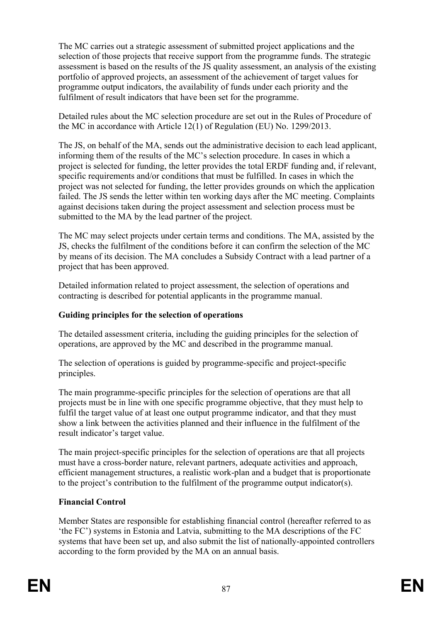The MC carries out a strategic assessment of submitted project applications and the selection of those projects that receive support from the programme funds. The strategic assessment is based on the results of the JS quality assessment, an analysis of the existing portfolio of approved projects, an assessment of the achievement of target values for programme output indicators, the availability of funds under each priority and the fulfilment of result indicators that have been set for the programme.

Detailed rules about the MC selection procedure are set out in the Rules of Procedure of the MC in accordance with Article 12(1) of Regulation (EU) No. 1299/2013.

The JS, on behalf of the MA, sends out the administrative decision to each lead applicant, informing them of the results of the MC's selection procedure. In cases in which a project is selected for funding, the letter provides the total ERDF funding and, if relevant, specific requirements and/or conditions that must be fulfilled. In cases in which the project was not selected for funding, the letter provides grounds on which the application failed. The JS sends the letter within ten working days after the MC meeting. Complaints against decisions taken during the project assessment and selection process must be submitted to the MA by the lead partner of the project.

The MC may select projects under certain terms and conditions. The MA, assisted by the JS, checks the fulfilment of the conditions before it can confirm the selection of the MC by means of its decision. The MA concludes a Subsidy Contract with a lead partner of a project that has been approved.

Detailed information related to project assessment, the selection of operations and contracting is described for potential applicants in the programme manual.

### **Guiding principles for the selection of operations**

The detailed assessment criteria, including the guiding principles for the selection of operations, are approved by the MC and described in the programme manual.

The selection of operations is guided by programme-specific and project-specific principles.

The main programme-specific principles for the selection of operations are that all projects must be in line with one specific programme objective, that they must help to fulfil the target value of at least one output programme indicator, and that they must show a link between the activities planned and their influence in the fulfilment of the result indicator's target value.

The main project-specific principles for the selection of operations are that all projects must have a cross-border nature, relevant partners, adequate activities and approach, efficient management structures, a realistic work-plan and a budget that is proportionate to the project's contribution to the fulfilment of the programme output indicator(s).

### **Financial Control**

Member States are responsible for establishing financial control (hereafter referred to as 'the FC') systems in Estonia and Latvia, submitting to the MA descriptions of the FC systems that have been set up, and also submit the list of nationally-appointed controllers according to the form provided by the MA on an annual basis.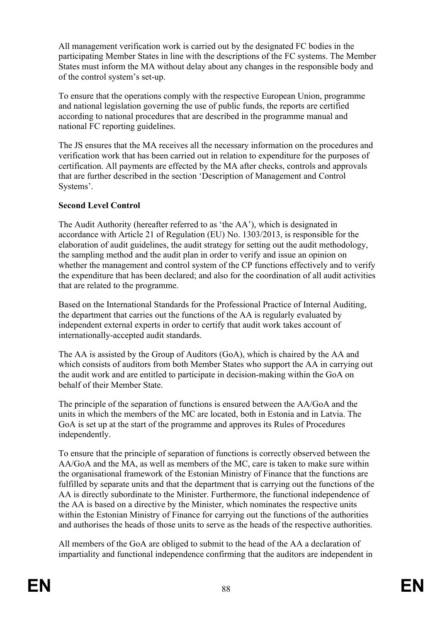All management verification work is carried out by the designated FC bodies in the participating Member States in line with the descriptions of the FC systems. The Member States must inform the MA without delay about any changes in the responsible body and of the control system's set-up.

To ensure that the operations comply with the respective European Union, programme and national legislation governing the use of public funds, the reports are certified according to national procedures that are described in the programme manual and national FC reporting guidelines.

The JS ensures that the MA receives all the necessary information on the procedures and verification work that has been carried out in relation to expenditure for the purposes of certification. All payments are effected by the MA after checks, controls and approvals that are further described in the section 'Description of Management and Control Systems'.

### **Second Level Control**

The Audit Authority (hereafter referred to as 'the AA'), which is designated in accordance with Article 21 of Regulation (EU) No. 1303/2013, is responsible for the elaboration of audit guidelines, the audit strategy for setting out the audit methodology, the sampling method and the audit plan in order to verify and issue an opinion on whether the management and control system of the CP functions effectively and to verify the expenditure that has been declared; and also for the coordination of all audit activities that are related to the programme.

Based on the International Standards for the Professional Practice of Internal Auditing, the department that carries out the functions of the AA is regularly evaluated by independent external experts in order to certify that audit work takes account of internationally-accepted audit standards.

The AA is assisted by the Group of Auditors (GoA), which is chaired by the AA and which consists of auditors from both Member States who support the AA in carrying out the audit work and are entitled to participate in decision-making within the GoA on behalf of their Member State.

The principle of the separation of functions is ensured between the AA/GoA and the units in which the members of the MC are located, both in Estonia and in Latvia. The GoA is set up at the start of the programme and approves its Rules of Procedures independently.

To ensure that the principle of separation of functions is correctly observed between the AA/GoA and the MA, as well as members of the MC, care is taken to make sure within the organisational framework of the Estonian Ministry of Finance that the functions are fulfilled by separate units and that the department that is carrying out the functions of the AA is directly subordinate to the Minister. Furthermore, the functional independence of the AA is based on a directive by the Minister, which nominates the respective units within the Estonian Ministry of Finance for carrying out the functions of the authorities and authorises the heads of those units to serve as the heads of the respective authorities.

All members of the GoA are obliged to submit to the head of the AA a declaration of impartiality and functional independence confirming that the auditors are independent in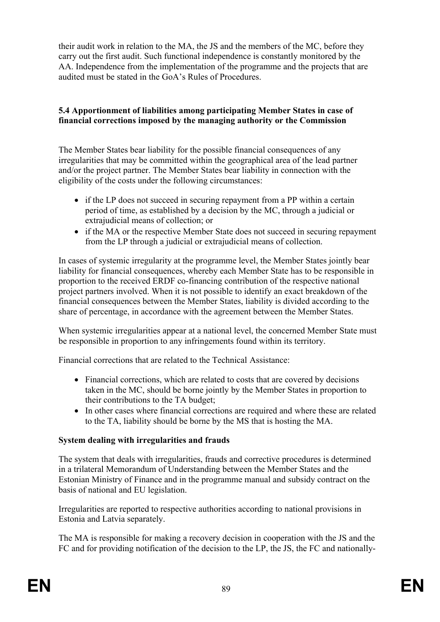their audit work in relation to the MA, the JS and the members of the MC, before they carry out the first audit. Such functional independence is constantly monitored by the AA. Independence from the implementation of the programme and the projects that are audited must be stated in the GoA's Rules of Procedures.

### **5.4 Apportionment of liabilities among participating Member States in case of financial corrections imposed by the managing authority or the Commission**

The Member States bear liability for the possible financial consequences of any irregularities that may be committed within the geographical area of the lead partner and/or the project partner. The Member States bear liability in connection with the eligibility of the costs under the following circumstances:

- if the LP does not succeed in securing repayment from a PP within a certain period of time, as established by a decision by the MC, through a judicial or extrajudicial means of collection; or
- if the MA or the respective Member State does not succeed in securing repayment from the LP through a judicial or extrajudicial means of collection.

In cases of systemic irregularity at the programme level, the Member States jointly bear liability for financial consequences, whereby each Member State has to be responsible in proportion to the received ERDF co-financing contribution of the respective national project partners involved. When it is not possible to identify an exact breakdown of the financial consequences between the Member States, liability is divided according to the share of percentage, in accordance with the agreement between the Member States.

When systemic irregularities appear at a national level, the concerned Member State must be responsible in proportion to any infringements found within its territory.

Financial corrections that are related to the Technical Assistance:

- Financial corrections, which are related to costs that are covered by decisions taken in the MC, should be borne jointly by the Member States in proportion to their contributions to the TA budget;
- In other cases where financial corrections are required and where these are related to the TA, liability should be borne by the MS that is hosting the MA.

### **System dealing with irregularities and frauds**

The system that deals with irregularities, frauds and corrective procedures is determined in a trilateral Memorandum of Understanding between the Member States and the Estonian Ministry of Finance and in the programme manual and subsidy contract on the basis of national and EU legislation.

Irregularities are reported to respective authorities according to national provisions in Estonia and Latvia separately.

The MA is responsible for making a recovery decision in cooperation with the JS and the FC and for providing notification of the decision to the LP, the JS, the FC and nationally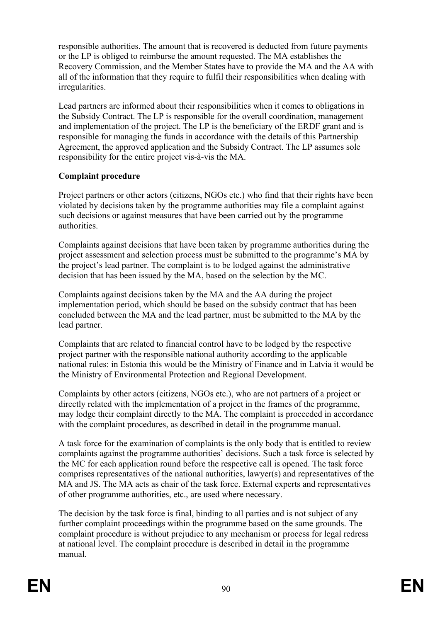responsible authorities. The amount that is recovered is deducted from future payments or the LP is obliged to reimburse the amount requested. The MA establishes the Recovery Commission, and the Member States have to provide the MA and the AA with all of the information that they require to fulfil their responsibilities when dealing with irregularities.

Lead partners are informed about their responsibilities when it comes to obligations in the Subsidy Contract. The LP is responsible for the overall coordination, management and implementation of the project. The LP is the beneficiary of the ERDF grant and is responsible for managing the funds in accordance with the details of this Partnership Agreement, the approved application and the Subsidy Contract. The LP assumes sole responsibility for the entire project vis-à-vis the MA.

### **Complaint procedure**

Project partners or other actors (citizens, NGOs etc.) who find that their rights have been violated by decisions taken by the programme authorities may file a complaint against such decisions or against measures that have been carried out by the programme authorities.

Complaints against decisions that have been taken by programme authorities during the project assessment and selection process must be submitted to the programme's MA by the project's lead partner. The complaint is to be lodged against the administrative decision that has been issued by the MA, based on the selection by the MC.

Complaints against decisions taken by the MA and the AA during the project implementation period, which should be based on the subsidy contract that has been concluded between the MA and the lead partner, must be submitted to the MA by the lead partner.

Complaints that are related to financial control have to be lodged by the respective project partner with the responsible national authority according to the applicable national rules: in Estonia this would be the Ministry of Finance and in Latvia it would be the Ministry of Environmental Protection and Regional Development.

Complaints by other actors (citizens, NGOs etc.), who are not partners of a project or directly related with the implementation of a project in the frames of the programme, may lodge their complaint directly to the MA. The complaint is proceeded in accordance with the complaint procedures, as described in detail in the programme manual.

A task force for the examination of complaints is the only body that is entitled to review complaints against the programme authorities' decisions. Such a task force is selected by the MC for each application round before the respective call is opened. The task force comprises representatives of the national authorities, lawyer(s) and representatives of the MA and JS. The MA acts as chair of the task force. External experts and representatives of other programme authorities, etc., are used where necessary.

The decision by the task force is final, binding to all parties and is not subject of any further complaint proceedings within the programme based on the same grounds. The complaint procedure is without prejudice to any mechanism or process for legal redress at national level. The complaint procedure is described in detail in the programme manual.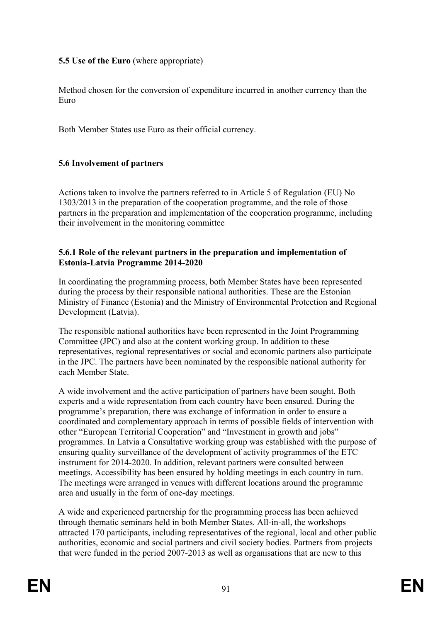### **5.5 Use of the Euro** (where appropriate)

Method chosen for the conversion of expenditure incurred in another currency than the Euro

Both Member States use Euro as their official currency.

### **5.6 Involvement of partners**

Actions taken to involve the partners referred to in Article 5 of Regulation (EU) No 1303/2013 in the preparation of the cooperation programme, and the role of those partners in the preparation and implementation of the cooperation programme, including their involvement in the monitoring committee

#### **5.6.1 Role of the relevant partners in the preparation and implementation of Estonia-Latvia Programme 2014-2020**

In coordinating the programming process, both Member States have been represented during the process by their responsible national authorities. These are the Estonian Ministry of Finance (Estonia) and the Ministry of Environmental Protection and Regional Development (Latvia).

The responsible national authorities have been represented in the Joint Programming Committee (JPC) and also at the content working group. In addition to these representatives, regional representatives or social and economic partners also participate in the JPC. The partners have been nominated by the responsible national authority for each Member State.

A wide involvement and the active participation of partners have been sought. Both experts and a wide representation from each country have been ensured. During the programme's preparation, there was exchange of information in order to ensure a coordinated and complementary approach in terms of possible fields of intervention with other "European Territorial Cooperation" and "Investment in growth and jobs" programmes. In Latvia a Consultative working group was established with the purpose of ensuring quality surveillance of the development of activity programmes of the ETC instrument for 2014-2020. In addition, relevant partners were consulted between meetings. Accessibility has been ensured by holding meetings in each country in turn. The meetings were arranged in venues with different locations around the programme area and usually in the form of one-day meetings.

A wide and experienced partnership for the programming process has been achieved through thematic seminars held in both Member States. All-in-all, the workshops attracted 170 participants, including representatives of the regional, local and other public authorities, economic and social partners and civil society bodies. Partners from projects that were funded in the period 2007-2013 as well as organisations that are new to this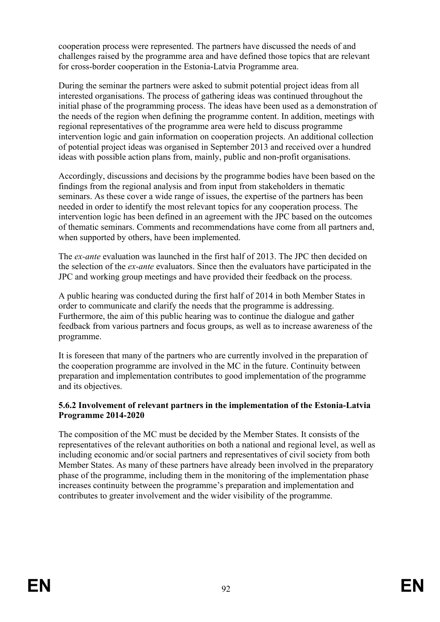cooperation process were represented. The partners have discussed the needs of and challenges raised by the programme area and have defined those topics that are relevant for cross-border cooperation in the Estonia-Latvia Programme area.

During the seminar the partners were asked to submit potential project ideas from all interested organisations. The process of gathering ideas was continued throughout the initial phase of the programming process. The ideas have been used as a demonstration of the needs of the region when defining the programme content. In addition, meetings with regional representatives of the programme area were held to discuss programme intervention logic and gain information on cooperation projects. An additional collection of potential project ideas was organised in September 2013 and received over a hundred ideas with possible action plans from, mainly, public and non-profit organisations.

Accordingly, discussions and decisions by the programme bodies have been based on the findings from the regional analysis and from input from stakeholders in thematic seminars. As these cover a wide range of issues, the expertise of the partners has been needed in order to identify the most relevant topics for any cooperation process. The intervention logic has been defined in an agreement with the JPC based on the outcomes of thematic seminars. Comments and recommendations have come from all partners and, when supported by others, have been implemented.

The *ex-ante* evaluation was launched in the first half of 2013. The JPC then decided on the selection of the *ex-ante* evaluators. Since then the evaluators have participated in the JPC and working group meetings and have provided their feedback on the process.

A public hearing was conducted during the first half of 2014 in both Member States in order to communicate and clarify the needs that the programme is addressing. Furthermore, the aim of this public hearing was to continue the dialogue and gather feedback from various partners and focus groups, as well as to increase awareness of the programme.

It is foreseen that many of the partners who are currently involved in the preparation of the cooperation programme are involved in the MC in the future. Continuity between preparation and implementation contributes to good implementation of the programme and its objectives.

#### **5.6.2 Involvement of relevant partners in the implementation of the Estonia-Latvia Programme 2014-2020**

The composition of the MC must be decided by the Member States. It consists of the representatives of the relevant authorities on both a national and regional level, as well as including economic and/or social partners and representatives of civil society from both Member States. As many of these partners have already been involved in the preparatory phase of the programme, including them in the monitoring of the implementation phase increases continuity between the programme's preparation and implementation and contributes to greater involvement and the wider visibility of the programme.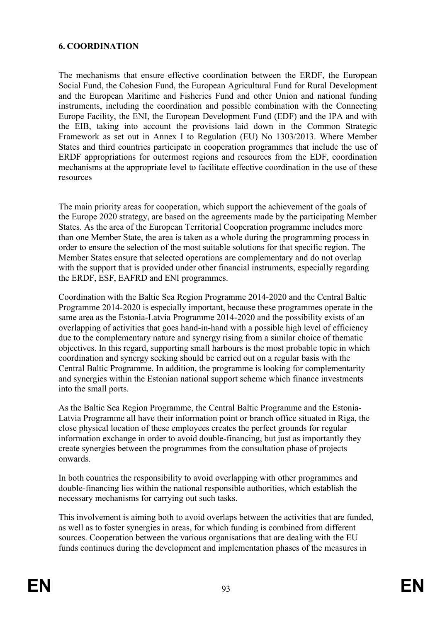### **6. COORDINATION**

The mechanisms that ensure effective coordination between the ERDF, the European Social Fund, the Cohesion Fund, the European Agricultural Fund for Rural Development and the European Maritime and Fisheries Fund and other Union and national funding instruments, including the coordination and possible combination with the Connecting Europe Facility, the ENI, the European Development Fund (EDF) and the IPA and with the EIB, taking into account the provisions laid down in the Common Strategic Framework as set out in Annex I to Regulation (EU) No 1303/2013. Where Member States and third countries participate in cooperation programmes that include the use of ERDF appropriations for outermost regions and resources from the EDF, coordination mechanisms at the appropriate level to facilitate effective coordination in the use of these resources

The main priority areas for cooperation, which support the achievement of the goals of the Europe 2020 strategy, are based on the agreements made by the participating Member States. As the area of the European Territorial Cooperation programme includes more than one Member State, the area is taken as a whole during the programming process in order to ensure the selection of the most suitable solutions for that specific region. The Member States ensure that selected operations are complementary and do not overlap with the support that is provided under other financial instruments, especially regarding the ERDF, ESF, EAFRD and ENI programmes.

Coordination with the Baltic Sea Region Programme 2014-2020 and the Central Baltic Programme 2014-2020 is especially important, because these programmes operate in the same area as the Estonia-Latvia Programme 2014-2020 and the possibility exists of an overlapping of activities that goes hand-in-hand with a possible high level of efficiency due to the complementary nature and synergy rising from a similar choice of thematic objectives. In this regard, supporting small harbours is the most probable topic in which coordination and synergy seeking should be carried out on a regular basis with the Central Baltic Programme. In addition, the programme is looking for complementarity and synergies within the Estonian national support scheme which finance investments into the small ports.

As the Baltic Sea Region Programme, the Central Baltic Programme and the Estonia-Latvia Programme all have their information point or branch office situated in Riga, the close physical location of these employees creates the perfect grounds for regular information exchange in order to avoid double-financing, but just as importantly they create synergies between the programmes from the consultation phase of projects onwards.

In both countries the responsibility to avoid overlapping with other programmes and double-financing lies within the national responsible authorities, which establish the necessary mechanisms for carrying out such tasks.

This involvement is aiming both to avoid overlaps between the activities that are funded, as well as to foster synergies in areas, for which funding is combined from different sources. Cooperation between the various organisations that are dealing with the EU funds continues during the development and implementation phases of the measures in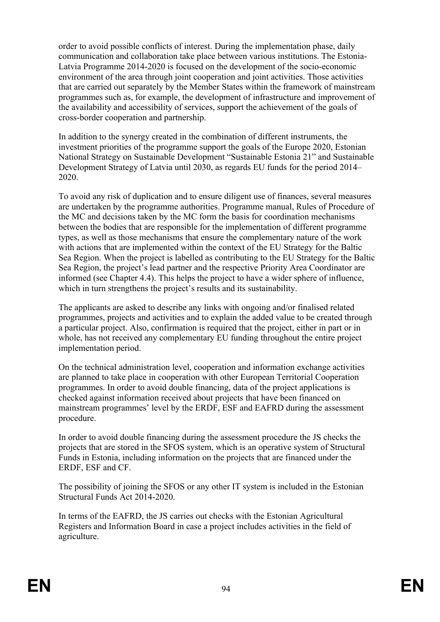order to avoid possible conflicts of interest. During the implementation phase, daily communication and collaboration take place between various institutions. The Estonia-Latvia Programme 2014-2020 is focused on the development of the socio-economic environment of the area through joint cooperation and joint activities. Those activities that are carried out separately by the Member States within the framework of mainstream programmes such as, for example, the development of infrastructure and improvement of the availability and accessibility of services, support the achievement of the goals of cross-border cooperation and partnership.

In addition to the synergy created in the combination of different instruments, the investment priorities of the programme support the goals of the Europe 2020, Estonian National Strategy on Sustainable Development "Sustainable Estonia 21" and Sustainable Development Strategy of Latvia until 2030, as regards EU funds for the period 2014– 2020.

To avoid any risk of duplication and to ensure diligent use of finances, several measures are undertaken by the programme authorities. Programme manual, Rules of Procedure of the MC and decisions taken by the MC form the basis for coordination mechanisms between the bodies that are responsible for the implementation of different programme types, as well as those mechanisms that ensure the complementary nature of the work with actions that are implemented within the context of the EU Strategy for the Baltic Sea Region. When the project is labelled as contributing to the EU Strategy for the Baltic Sea Region, the project's lead partner and the respective Priority Area Coordinator are informed (see Chapter 4.4). This helps the project to have a wider sphere of influence, which in turn strengthens the project's results and its sustainability.

The applicants are asked to describe any links with ongoing and/or finalised related programmes, projects and activities and to explain the added value to be created through a particular project. Also, confirmation is required that the project, either in part or in whole, has not received any complementary EU funding throughout the entire project implementation period.

On the technical administration level, cooperation and information exchange activities are planned to take place in cooperation with other European Territorial Cooperation programmes. In order to avoid double financing, data of the project applications is checked against information received about projects that have been financed on mainstream programmes' level by the ERDF, ESF and EAFRD during the assessment procedure.

In order to avoid double financing during the assessment procedure the JS checks the projects that are stored in the SFOS system, which is an operative system of Structural Funds in Estonia, including information on the projects that are financed under the ERDF, ESF and CF.

The possibility of joining the SFOS or any other IT system is included in the Estonian Structural Funds Act 2014-2020.

In terms of the EAFRD, the JS carries out checks with the Estonian Agricultural Registers and Information Board in case a project includes activities in the field of agriculture.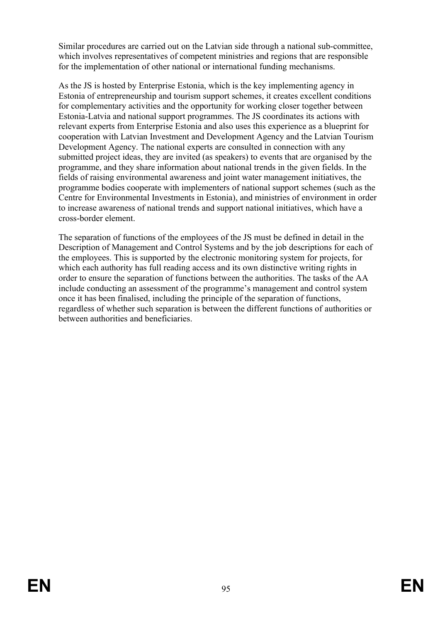Similar procedures are carried out on the Latvian side through a national sub-committee, which involves representatives of competent ministries and regions that are responsible for the implementation of other national or international funding mechanisms.

As the JS is hosted by Enterprise Estonia, which is the key implementing agency in Estonia of entrepreneurship and tourism support schemes, it creates excellent conditions for complementary activities and the opportunity for working closer together between Estonia-Latvia and national support programmes. The JS coordinates its actions with relevant experts from Enterprise Estonia and also uses this experience as a blueprint for cooperation with Latvian Investment and Development Agency and the Latvian Tourism Development Agency. The national experts are consulted in connection with any submitted project ideas, they are invited (as speakers) to events that are organised by the programme, and they share information about national trends in the given fields. In the fields of raising environmental awareness and joint water management initiatives, the programme bodies cooperate with implementers of national support schemes (such as the Centre for Environmental Investments in Estonia), and ministries of environment in order to increase awareness of national trends and support national initiatives, which have a cross-border element.

The separation of functions of the employees of the JS must be defined in detail in the Description of Management and Control Systems and by the job descriptions for each of the employees. This is supported by the electronic monitoring system for projects, for which each authority has full reading access and its own distinctive writing rights in order to ensure the separation of functions between the authorities. The tasks of the AA include conducting an assessment of the programme's management and control system once it has been finalised, including the principle of the separation of functions, regardless of whether such separation is between the different functions of authorities or between authorities and beneficiaries.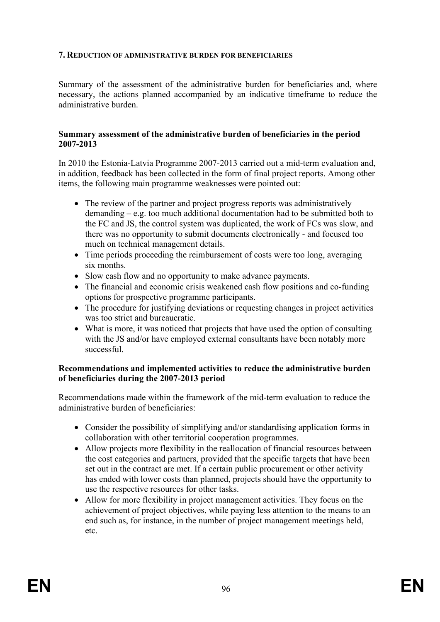#### **7. REDUCTION OF ADMINISTRATIVE BURDEN FOR BENEFICIARIES**

Summary of the assessment of the administrative burden for beneficiaries and, where necessary, the actions planned accompanied by an indicative timeframe to reduce the administrative burden.

#### **Summary assessment of the administrative burden of beneficiaries in the period 2007-2013**

In 2010 the Estonia-Latvia Programme 2007-2013 carried out a mid-term evaluation and, in addition, feedback has been collected in the form of final project reports. Among other items, the following main programme weaknesses were pointed out:

- The review of the partner and project progress reports was administratively demanding – e.g. too much additional documentation had to be submitted both to the FC and JS, the control system was duplicated, the work of FCs was slow, and there was no opportunity to submit documents electronically - and focused too much on technical management details.
- Time periods proceeding the reimbursement of costs were too long, averaging six months.
- Slow cash flow and no opportunity to make advance payments.
- The financial and economic crisis weakened cash flow positions and co-funding options for prospective programme participants.
- The procedure for justifying deviations or requesting changes in project activities was too strict and bureaucratic.
- What is more, it was noticed that projects that have used the option of consulting with the JS and/or have employed external consultants have been notably more successful.

#### **Recommendations and implemented activities to reduce the administrative burden of beneficiaries during the 2007-2013 period**

Recommendations made within the framework of the mid-term evaluation to reduce the administrative burden of beneficiaries:

- Consider the possibility of simplifying and/or standardising application forms in collaboration with other territorial cooperation programmes.
- Allow projects more flexibility in the reallocation of financial resources between the cost categories and partners, provided that the specific targets that have been set out in the contract are met. If a certain public procurement or other activity has ended with lower costs than planned, projects should have the opportunity to use the respective resources for other tasks.
- Allow for more flexibility in project management activities. They focus on the achievement of project objectives, while paying less attention to the means to an end such as, for instance, in the number of project management meetings held, etc.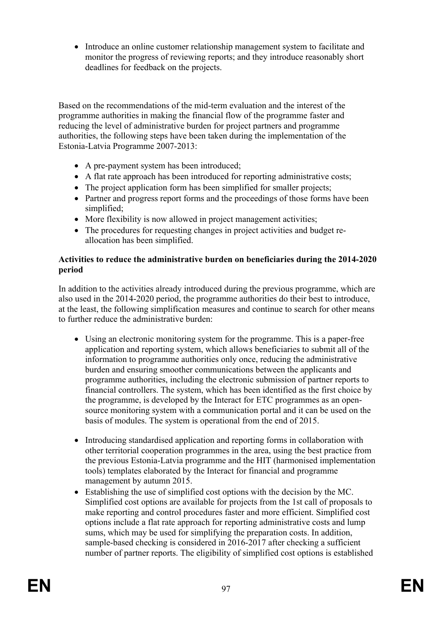Introduce an online customer relationship management system to facilitate and monitor the progress of reviewing reports; and they introduce reasonably short deadlines for feedback on the projects.

Based on the recommendations of the mid-term evaluation and the interest of the programme authorities in making the financial flow of the programme faster and reducing the level of administrative burden for project partners and programme authorities, the following steps have been taken during the implementation of the Estonia-Latvia Programme 2007-2013:

- A pre-payment system has been introduced;
- A flat rate approach has been introduced for reporting administrative costs;
- The project application form has been simplified for smaller projects;
- Partner and progress report forms and the proceedings of those forms have been simplified;
- More flexibility is now allowed in project management activities;
- The procedures for requesting changes in project activities and budget reallocation has been simplified.

### **Activities to reduce the administrative burden on beneficiaries during the 2014-2020 period**

In addition to the activities already introduced during the previous programme, which are also used in the 2014-2020 period, the programme authorities do their best to introduce, at the least, the following simplification measures and continue to search for other means to further reduce the administrative burden:

- Using an electronic monitoring system for the programme. This is a paper-free application and reporting system, which allows beneficiaries to submit all of the information to programme authorities only once, reducing the administrative burden and ensuring smoother communications between the applicants and programme authorities, including the electronic submission of partner reports to financial controllers. The system, which has been identified as the first choice by the programme, is developed by the Interact for ETC programmes as an opensource monitoring system with a communication portal and it can be used on the basis of modules. The system is operational from the end of 2015.
- Introducing standardised application and reporting forms in collaboration with other territorial cooperation programmes in the area, using the best practice from the previous Estonia-Latvia programme and the HIT (harmonised implementation tools) templates elaborated by the Interact for financial and programme management by autumn 2015.
- Establishing the use of simplified cost options with the decision by the MC. Simplified cost options are available for projects from the 1st call of proposals to make reporting and control procedures faster and more efficient. Simplified cost options include a flat rate approach for reporting administrative costs and lump sums, which may be used for simplifying the preparation costs. In addition, sample-based checking is considered in 2016-2017 after checking a sufficient number of partner reports. The eligibility of simplified cost options is established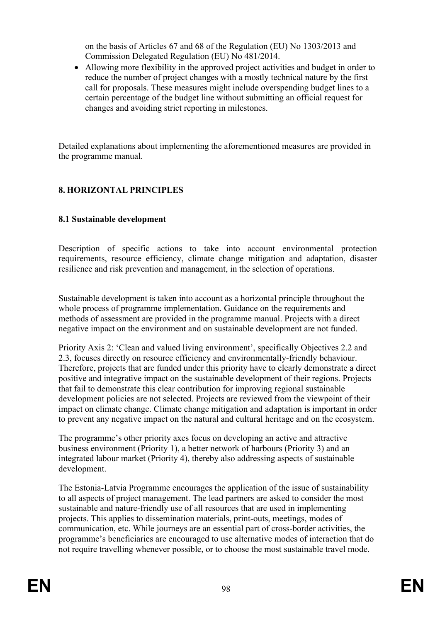on the basis of Articles 67 and 68 of the Regulation (EU) No 1303/2013 and Commission Delegated Regulation (EU) No 481/2014.

 Allowing more flexibility in the approved project activities and budget in order to reduce the number of project changes with a mostly technical nature by the first call for proposals. These measures might include overspending budget lines to a certain percentage of the budget line without submitting an official request for changes and avoiding strict reporting in milestones.

Detailed explanations about implementing the aforementioned measures are provided in the programme manual.

## **8. HORIZONTAL PRINCIPLES**

### **8.1 Sustainable development**

Description of specific actions to take into account environmental protection requirements, resource efficiency, climate change mitigation and adaptation, disaster resilience and risk prevention and management, in the selection of operations.

Sustainable development is taken into account as a horizontal principle throughout the whole process of programme implementation. Guidance on the requirements and methods of assessment are provided in the programme manual. Projects with a direct negative impact on the environment and on sustainable development are not funded.

Priority Axis 2: 'Clean and valued living environment', specifically Objectives 2.2 and 2.3, focuses directly on resource efficiency and environmentally-friendly behaviour. Therefore, projects that are funded under this priority have to clearly demonstrate a direct positive and integrative impact on the sustainable development of their regions. Projects that fail to demonstrate this clear contribution for improving regional sustainable development policies are not selected. Projects are reviewed from the viewpoint of their impact on climate change. Climate change mitigation and adaptation is important in order to prevent any negative impact on the natural and cultural heritage and on the ecosystem.

The programme's other priority axes focus on developing an active and attractive business environment (Priority 1), a better network of harbours (Priority 3) and an integrated labour market (Priority 4), thereby also addressing aspects of sustainable development.

The Estonia-Latvia Programme encourages the application of the issue of sustainability to all aspects of project management. The lead partners are asked to consider the most sustainable and nature-friendly use of all resources that are used in implementing projects. This applies to dissemination materials, print-outs, meetings, modes of communication, etc. While journeys are an essential part of cross-border activities, the programme's beneficiaries are encouraged to use alternative modes of interaction that do not require travelling whenever possible, or to choose the most sustainable travel mode.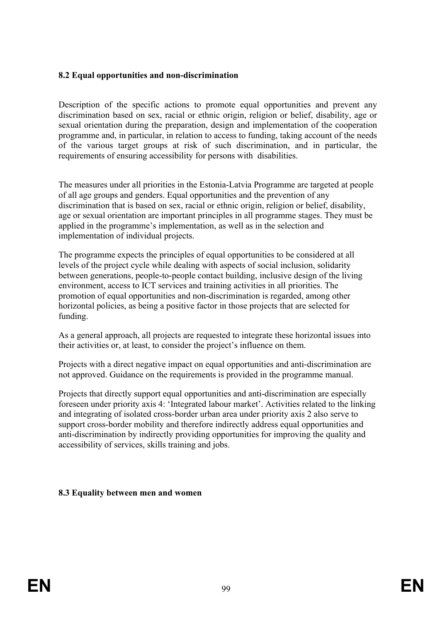### **8.2 Equal opportunities and non-discrimination**

Description of the specific actions to promote equal opportunities and prevent any discrimination based on sex, racial or ethnic origin, religion or belief, disability, age or sexual orientation during the preparation, design and implementation of the cooperation programme and, in particular, in relation to access to funding, taking account of the needs of the various target groups at risk of such discrimination, and in particular, the requirements of ensuring accessibility for persons with disabilities.

The measures under all priorities in the Estonia-Latvia Programme are targeted at people of all age groups and genders. Equal opportunities and the prevention of any discrimination that is based on sex, racial or ethnic origin, religion or belief, disability, age or sexual orientation are important principles in all programme stages. They must be applied in the programme's implementation, as well as in the selection and implementation of individual projects.

The programme expects the principles of equal opportunities to be considered at all levels of the project cycle while dealing with aspects of social inclusion, solidarity between generations, people-to-people contact building, inclusive design of the living environment, access to ICT services and training activities in all priorities. The promotion of equal opportunities and non-discrimination is regarded, among other horizontal policies, as being a positive factor in those projects that are selected for funding.

As a general approach, all projects are requested to integrate these horizontal issues into their activities or, at least, to consider the project's influence on them.

Projects with a direct negative impact on equal opportunities and anti-discrimination are not approved. Guidance on the requirements is provided in the programme manual.

Projects that directly support equal opportunities and anti-discrimination are especially foreseen under priority axis 4: 'Integrated labour market'. Activities related to the linking and integrating of isolated cross-border urban area under priority axis 2 also serve to support cross-border mobility and therefore indirectly address equal opportunities and anti-discrimination by indirectly providing opportunities for improving the quality and accessibility of services, skills training and jobs.

### **8.3 Equality between men and women**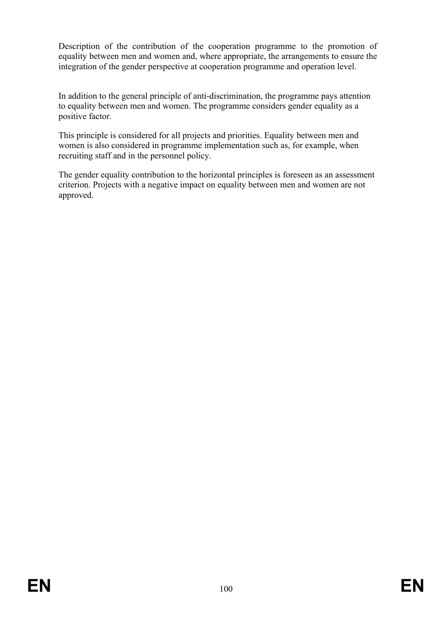Description of the contribution of the cooperation programme to the promotion of equality between men and women and, where appropriate, the arrangements to ensure the integration of the gender perspective at cooperation programme and operation level.

In addition to the general principle of anti-discrimination, the programme pays attention to equality between men and women. The programme considers gender equality as a positive factor.

This principle is considered for all projects and priorities. Equality between men and women is also considered in programme implementation such as, for example, when recruiting staff and in the personnel policy.

The gender equality contribution to the horizontal principles is foreseen as an assessment criterion. Projects with a negative impact on equality between men and women are not approved.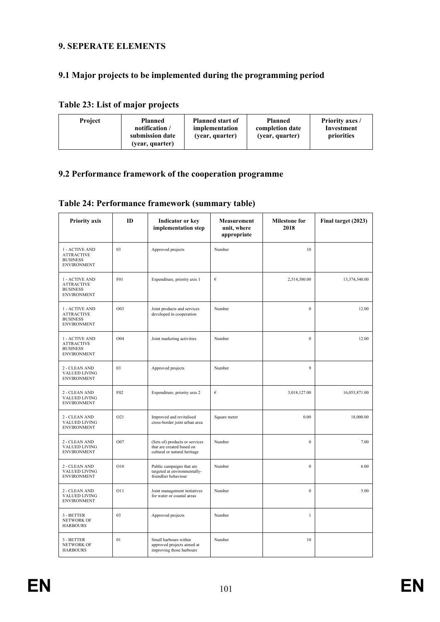### **9. SEPERATE ELEMENTS**

### **9.1 Major projects to be implemented during the programming period**

### **Table 23: List of major projects**

| <b>Project</b> | Planned<br>notification /<br>submission date<br>(year, quarter) | <b>Planned start of</b><br>implementation<br>(year, quarter) | <b>Planned</b><br>completion date<br>(year, quarter) | <b>Priority axes /</b><br>Investment<br>priorities |
|----------------|-----------------------------------------------------------------|--------------------------------------------------------------|------------------------------------------------------|----------------------------------------------------|
|----------------|-----------------------------------------------------------------|--------------------------------------------------------------|------------------------------------------------------|----------------------------------------------------|

#### **9.2 Performance framework of the cooperation programme**

|  | Table 24: Performance framework (summary table) |  |  |  |
|--|-------------------------------------------------|--|--|--|
|--|-------------------------------------------------|--|--|--|

| <b>Priority axis</b>                                                         | ID              | <b>Indicator or key</b><br>implementation step                                              | Measurement<br>unit, where<br>appropriate | <b>Milestone for</b><br>2018 | Final target (2023) |
|------------------------------------------------------------------------------|-----------------|---------------------------------------------------------------------------------------------|-------------------------------------------|------------------------------|---------------------|
| 1 - ACTIVE AND<br><b>ATTRACTIVE</b><br><b>BUSINESS</b><br><b>ENVIRONMENT</b> | 03              | Approved projects                                                                           | Number                                    | 10                           |                     |
| 1 - ACTIVE AND<br><b>ATTRACTIVE</b><br><b>BUSINESS</b><br><b>ENVIRONMENT</b> | F <sub>01</sub> | Expenditure, priority axis 1                                                                | €                                         | 2,514,380.00                 | 13,374,340.00       |
| 1 - ACTIVE AND<br><b>ATTRACTIVE</b><br><b>BUSINESS</b><br><b>ENVIRONMENT</b> | O03             | Joint products and services<br>developed in cooperation                                     | Number                                    | $\theta$                     | 12.00               |
| 1 - ACTIVE AND<br>ATTRACTIVE<br><b>BUSINESS</b><br><b>ENVIRONMENT</b>        | O <sub>04</sub> | Joint marketing activities                                                                  | Number                                    | $\theta$                     | 12.00               |
| 2 - CLEAN AND<br><b>VALUED LIVING</b><br><b>ENVIRONMENT</b>                  | 03              | Approved projects                                                                           | Number                                    | 9                            |                     |
| 2 - CLEAN AND<br><b>VALUED LIVING</b><br><b>ENVIRONMENT</b>                  | F <sub>02</sub> | Expenditure, priority axis 2                                                                | $\epsilon$                                | 3,018,127.00                 | 16,053,871.00       |
| 2 - CLEAN AND<br>VALUED LIVING<br><b>ENVIRONMENT</b>                         | O21             | Improved and revitalised<br>cross-border joint urban area                                   | Square meter                              | 0.00                         | 18,000.00           |
| 2 - CLEAN AND<br>VALUED LIVING<br><b>ENVIRONMENT</b>                         | O07             | (Sets of) products or services<br>that are created based on<br>cultural or natural heritage | Number                                    | $\mathbf{0}$                 | 7.00                |
| 2 - CLEAN AND<br>VALUED LIVING<br><b>ENVIRONMENT</b>                         | O10             | Public campaigns that are<br>targeted at environmentally-<br>friendlier behaviour           | Number                                    | $\mathbf{0}$                 | 6.00                |
| 2 - CLEAN AND<br><b>VALUED LIVING</b><br><b>ENVIRONMENT</b>                  | O11             | Joint management initiatives<br>for water or coastal areas                                  | Number                                    | $\mathbf{0}$                 | 5.00                |
| 3 - BETTER<br><b>NETWORK OF</b><br><b>HARBOURS</b>                           | 03              | Approved projects                                                                           | Number                                    | $\mathbf{1}$                 |                     |
| 3 - BETTER<br><b>NETWORK OF</b><br><b>HARBOURS</b>                           | 01              | Small harbours within<br>approved projects aimed at<br>improving those harbours             | Number                                    | 10                           |                     |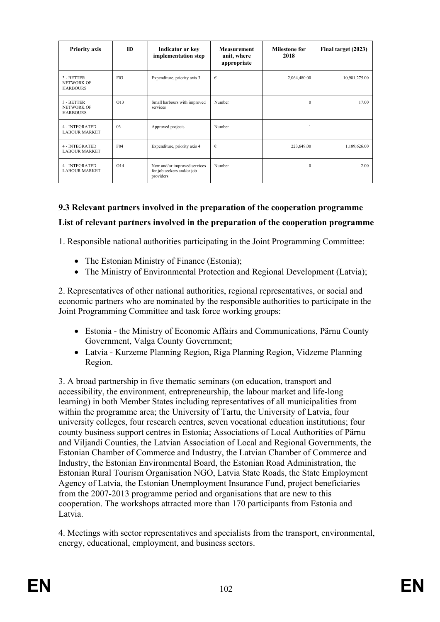| <b>Priority axis</b>                               | <b>ID</b>       | <b>Indicator or key</b><br>implementation step                          | <b>Measurement</b><br>unit, where<br>appropriate |              | Final target (2023) |
|----------------------------------------------------|-----------------|-------------------------------------------------------------------------|--------------------------------------------------|--------------|---------------------|
| 3 - BETTER<br><b>NETWORK OF</b><br><b>HARBOURS</b> | F03             | Expenditure, priority axis 3                                            | €                                                | 2,064,480.00 | 10,981,275.00       |
| 3 - BETTER<br><b>NETWORK OF</b><br><b>HARBOURS</b> | O13             | Small harbours with improved<br>services                                | Number                                           | $\Omega$     | 17.00               |
| 4 - INTEGRATED<br><b>LABOUR MARKET</b>             | 03              | Approved projects                                                       | Number                                           |              |                     |
| 4 - INTEGRATED<br><b>LABOUR MARKET</b>             | F04             | Expenditure, priority axis 4                                            | €                                                | 223,649.00   | 1,189,626.00        |
| 4 - INTEGRATED<br><b>LABOUR MARKET</b>             | O <sub>14</sub> | New and/or improved services<br>for job seekers and/or job<br>providers | Number                                           | $\Omega$     | 2.00                |

# **9.3 Relevant partners involved in the preparation of the cooperation programme List of relevant partners involved in the preparation of the cooperation programme**

1. Responsible national authorities participating in the Joint Programming Committee:

- The Estonian Ministry of Finance (Estonia);
- The Ministry of Environmental Protection and Regional Development (Latvia);

2. Representatives of other national authorities, regional representatives, or social and economic partners who are nominated by the responsible authorities to participate in the Joint Programming Committee and task force working groups:

- Estonia the Ministry of Economic Affairs and Communications, Pärnu County Government, Valga County Government;
- Latvia Kurzeme Planning Region, Riga Planning Region, Vidzeme Planning Region.

3. A broad partnership in five thematic seminars (on education, transport and accessibility, the environment, entrepreneurship, the labour market and life-long learning) in both Member States including representatives of all municipalities from within the programme area; the University of Tartu, the University of Latvia, four university colleges, four research centres, seven vocational education institutions; four county business support centres in Estonia; Associations of Local Authorities of Pärnu and Viljandi Counties, the Latvian Association of Local and Regional Governments, the Estonian Chamber of Commerce and Industry, the Latvian Chamber of Commerce and Industry, the Estonian Environmental Board, the Estonian Road Administration, the Estonian Rural Tourism Organisation NGO, Latvia State Roads, the State Employment Agency of Latvia, the Estonian Unemployment Insurance Fund, project beneficiaries from the 2007-2013 programme period and organisations that are new to this cooperation. The workshops attracted more than 170 participants from Estonia and Latvia.

4. Meetings with sector representatives and specialists from the transport, environmental, energy, educational, employment, and business sectors.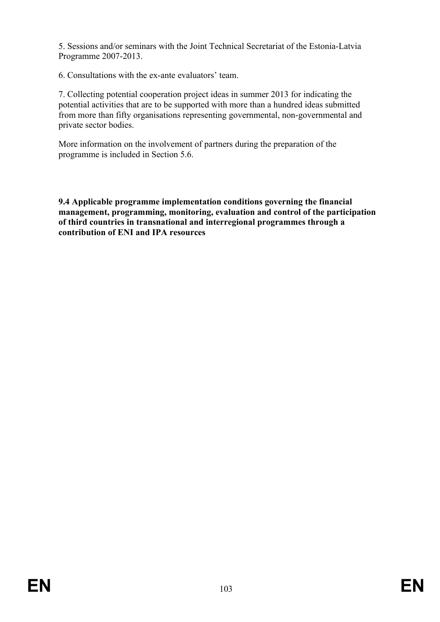5. Sessions and/or seminars with the Joint Technical Secretariat of the Estonia-Latvia Programme 2007-2013.

6. Consultations with the ex-ante evaluators' team.

7. Collecting potential cooperation project ideas in summer 2013 for indicating the potential activities that are to be supported with more than a hundred ideas submitted from more than fifty organisations representing governmental, non-governmental and private sector bodies.

More information on the involvement of partners during the preparation of the programme is included in Section 5.6.

**9.4 Applicable programme implementation conditions governing the financial management, programming, monitoring, evaluation and control of the participation of third countries in transnational and interregional programmes through a contribution of ENI and IPA resources**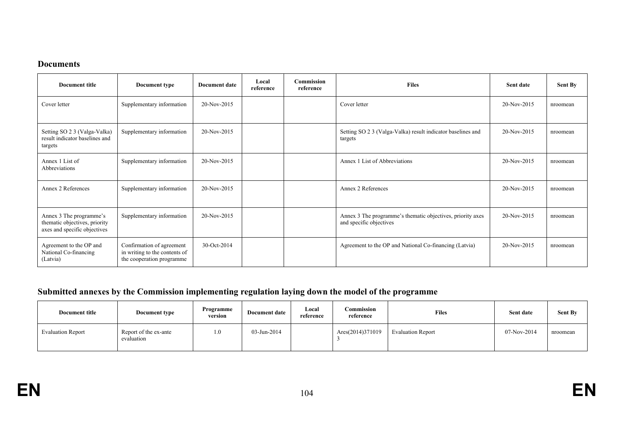#### **Documents**

| Document title                                                                           | Document type                                                                           | <b>Document date</b> | Local<br>reference | <b>Commission</b><br>reference | <b>Files</b>                                                                          | Sent date   | <b>Sent By</b> |
|------------------------------------------------------------------------------------------|-----------------------------------------------------------------------------------------|----------------------|--------------------|--------------------------------|---------------------------------------------------------------------------------------|-------------|----------------|
| Cover letter                                                                             | Supplementary information                                                               | 20-Nov-2015          |                    |                                | Cover letter                                                                          | 20-Nov-2015 | nroomean       |
| Setting SO 2 3 (Valga-Valka)<br>result indicator baselines and<br>targets                | Supplementary information                                                               | 20-Nov-2015          |                    |                                | Setting SO 2 3 (Valga-Valka) result indicator baselines and<br>targets                | 20-Nov-2015 | nroomean       |
| Annex 1 List of<br>Abbreviations                                                         | Supplementary information                                                               | 20-Nov-2015          |                    |                                | Annex 1 List of Abbreviations                                                         | 20-Nov-2015 | nroomean       |
| Annex 2 References                                                                       | Supplementary information                                                               | 20-Nov-2015          |                    |                                | Annex 2 References                                                                    | 20-Nov-2015 | nroomean       |
| Annex 3 The programme's<br>thematic objectives, priority<br>axes and specific objectives | Supplementary information                                                               | 20-Nov-2015          |                    |                                | Annex 3 The programme's thematic objectives, priority axes<br>and specific objectives | 20-Nov-2015 | nroomean       |
| Agreement to the OP and<br>National Co-financing<br>(Latvia)                             | Confirmation of agreement<br>in writing to the contents of<br>the cooperation programme | 30-Oct-2014          |                    |                                | Agreement to the OP and National Co-financing (Latvia)                                | 20-Nov-2015 | nroomean       |

# **Submitted annexes by the Commission implementing regulation laying down the model of the programme**

| Document title           | <b>Document type</b>                | Programme<br>version | <b>Document date</b> | Local<br>reference | Commission<br>reference | <b>Files</b>             | Sent date     | <b>Sent By</b> |
|--------------------------|-------------------------------------|----------------------|----------------------|--------------------|-------------------------|--------------------------|---------------|----------------|
| <b>Evaluation Report</b> | Report of the ex-ante<br>evaluation | 0.1                  | $03 - Jun - 2014$    |                    | Ares(2014)371019        | <b>Evaluation Report</b> | $07-Nov-2014$ | nroomean       |